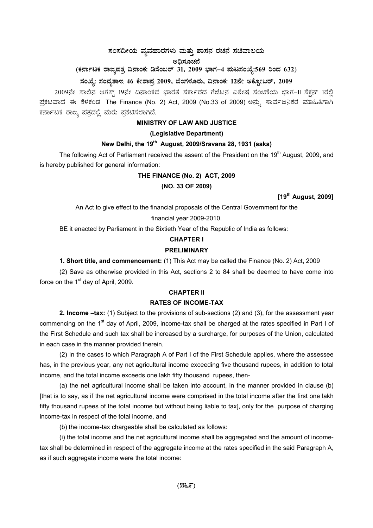# $\,$ ಸಂಸದೀಯ ವ್ಯವಹಾರಗಳು ಮತ್ತು ಶಾಸನ ರಚನೆ ಸಚಿವಾಲಯ

# ಅಧಿಸೂಚನೆ

# (ಕರ್ನಾಟಕ ರಾಜ್ಯಪತ್ರ ದಿನಾಂಕ: ಡಿಸೆಂಬರ್ 31, 2009 ಭಾಗ–4 **ಪುಟಸಂಖ್ಯೆ:569 ರಿಂದ 632)**

# ಸಂಖ್ಯೆ: ಸಂವ್ನಶಾಇ 46 ಕೇಶಾಪ್ರ 2009, ಬೆಂಗಳೂರು, ದಿನಾಂಕ: 12ನೇ ಅಕ್ಟೋಬರ್, 2009

2009ನೇ ಸಾಲಿನ ಆಗಸ್ಟ್ 19ನೇ ದಿನಾಂಕದ ಭಾರತ ಸರ್ಕಾರದ ಗೆಜೆಟಿನ ವಿಶೇಷ ಸಂಚಿಕೆಯ ಭಾಗ-II ಸೆಕ್ಷನ್ 1ರಲ್ಲಿ ಪ್ರಕಟವಾದ ಈ ಕೆಳಕಂಡ The Finance (No. 2) Act, 2009 (No.33 of 2009) ಅನ್ನು ಸಾರ್ವಜನಿಕರ ಮಾಹಿತಿಗಾಗಿ ಕರ್ನಾಟಕ ರಾಜ್ಯ ಪತ್ರದಲ್ಲಿ ಮರು ಪ್ರಕಟಿಸಲಾಗಿದೆ.

# **MINISTRY OF LAW AND JUSTICE**

### **(Legislative Department)**

# **New Delhi, the 19th August, 2009/Sravana 28, 1931 (saka)**

The following Act of Parliament received the assent of the President on the 19<sup>th</sup> August, 2009, and is hereby published for general information:

# **THE FINANCE (No. 2) ACT, 2009**

### **(NO. 33 OF 2009)**

**[19th August, 2009]** 

An Act to give effect to the financial proposals of the Central Government for the

# financial year 2009-2010.

BE it enacted by Parliament in the Sixtieth Year of the Republic of India as follows:

### **CHAPTER I**

## **PRELIMINARY**

**1. Short title, and commencement:** (1) This Act may be called the Finance (No. 2) Act, 2009

(2) Save as otherwise provided in this Act, sections 2 to 84 shall be deemed to have come into force on the 1<sup>st</sup> day of April, 2009.

# **CHAPTER II**

### **RATES OF INCOME-TAX**

**2. Income –tax:** (1) Subject to the provisions of sub-sections (2) and (3), for the assessment year commencing on the 1<sup>st</sup> day of April, 2009, income-tax shall be charged at the rates specified in Part I of the First Schedule and such tax shall be increased by a surcharge, for purposes of the Union, calculated in each case in the manner provided therein.

(2) In the cases to which Paragraph A of Part I of the First Schedule applies, where the assessee has, in the previous year, any net agricultural income exceeding five thousand rupees, in addition to total income, and the total income exceeds one lakh fifty thousand rupees, then-

(a) the net agricultural income shall be taken into account, in the manner provided in clause (b) [that is to say, as if the net agricultural income were comprised in the total income after the first one lakh fifty thousand rupees of the total income but without being liable to tax], only for the purpose of charging income-tax in respect of the total income, and

(b) the income-tax chargeable shall be calculated as follows:

(i) the total income and the net agricultural income shall be aggregated and the amount of incometax shall be determined in respect of the aggregate income at the rates specified in the said Paragraph A, as if such aggregate income were the total income: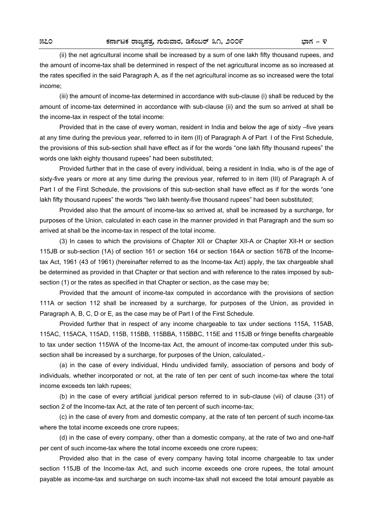(ii) the net agricultural income shall be increased by a sum of one lakh fifty thousand rupees, and the amount of income-tax shall be determined in respect of the net agricultural income as so increased at the rates specified in the said Paragraph A, as if the net agricultural income as so increased were the total income;

 (iii) the amount of income-tax determined in accordance with sub-clause (i) shall be reduced by the amount of income-tax determined in accordance with sub-clause (ii) and the sum so arrived at shall be the income-tax in respect of the total income:

 Provided that in the case of every woman, resident in India and below the age of sixty –five years at any time during the previous year, referred to in item (II) of Paragraph A of Part I of the First Schedule, the provisions of this sub-section shall have effect as if for the words "one lakh fifty thousand rupees" the words one lakh eighty thousand rupees" had been substituted;

 Provided further that in the case of every individual, being a resident in India, who is of the age of sixty-five years or more at any time during the previous year, referred to in item (III) of Paragraph A of Part I of the First Schedule, the provisions of this sub-section shall have effect as if for the words "one lakh fifty thousand rupees" the words "two lakh twenty-five thousand rupees" had been substituted;

 Provided also that the amount of income-tax so arrived at, shall be increased by a surcharge, for purposes of the Union, calculated in each case in the manner provided in that Paragraph and the sum so arrived at shall be the income-tax in respect of the total income.

 (3) In cases to which the provisions of Chapter XII or Chapter XII-A or Chapter XII-H or section 115JB or sub-section (1A) of section 161 or section 164 or section 164A or section 167B of the Incometax Act, 1961 (43 of 1961) (hereinafter referred to as the Income-tax Act) apply, the tax chargeable shall be determined as provided in that Chapter or that section and with reference to the rates imposed by subsection (1) or the rates as specified in that Chapter or section, as the case may be;

 Provided that the amount of income-tax computed in accordance with the provisions of section 111A or section 112 shall be increased by a surcharge, for purposes of the Union, as provided in Paragraph A, B, C, D or E, as the case may be of Part I of the First Schedule.

 Provided further that in respect of any income chargeable to tax under sections 115A, 115AB, 115AC, 115ACA, 115AD, 115B, 115BB, 115BBA, 115BBC, 115E and 115JB or fringe benefits chargeable to tax under section 115WA of the Income-tax Act, the amount of income-tax computed under this subsection shall be increased by a surcharge, for purposes of the Union, calculated,-

 (a) in the case of every individual, Hindu undivided family, association of persons and body of individuals, whether incorporated or not, at the rate of ten per cent of such income-tax where the total income exceeds ten lakh rupees;

 (b) in the case of every artificial juridical person referred to in sub-clause (vii) of clause (31) of section 2 of the Income-tax Act, at the rate of ten percent of such income-tax;

 (c) in the case of every from and domestic company, at the rate of ten percent of such income-tax where the total income exceeds one crore rupees;

 (d) in the case of every company, other than a domestic company, at the rate of two and one-half per cent of such income-tax where the total income exceeds one crore rupees;

 Provided also that in the case of every company having total income chargeable to tax under section 115JB of the Income-tax Act, and such income exceeds one crore rupees, the total amount payable as income-tax and surcharge on such income-tax shall not exceed the total amount payable as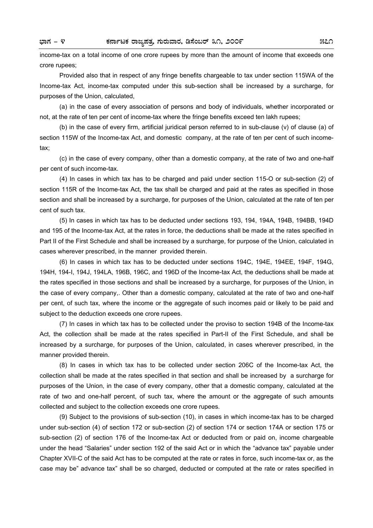income-tax on a total income of one crore rupees by more than the amount of income that exceeds one crore rupees;

 Provided also that in respect of any fringe benefits chargeable to tax under section 115WA of the Income-tax Act, income-tax computed under this sub-section shall be increased by a surcharge, for purposes of the Union, calculated,

 (a) in the case of every association of persons and body of individuals, whether incorporated or not, at the rate of ten per cent of income-tax where the fringe benefits exceed ten lakh rupees;

 (b) in the case of every firm, artificial juridical person referred to in sub-clause (v) of clause (a) of section 115W of the Income-tax Act, and domestic company, at the rate of ten per cent of such incometax;

 (c) in the case of every company, other than a domestic company, at the rate of two and one-half per cent of such income-tax.

 (4) In cases in which tax has to be charged and paid under section 115-O or sub-section (2) of section 115R of the Income-tax Act, the tax shall be charged and paid at the rates as specified in those section and shall be increased by a surcharge, for purposes of the Union, calculated at the rate of ten per cent of such tax.

 (5) In cases in which tax has to be deducted under sections 193, 194, 194A, 194B, 194BB, 194D and 195 of the Income-tax Act, at the rates in force, the deductions shall be made at the rates specified in Part II of the First Schedule and shall be increased by a surcharge, for purpose of the Union, calculated in cases wherever prescribed, in the manner provided therein.

 (6) In cases in which tax has to be deducted under sections 194C, 194E, 194EE, 194F, 194G, 194H, 194-I, 194J, 194LA, 196B, 196C, and 196D of the Income-tax Act, the deductions shall be made at the rates specified in those sections and shall be increased by a surcharge, for purposes of the Union, in the case of every company,. Other than a domestic company, calculated at the rate of two and one-half per cent, of such tax, where the income or the aggregate of such incomes paid or likely to be paid and subject to the deduction exceeds one crore rupees.

 (7) In cases in which tax has to be collected under the proviso to section 194B of the Income-tax Act, the collection shall be made at the rates specified in Part-II of the First Schedule, and shall be increased by a surcharge, for purposes of the Union, calculated, in cases wherever prescribed, in the manner provided therein.

 (8) In cases in which tax has to be collected under section 206C of the Income-tax Act, the collection shall be made at the rates specified in that section and shall be increased by a surcharge for purposes of the Union, in the case of every company, other that a domestic company, calculated at the rate of two and one-half percent, of such tax, where the amount or the aggregate of such amounts collected and subject to the collection exceeds one crore rupees.

 (9) Subject to the provisions of sub-section (10), in cases in which income-tax has to be charged under sub-section (4) of section 172 or sub-section (2) of section 174 or section 174A or section 175 or sub-section (2) of section 176 of the Income-tax Act or deducted from or paid on, income chargeable under the head "Salaries" under section 192 of the said Act or in which the "advance tax" payable under Chapter XVII-C of the said Act has to be computed at the rate or rates in force, such income-tax or, as the case may be" advance tax" shall be so charged, deducted or computed at the rate or rates specified in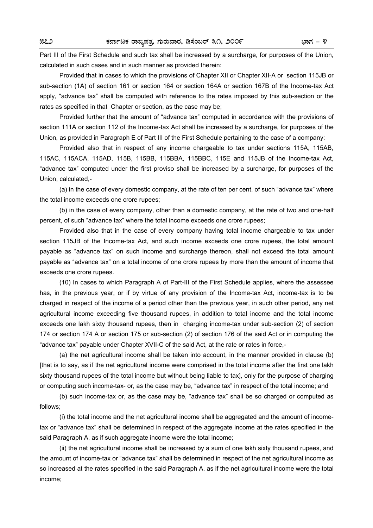Part III of the First Schedule and such tax shall be increased by a surcharge, for purposes of the Union, calculated in such cases and in such manner as provided therein:

 Provided that in cases to which the provisions of Chapter XII or Chapter XII-A or section 115JB or sub-section (1A) of section 161 or section 164 or section 164A or section 167B of the Income-tax Act apply, "advance tax" shall be computed with reference to the rates imposed by this sub-section or the rates as specified in that Chapter or section, as the case may be;

 Provided further that the amount of "advance tax" computed in accordance with the provisions of section 111A or section 112 of the Income-tax Act shall be increased by a surcharge, for purposes of the Union, as provided in Paragraph E of Part III of the First Schedule pertaining to the case of a company:

 Provided also that in respect of any income chargeable to tax under sections 115A, 115AB, 115AC, 115ACA, 115AD, 115B, 115BB, 115BBA, 115BBC, 115E and 115JB of the Income-tax Act, "advance tax" computed under the first proviso shall be increased by a surcharge, for purposes of the Union, calculated,-

 (a) in the case of every domestic company, at the rate of ten per cent. of such "advance tax" where the total income exceeds one crore rupees;

 (b) in the case of every company, other than a domestic company, at the rate of two and one-half percent, of such "advance tax" where the total income exceeds one crore rupees;

 Provided also that in the case of every company having total income chargeable to tax under section 115JB of the Income-tax Act, and such income exceeds one crore rupees, the total amount payable as "advance tax" on such income and surcharge thereon, shall not exceed the total amount payable as "advance tax" on a total income of one crore rupees by more than the amount of income that exceeds one crore rupees.

 (10) In cases to which Paragraph A of Part-III of the First Schedule applies, where the assessee has, in the previous year, or if by virtue of any provision of the Income-tax Act, income-tax is to be charged in respect of the income of a period other than the previous year, in such other period, any net agricultural income exceeding five thousand rupees, in addition to total income and the total income exceeds one lakh sixty thousand rupees, then in charging income-tax under sub-section (2) of section 174 or section 174 A or section 175 or sub-section (2) of section 176 of the said Act or in computing the "advance tax" payable under Chapter XVII-C of the said Act, at the rate or rates in force,-

 (a) the net agricultural income shall be taken into account, in the manner provided in clause (b) [that is to say, as if the net agricultural income were comprised in the total income after the first one lakh sixty thousand rupees of the total income but without being liable to tax], only for the purpose of charging or computing such income-tax- or, as the case may be, "advance tax" in respect of the total income; and

 (b) such income-tax or, as the case may be, "advance tax" shall be so charged or computed as follows;

 (i) the total income and the net agricultural income shall be aggregated and the amount of incometax or "advance tax" shall be determined in respect of the aggregate income at the rates specified in the said Paragraph A, as if such aggregate income were the total income;

 (ii) the net agricultural income shall be increased by a sum of one lakh sixty thousand rupees, and the amount of income-tax or "advance tax" shall be determined in respect of the net agricultural income as so increased at the rates specified in the said Paragraph A, as if the net agricultural income were the total income;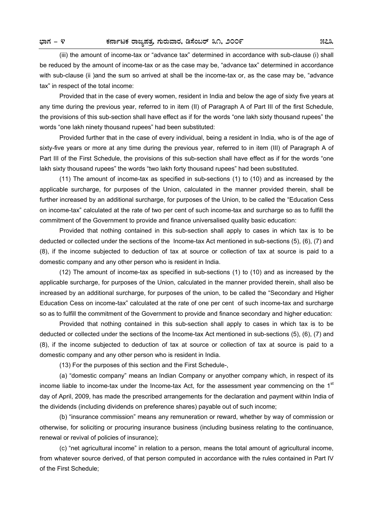(iii) the amount of income-tax or "advance tax" determined in accordance with sub-clause (i) shall be reduced by the amount of income-tax or as the case may be, "advance tax" determined in accordance with sub-clause (ii )and the sum so arrived at shall be the income-tax or, as the case may be, "advance tax" in respect of the total income:

 Provided that in the case of every women, resident in India and below the age of sixty five years at any time during the previous year, referred to in item (II) of Paragraph A of Part III of the first Schedule, the provisions of this sub-section shall have effect as if for the words "one lakh sixty thousand rupees" the words "one lakh ninety thousand rupees" had been substituted:

 Provided further that in the case of every individual, being a resident in India, who is of the age of sixty-five years or more at any time during the previous year, referred to in item (III) of Paragraph A of Part III of the First Schedule, the provisions of this sub-section shall have effect as if for the words "one lakh sixty thousand rupees" the words "two lakh forty thousand rupees" had been substituted.

 (11) The amount of income-tax as specified in sub-sections (1) to (10) and as increased by the applicable surcharge, for purposes of the Union, calculated in the manner provided therein, shall be further increased by an additional surcharge, for purposes of the Union, to be called the "Education Cess on income-tax" calculated at the rate of two per cent of such income-tax and surcharge so as to fulfill the commitment of the Government to provide and finance universalised quality basic education:

 Provided that nothing contained in this sub-section shall apply to cases in which tax is to be deducted or collected under the sections of the Income-tax Act mentioned in sub-sections (5), (6), (7) and (8), if the income subjected to deduction of tax at source or collection of tax at source is paid to a domestic company and any other person who is resident in India.

 (12) The amount of income-tax as specified in sub-sections (1) to (10) and as increased by the applicable surcharge, for purposes of the Union, calculated in the manner provided therein, shall also be increased by an additional surcharge, for purposes of the union, to be called the "Secondary and Higher Education Cess on income-tax" calculated at the rate of one per cent of such income-tax and surcharge so as to fulfill the commitment of the Government to provide and finance secondary and higher education:

 Provided that nothing contained in this sub-section shall apply to cases in which tax is to be deducted or collected under the sections of the Income-tax Act mentioned in sub-sections (5), (6), (7) and (8), if the income subjected to deduction of tax at source or collection of tax at source is paid to a domestic company and any other person who is resident in India.

(13) For the purposes of this section and the First Schedule-,

 (a) "domestic company" means an Indian Company or anyother company which, in respect of its income liable to income-tax under the Income-tax Act, for the assessment year commencing on the  $1<sup>st</sup>$ day of April, 2009, has made the prescribed arrangements for the declaration and payment within India of the dividends (including dividends on preference shares) payable out of such income;

 (b) "insurance commission" means any remuneration or reward, whether by way of commission or otherwise, for soliciting or procuring insurance business (including business relating to the continuance, renewal or revival of policies of insurance);

 (c) "net agricultural income" in relation to a person, means the total amount of agricultural income, from whatever source derived, of that person computed in accordance with the rules contained in Part IV of the First Schedule;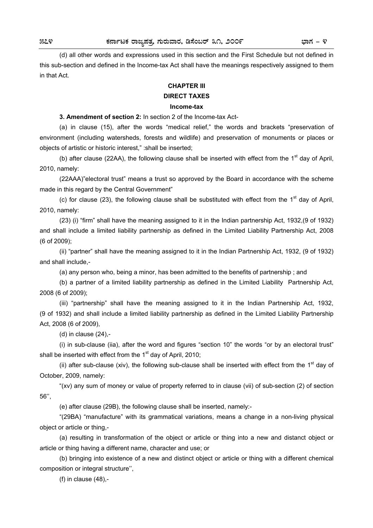(d) all other words and expressions used in this section and the First Schedule but not defined in this sub-section and defined in the Income-tax Act shall have the meanings respectively assigned to them in that Act.

## **CHAPTER III**

## **DIRECT TAXES**

# **Income-tax**

**3. Amendment of section 2:** In section 2 of the Income-tax Act-

 (a) in clause (15), after the words "medical relief," the words and brackets "preservation of environment (including watersheds, forests and wildlife) and preservation of monuments or places or objects of artistic or historic interest," :shall be inserted;

(b) after clause (22AA), the following clause shall be inserted with effect from the  $1<sup>st</sup>$  day of April, 2010, namely:

 (22AAA)"electoral trust" means a trust so approved by the Board in accordance with the scheme made in this regard by the Central Government"

(c) for clause (23), the following clause shall be substituted with effect from the  $1<sup>st</sup>$  day of April, 2010, namely:

 (23) (i) "firm" shall have the meaning assigned to it in the Indian partnership Act, 1932,(9 of 1932) and shall include a limited liability partnership as defined in the Limited Liability Partnership Act, 2008 (6 of 2009);

 (ii) "partner" shall have the meaning assigned to it in the Indian Partnership Act, 1932, (9 of 1932) and shall include,-

(a) any person who, being a minor, has been admitted to the benefits of partnership ; and

 (b) a partner of a limited liability partnership as defined in the Limited Liability Partnership Act, 2008 (6 of 2009);

 (iii) "partnership" shall have the meaning assigned to it in the Indian Partnership Act, 1932, (9 of 1932) and shall include a limited liability partnership as defined in the Limited Liability Partnership Act, 2008 (6 of 2009),

(d) in clause (24),-

 (i) in sub-clause (iia), after the word and figures "section 10" the words "or by an electoral trust" shall be inserted with effect from the  $1<sup>st</sup>$  day of April, 2010;

(ii) after sub-clause (xiv), the following sub-clause shall be inserted with effect from the  $1<sup>st</sup>$  day of October, 2009, namely:

 "(xv) any sum of money or value of property referred to in clause (vii) of sub-section (2) of section 56'',

(e) after clause (29B), the following clause shall be inserted, namely:-

 "(29BA) "manufacture" with its grammatical variations, means a change in a non-living physical object or article or thing,-

 (a) resulting in transformation of the object or article or thing into a new and distanct object or article or thing having a different name, character and use; or

 (b) bringing into existence of a new and distinct object or article or thing with a different chemical composition or integral structure'',

(f) in clause (48),-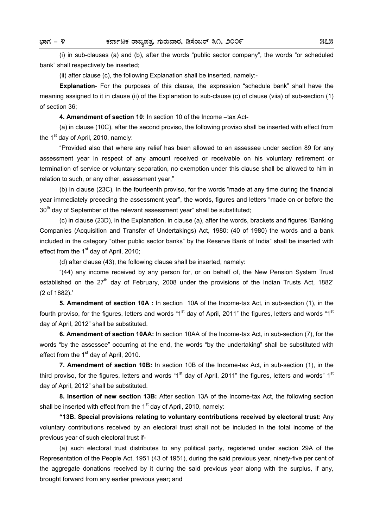(i) in sub-clauses (a) and (b), after the words "public sector company", the words "or scheduled bank" shall respectively be inserted;

(ii) after clause (c), the following Explanation shall be inserted, namely:-

**Explanation**- For the purposes of this clause, the expression "schedule bank" shall have the meaning assigned to it in clause (ii) of the Explanation to sub-clause (c) of clause (viia) of sub-section (1) of section 36;

**4. Amendment of section 10:** In section 10 of the Income –tax Act-

 (a) in clause (10C), after the second proviso, the following proviso shall be inserted with effect from the  $1<sup>st</sup>$  day of April, 2010, namely:

 "Provided also that where any relief has been allowed to an assessee under section 89 for any assessment year in respect of any amount received or receivable on his voluntary retirement or termination of service or voluntary separation, no exemption under this clause shall be allowed to him in relation to such, or any other, assessment year,"

 (b) in clause (23C), in the fourteenth proviso, for the words "made at any time during the financial year immediately preceding the assessment year", the words, figures and letters "made on or before the  $30<sup>th</sup>$  day of September of the relevant assessment year" shall be substituted:

 (c) in clause (23D), in the Explanation, in clause (a), after the words, brackets and figures "Banking Companies (Acquisition and Transfer of Undertakings) Act, 1980: (40 of 1980) the words and a bank included in the category "other public sector banks" by the Reserve Bank of India" shall be inserted with effect from the  $1<sup>st</sup>$  day of April, 2010;

(d) after clause (43), the following clause shall be inserted, namely:

 "(44) any income received by any person for, or on behalf of, the New Pension System Trust established on the  $27<sup>th</sup>$  day of February, 2008 under the provisions of the Indian Trusts Act, 1882' (2 of 1882).'

**5. Amendment of section 10A :** In section 10A of the Income-tax Act, in sub-section (1), in the fourth proviso, for the figures, letters and words "1<sup>st</sup> day of April, 2011" the figures, letters and words "1<sup>st</sup> day of April, 2012" shall be substituted.

**6. Amendment of section 10AA:** In section 10AA of the Income-tax Act, in sub-section (7), for the words "by the assessee" occurring at the end, the words "by the undertaking" shall be substituted with effect from the  $1<sup>st</sup>$  day of April, 2010.

**7. Amendment of section 10B:** In section 10B of the Income-tax Act, in sub-section (1), in the third proviso, for the figures, letters and words "1<sup>st</sup> day of April, 2011" the figures, letters and words" 1<sup>st</sup> day of April, 2012" shall be substituted.

**8. Insertion of new section 13B:** After section 13A of the Income-tax Act, the following section shall be inserted with effect from the  $1<sup>st</sup>$  day of April, 2010, namely:

**"13B. Special provisions relating to voluntary contributions received by electoral trust:** Any voluntary contributions received by an electoral trust shall not be included in the total income of the previous year of such electoral trust if-

 (a) such electoral trust distributes to any political party, registered under section 29A of the Representation of the People Act, 1951 (43 of 1951), during the said previous year, ninety-five per cent of the aggregate donations received by it during the said previous year along with the surplus, if any, brought forward from any earlier previous year; and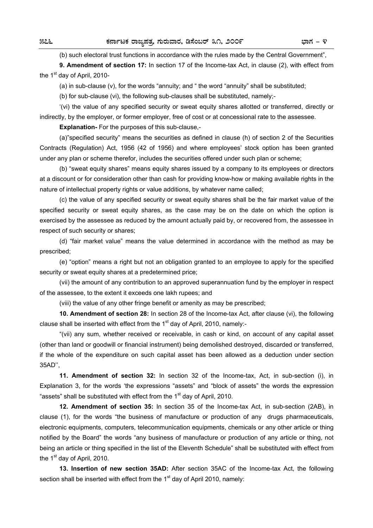(b) such electoral trust functions in accordance with the rules made by the Central Government",

**9. Amendment of section 17:** In section 17 of the Income-tax Act, in clause (2), with effect from the 1<sup>st</sup> day of April, 2010-

(a) in sub-clause (v), for the words "annuity; and " the word "annuity" shall be substituted;

(b) for sub-clause (vi), the following sub-clauses shall be substituted, namely;-

 '(vi) the value of any specified security or sweat equity shares allotted or transferred, directly or indirectly, by the employer, or former employer, free of cost or at concessional rate to the assessee.

**Explanation-** For the purposes of this sub-clause,-

 (a)"specified security" means the securities as defined in clause (h) of section 2 of the Securities Contracts (Regulation) Act, 1956 (42 of 1956) and where employees' stock option has been granted under any plan or scheme therefor, includes the securities offered under such plan or scheme;

 (b) "sweat equity shares" means equity shares issued by a company to its employees or directors at a discount or for consideration other than cash for providing know-how or making available rights in the nature of intellectual property rights or value additions, by whatever name called;

 (c) the value of any specified security or sweat equity shares shall be the fair market value of the specified security or sweat equity shares, as the case may be on the date on which the option is exercised by the assessee as reduced by the amount actually paid by, or recovered from, the assessee in respect of such security or shares;

 (d) "fair market value" means the value determined in accordance with the method as may be prescribed;

 (e) "option" means a right but not an obligation granted to an employee to apply for the specified security or sweat equity shares at a predetermined price;

 (vii) the amount of any contribution to an approved superannuation fund by the employer in respect of the assessee, to the extent it exceeds one lakh rupees; and

(viii) the value of any other fringe benefit or amenity as may be prescribed;

**10. Amendment of section 28:** In section 28 of the Income-tax Act, after clause (vi), the following clause shall be inserted with effect from the  $1<sup>st</sup>$  day of April, 2010, namely:-

 "(vii) any sum, whether received or receivable, in cash or kind, on account of any capital asset (other than land or goodwill or financial instrument) being demolished destroyed, discarded or transferred, if the whole of the expenditure on such capital asset has been allowed as a deduction under section 35AD'',

**11. Amendment of section 32:** In section 32 of the Income-tax, Act, in sub-section (i), in Explanation 3, for the words 'the expressions "assets" and "block of assets" the words the expression "assets" shall be substituted with effect from the  $1<sup>st</sup>$  day of April, 2010.

**12. Amendment of section 35:** In section 35 of the Income-tax Act, in sub-section (2AB), in clause (1), for the words "the business of manufacture or production of any drugs pharmaceuticals, electronic equipments, computers, telecommunication equipments, chemicals or any other article or thing notified by the Board" the words "any business of manufacture or production of any article or thing, not being an article or thing specified in the list of the Eleventh Schedule" shall be substituted with effect from the  $1<sup>st</sup>$  day of April, 2010.

**13. Insertion of new section 35AD:** After section 35AC of the Income-tax Act, the following section shall be inserted with effect from the  $1<sup>st</sup>$  day of April 2010, namely: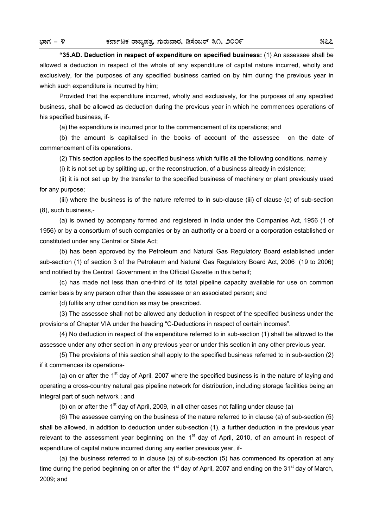**"35.AD. Deduction in respect of expenditure on specified business:** (1) An assessee shall be allowed a deduction in respect of the whole of any expenditure of capital nature incurred, wholly and exclusively, for the purposes of any specified business carried on by him during the previous year in which such expenditure is incurred by him;

 Provided that the expenditure incurred, wholly and exclusively, for the purposes of any specified business, shall be allowed as deduction during the previous year in which he commences operations of his specified business, if-

(a) the expenditure is incurred prior to the commencement of its operations; and

 (b) the amount is capitalised in the books of account of the assessee on the date of commencement of its operations.

(2) This section applies to the specified business which fulfils all the following conditions, namely

(i) it is not set up by splitting up, or the reconstruction, of a business already in existence;

 (ii) it is not set up by the transfer to the specified business of machinery or plant previously used for any purpose;

 (iii) where the business is of the nature referred to in sub-clause (iii) of clause (c) of sub-section (8), such business,-

 (a) is owned by acompany formed and registered in India under the Companies Act, 1956 (1 of 1956) or by a consortium of such companies or by an authority or a board or a corporation established or constituted under any Central or State Act;

 (b) has been approved by the Petroleum and Natural Gas Regulatory Board established under sub-section (1) of section 3 of the Petroleum and Natural Gas Regulatory Board Act, 2006 (19 to 2006) and notified by the Central Government in the Official Gazette in this behalf;

 (c) has made not less than one-third of its total pipeline capacity available for use on common carrier basis by any person other than the assessee or an associated person; and

(d) fulfils any other condition as may be prescribed.

 (3) The assessee shall not be allowed any deduction in respect of the specified business under the provisions of Chapter VIA under the heading "C-Deductions in respect of certain incomes".

 (4) No deduction in respect of the expenditure referred to in sub-section (1) shall be allowed to the assessee under any other section in any previous year or under this section in any other previous year.

 (5) The provisions of this section shall apply to the specified business referred to in sub-section (2) if it commences its operations-

(a) on or after the  $1<sup>st</sup>$  day of April, 2007 where the specified business is in the nature of laying and operating a cross-country natural gas pipeline network for distribution, including storage facilities being an integral part of such network ; and

(b) on or after the 1<sup>st</sup> day of April, 2009, in all other cases not falling under clause (a)

 (6) The assessee carrying on the business of the nature referred to in clause (a) of sub-section (5) shall be allowed, in addition to deduction under sub-section (1), a further deduction in the previous year relevant to the assessment year beginning on the  $1<sup>st</sup>$  day of April, 2010, of an amount in respect of expenditure of capital nature incurred during any earlier previous year, if-

 (a) the business referred to in clause (a) of sub-section (5) has commenced its operation at any time during the period beginning on or after the 1<sup>st</sup> day of April, 2007 and ending on the 31<sup>st</sup> day of March, 2009; and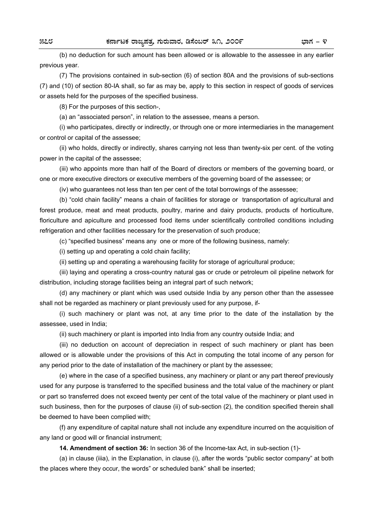(b) no deduction for such amount has been allowed or is allowable to the assessee in any earlier previous year.

 (7) The provisions contained in sub-section (6) of section 80A and the provisions of sub-sections (7) and (10) of section 80-IA shall, so far as may be, apply to this section in respect of goods of services or assets held for the purposes of the specified business.

(8) For the purposes of this section-,

(a) an "associated person", in relation to the assessee, means a person.

 (i) who participates, directly or indirectly, or through one or more intermediaries in the management or control or capital of the assessee;

 (ii) who holds, directly or indirectly, shares carrying not less than twenty-six per cent. of the voting power in the capital of the assessee;

 (iii) who appoints more than half of the Board of directors or members of the governing board, or one or more executive directors or executive members of the governing board of the assessee; or

(iv) who guarantees not less than ten per cent of the total borrowings of the assessee;

 (b) "cold chain facility" means a chain of facilities for storage or transportation of agricultural and forest produce, meat and meat products, poultry, marine and dairy products, products of horticulture. floriculture and apiculture and processed food items under scientifically controlled conditions including refrigeration and other facilities necessary for the preservation of such produce;

(c) "specified business" means any one or more of the following business, namely:

(i) setting up and operating a cold chain facility;

(ii) setting up and operating a warehousing facility for storage of agricultural produce;

 (iii) laying and operating a cross-country natural gas or crude or petroleum oil pipeline network for distribution, including storage facilities being an integral part of such network;

 (d) any machinery or plant which was used outside India by any person other than the assessee shall not be regarded as machinery or plant previously used for any purpose, if-

 (i) such machinery or plant was not, at any time prior to the date of the installation by the assessee, used in India;

(ii) such machinery or plant is imported into India from any country outside India; and

 (iii) no deduction on account of depreciation in respect of such machinery or plant has been allowed or is allowable under the provisions of this Act in computing the total income of any person for any period prior to the date of installation of the machinery or plant by the assessee;

 (e) where in the case of a specified business, any machinery or plant or any part thereof previously used for any purpose is transferred to the specified business and the total value of the machinery or plant or part so transferred does not exceed twenty per cent of the total value of the machinery or plant used in such business, then for the purposes of clause (ii) of sub-section (2), the condition specified therein shall be deemed to have been complied with;

 (f) any expenditure of capital nature shall not include any expenditure incurred on the acquisition of any land or good will or financial instrument;

**14. Amendment of section 36:** In section 36 of the Income-tax Act, in sub-section (1)-

 (a) in clause (iiia), in the Explanation, in clause (i), after the words "public sector company" at both the places where they occur, the words" or scheduled bank" shall be inserted;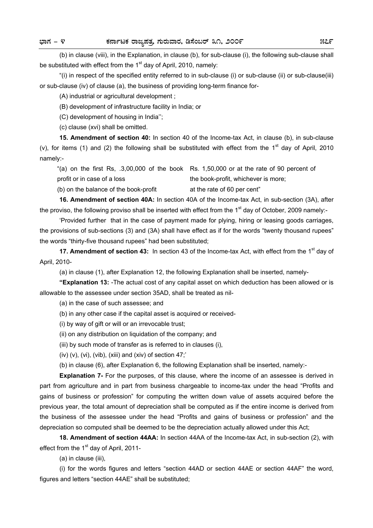(b) in clause (viii), in the Explanation, in clause (b), for sub-clause (i), the following sub-clause shall be substituted with effect from the  $1<sup>st</sup>$  day of April, 2010, namely:

 "(i) in respect of the specified entity referred to in sub-clause (i) or sub-clause (ii) or sub-clause(iii) or sub-clause (iv) of clause (a), the business of providing long-term finance for-

(A) industrial or agricultural development ;

(B) development of infrastructure facility in India; or

(C) development of housing in India'';

(c) clause (xvi) shall be omitted.

**15. Amendment of section 40:** In section 40 of the Income-tax Act, in clause (b), in sub-clause (v), for items (1) and (2) the following shall be substituted with effect from the 1<sup>st</sup> day of April, 2010 namely:-

"(a) on the first Rs, .3,00,000 of the book Rs. 1,50,000 or at the rate of 90 percent of profit or in case of a loss the book-profit, whichever is more;

 $(b)$  on the balance of the book-profit at the rate of 60 per cent"

**16. Amendment of section 40A:** In section 40A of the Income-tax Act, in sub-section (3A), after the proviso, the following proviso shall be inserted with effect from the 1<sup>st</sup> day of October, 2009 namely:-

 'Provided further that in the case of payment made for plying, hiring or leasing goods carriages, the provisions of sub-sections (3) and (3A) shall have effect as if for the words "twenty thousand rupees" the words "thirty-five thousand rupees" had been substituted;

**17. Amendment of section 43:** In section 43 of the Income-tax Act, with effect from the 1<sup>st</sup> day of April, 2010-

(a) in clause (1), after Explanation 12, the following Explanation shall be inserted, namely-

**"Explanation 13:** -The actual cost of any capital asset on which deduction has been allowed or is allowable to the assessee under section 35AD, shall be treated as nil-

(a) in the case of such assessee; and

(b) in any other case if the capital asset is acquired or received-

(i) by way of gift or will or an irrevocable trust;

(ii) on any distribution on liquidation of the company; and

(iii) by such mode of transfer as is referred to in clauses (i),

(iv)  $(v)$ ,  $(vi)$ ,  $(vib)$ ,  $(xiii)$  and  $(xiv)$  of section 47;

(b) in clause (6), after Explanation 6, the following Explanation shall be inserted, namely:-

**Explanation 7-** For the purposes, of this clause, where the income of an assessee is derived in part from agriculture and in part from business chargeable to income-tax under the head "Profits and gains of business or profession" for computing the written down value of assets acquired before the previous year, the total amount of depreciation shall be computed as if the entire income is derived from the business of the assessee under the head "Profits and gains of business or profession" and the depreciation so computed shall be deemed to be the depreciation actually allowed under this Act;

**18. Amendment of section 44AA:** In section 44AA of the Income-tax Act, in sub-section (2), with effect from the  $1<sup>st</sup>$  day of April, 2011-

(a) in clause (iii),

 (i) for the words figures and letters "section 44AD or section 44AE or section 44AF" the word, figures and letters "section 44AE" shall be substituted;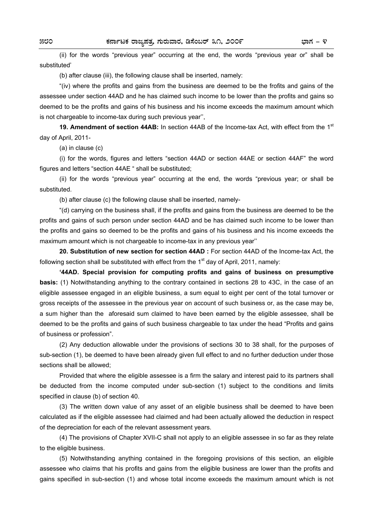(ii) for the words "previous year" occurring at the end, the words "previous year or" shall be substituted'

(b) after clause (iii), the following clause shall be inserted, namely:

 "(iv) where the profits and gains from the business are deemed to be the frofits and gains of the assessee under section 44AD and he has claimed such income to be lower than the profits and gains so deemed to be the profits and gains of his business and his income exceeds the maximum amount which is not chargeable to income-tax during such previous year'',

**19. Amendment of section 44AB:** In section 44AB of the Income-tax Act, with effect from the 1<sup>st</sup> day of April, 2011-

(a) in clause (c)

 (i) for the words, figures and letters "section 44AD or section 44AE or section 44AF" the word figures and letters "section 44AE " shall be substituted;

 (ii) for the words "previous year" occurring at the end, the words "previous year; or shall be substituted.

(b) after clause (c) the following clause shall be inserted, namely-

 "(d) carrying on the business shall, if the profits and gains from the business are deemed to be the profits and gains of such person under section 44AD and be has claimed such income to be lower than the profits and gains so deemed to be the profits and gains of his business and his income exceeds the maximum amount which is not chargeable to income-tax in any previous year''

**20. Substitution of new section for section 44AD :** For section 44AD of the Income-tax Act, the following section shall be substituted with effect from the  $1<sup>st</sup>$  day of April, 2011, namely:

**'44AD. Special provision for computing profits and gains of business on presumptive basis:** (1) Notwithstanding anything to the contrary contained in sections 28 to 43C, in the case of an eligible assessee engaged in an eligible business, a sum equal to eight per cent of the total turnover or gross receipts of the assessee in the previous year on account of such business or, as the case may be, a sum higher than the aforesaid sum claimed to have been earned by the eligible assessee, shall be deemed to be the profits and gains of such business chargeable to tax under the head "Profits and gains of business or profession".

 (2) Any deduction allowable under the provisions of sections 30 to 38 shall, for the purposes of sub-section (1), be deemed to have been already given full effect to and no further deduction under those sections shall be allowed;

 Provided that where the eligible assessee is a firm the salary and interest paid to its partners shall be deducted from the income computed under sub-section (1) subject to the conditions and limits specified in clause (b) of section 40.

 (3) The written down value of any asset of an eligible business shall be deemed to have been calculated as if the eligible assessee had claimed and had been actually allowed the deduction in respect of the depreciation for each of the relevant assessment years.

 (4) The provisions of Chapter XVII-C shall not apply to an eligible assessee in so far as they relate to the eligible business.

 (5) Notwithstanding anything contained in the foregoing provisions of this section, an eligible assessee who claims that his profits and gains from the eligible business are lower than the profits and gains specified in sub-section (1) and whose total income exceeds the maximum amount which is not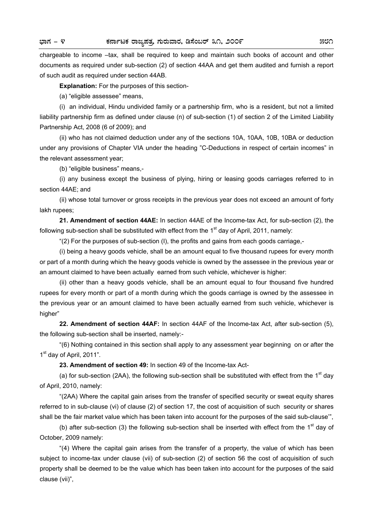chargeable to income –tax, shall be required to keep and maintain such books of account and other documents as required under sub-section (2) of section 44AA and get them audited and furnish a report of such audit as required under section 44AB.

**Explanation:** For the purposes of this section-

(a) "eligible assessee" means,

 (i) an individual, Hindu undivided family or a partnership firm, who is a resident, but not a limited liability partnership firm as defined under clause (n) of sub-section (1) of section 2 of the Limited Liability Partnership Act, 2008 (6 of 2009); and

 (ii) who has not claimed deduction under any of the sections 10A, 10AA, 10B, 10BA or deduction under any provisions of Chapter VIA under the heading "C-Deductions in respect of certain incomes" in the relevant assessment year;

(b) "eligible business" means,-

 (i) any business except the business of plying, hiring or leasing goods carriages referred to in section 44AE; and

 (ii) whose total turnover or gross receipts in the previous year does not exceed an amount of forty lakh rupees;

**21. Amendment of section 44AE:** In section 44AE of the Income-tax Act, for sub-section (2), the following sub-section shall be substituted with effect from the  $1<sup>st</sup>$  day of April, 2011, namely:

"(2) For the purposes of sub-section (I), the profits and gains from each goods carriage,-

 (i) being a heavy goods vehicle, shall be an amount equal to five thousand rupees for every month or part of a month during which the heavy goods vehicle is owned by the assessee in the previous year or an amount claimed to have been actually earned from such vehicle, whichever is higher:

 (ii) other than a heavy goods vehicle, shall be an amount equal to four thousand five hundred rupees for every month or part of a month during which the goods carriage is owned by the assessee in the previous year or an amount claimed to have been actually earned from such vehicle, whichever is higher"

**22. Amendment of section 44AF:** In section 44AF of the Income-tax Act, after sub-section (5), the following sub-section shall be inserted, namely:-

 "(6) Nothing contained in this section shall apply to any assessment year beginning on or after the 1<sup>st</sup> day of April, 2011".

**23. Amendment of section 49:** In section 49 of the Income-tax Act-

(a) for sub-section (2AA), the following sub-section shall be substituted with effect from the  $1<sup>st</sup>$  day of April, 2010, namely:

 "(2AA) Where the capital gain arises from the transfer of specified security or sweat equity shares referred to in sub-clause (vi) of clause (2) of section 17, the cost of acquisition of such security or shares shall be the fair market value which has been taken into account for the purposes of the said sub-clause'",

(b) after sub-section (3) the following sub-section shall be inserted with effect from the  $1<sup>st</sup>$  day of October, 2009 namely:

 "(4) Where the capital gain arises from the transfer of a property, the value of which has been subject to income-tax under clause (vii) of sub-section (2) of section 56 the cost of acquisition of such property shall be deemed to be the value which has been taken into account for the purposes of the said clause (vii)",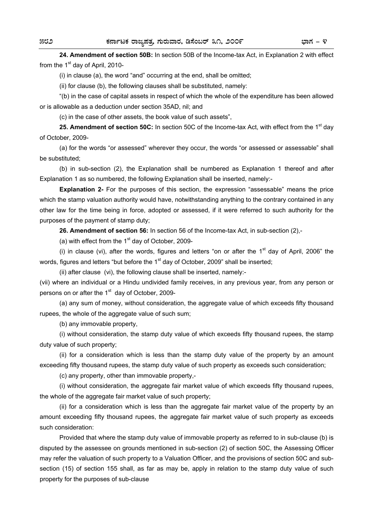**24. Amendment of section 50B:** In section 50B of the Income-tax Act, in Explanation 2 with effect from the  $1<sup>st</sup>$  day of April, 2010-

(i) in clause (a), the word "and" occurring at the end, shall be omitted;

(ii) for clause (b), the following clauses shall be substituted, namely:

 "(b) in the case of capital assets in respect of which the whole of the expenditure has been allowed or is allowable as a deduction under section 35AD, nil; and

(c) in the case of other assets, the book value of such assets",

25. Amendment of section 50C: In section 50C of the Income-tax Act, with effect from the 1<sup>st</sup> day of October, 2009-

 (a) for the words "or assessed" wherever they occur, the words "or assessed or assessable" shall be substituted;

 (b) in sub-section (2), the Explanation shall be numbered as Explanation 1 thereof and after Explanation 1 as so numbered, the following Explanation shall be inserted, namely:-

**Explanation 2-** For the purposes of this section, the expression "assessable" means the price which the stamp valuation authority would have, notwithstanding anything to the contrary contained in any other law for the time being in force, adopted or assessed, if it were referred to such authority for the purposes of the payment of stamp duty;

**26. Amendment of section 56:** In section 56 of the Income-tax Act, in sub-section (2),-

(a) with effect from the  $1<sup>st</sup>$  day of October, 2009-

(i) in clause (vi), after the words, figures and letters "on or after the  $1<sup>st</sup>$  day of April, 2006" the words, figures and letters "but before the  $1<sup>st</sup>$  day of October, 2009" shall be inserted;

(ii) after clause (vi), the following clause shall be inserted, namely:-

(vii) where an individual or a Hindu undivided family receives, in any previous year, from any person or persons on or after the  $1<sup>st</sup>$  day of October, 2009-

 (a) any sum of money, without consideration, the aggregate value of which exceeds fifty thousand rupees, the whole of the aggregate value of such sum;

(b) any immovable property,

 (i) without consideration, the stamp duty value of which exceeds fifty thousand rupees, the stamp duty value of such property;

 (ii) for a consideration which is less than the stamp duty value of the property by an amount exceeding fifty thousand rupees, the stamp duty value of such property as exceeds such consideration;

(c) any property, other than immovable property,-

 (i) without consideration, the aggregate fair market value of which exceeds fifty thousand rupees, the whole of the aggregate fair market value of such property;

 (ii) for a consideration which is less than the aggregate fair market value of the property by an amount exceeding fifty thousand rupees, the aggregate fair market value of such property as exceeds such consideration:

 Provided that where the stamp duty value of immovable property as referred to in sub-clause (b) is disputed by the assessee on grounds mentioned in sub-section (2) of section 50C, the Assessing Officer may refer the valuation of such property to a Valuation Officer, and the provisions of section 50C and subsection (15) of section 155 shall, as far as may be, apply in relation to the stamp duty value of such property for the purposes of sub-clause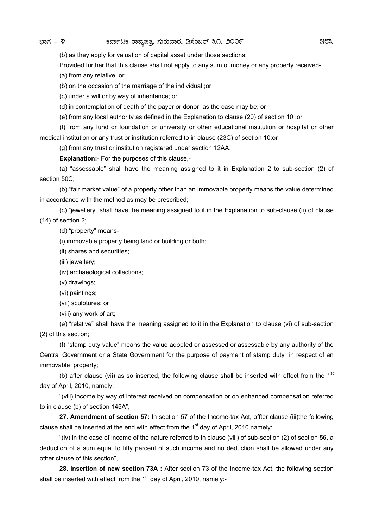(b) as they apply for valuation of capital asset under those sections:

Provided further that this clause shall not apply to any sum of money or any property received-

(a) from any relative; or

(b) on the occasion of the marriage of the individual ;or

(c) under a will or by way of inheritance; or

(d) in contemplation of death of the payer or donor, as the case may be; or

(e) from any local authority as defined in the Explanation to clause (20) of section 10 :or

 (f) from any fund or foundation or university or other educational institution or hospital or other medical institution or any trust or institution referred to in clause (23C) of section 10:or

(g) from any trust or institution registered under section 12AA.

**Explanation:**- For the purposes of this clause,-

 (a) "assessable" shall have the meaning assigned to it in Explanation 2 to sub-section (2) of section 50C;

 (b) "fair market value" of a property other than an immovable property means the value determined in accordance with the method as may be prescribed;

 (c) "jewellery" shall have the meaning assigned to it in the Explanation to sub-clause (ii) of clause (14) of section 2;

(d) "property" means-

(i) immovable property being land or building or both;

- (ii) shares and securities;
- (iii) jewellery;

(iv) archaeological collections;

(v) drawings;

(vi) paintings;

(vii) sculptures; or

(viii) any work of art;

 (e) "relative" shall have the meaning assigned to it in the Explanation to clause (vi) of sub-section (2) of this section;

 (f) "stamp duty value" means the value adopted or assessed or assessable by any authority of the Central Government or a State Government for the purpose of payment of stamp duty in respect of an immovable property;

(b) after clause (vii) as so inserted, the following clause shall be inserted with effect from the  $1<sup>st</sup>$ day of April, 2010, namely;

 "(viii) income by way of interest received on compensation or on enhanced compensation referred to in clause (b) of section 145A",

**27. Amendment of section 57:** In section 57 of the Income-tax Act, offter clause (iii)the following clause shall be inserted at the end with effect from the  $1<sup>st</sup>$  day of April, 2010 namely:

 "(iv) in the case of income of the nature referred to in clause (viii) of sub-section (2) of section 56, a deduction of a sum equal to fifty percent of such income and no deduction shall be allowed under any other clause of this section",

**28. Insertion of new section 73A :** After section 73 of the Income-tax Act, the following section shall be inserted with effect from the  $1<sup>st</sup>$  day of April, 2010, namely:-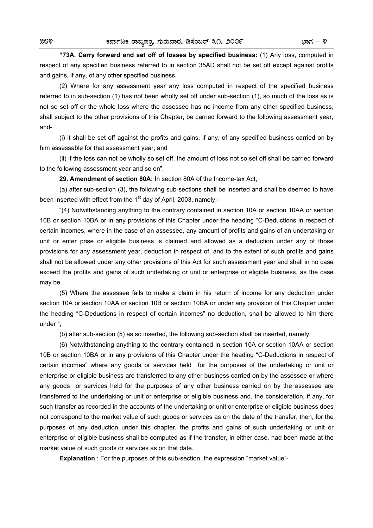**"73A. Carry forward and set off of losses by specified business:** (1) Any loss, computed in respect of any specified business referred to in section 35AD shall not be set off except against profits and gains, if any, of any other specified business.

 (2) Where for any assessment year any loss computed in respect of the specified business referred to in sub-section (1) has not been wholly set off under sub-section (1), so much of the loss as is not so set off or the whole loss where the assessee has no income from any other specified business, shall subject to the other provisions of this Chapter, be carried forward to the following assessment year, and-

 (i) it shall be set off against the profits and gains, if any, of any specified business carried on by him assessable for that assessment year; and

 (ii) if the loss can not be wholly so set off, the amount of loss not so set off shall be carried forward to the following assessment year and so on",

**29. Amendment of section 80A:** In section 80A of the Income-tax Act,

 (a) after sub-section (3), the following sub-sections shall be inserted and shall be deemed to have been inserted with effect from the  $1<sup>st</sup>$  day of April, 2003, namely:-

 "(4) Notwithstanding anything to the contrary contained in section 10A or section 10AA or section 10B or section 10BA or in any provisions of this Chapter under the heading "C-Deductions in respect of certain incomes, where in the case of an assessee, any amount of profits and gains of an undertaking or unit or enter prise or eligible business is claimed and allowed as a deduction under any of those provisions for any assessment year, deduction in respect of, and to the extent of such profits and gains shall not be allowed under any other provisions of this Act for such assessment year and shall in no case exceed the profits and gains of such undertaking or unit or enterprise or eligible business, as the case may be.

 (5) Where the assessee fails to make a claim in his return of income for any deduction under section 10A or section 10AA or section 10B or section 10BA or under any provision of this Chapter under the heading "C-Deductions in respect of certain incomes" no deduction, shall be allowed to him there under ",

(b) after sub-section (5) as so inserted, the following sub-section shall be inserted, namely:

 (6) Notwithstanding anything to the contrary contained in section 10A or section 10AA or section 10B or section 10BA or in any provisions of this Chapter under the heading "C-Deductions in respect of certain incomes" where any goods or services held for the purposes of the undertaking or unit or enterprise or eligible business are transferred to any other business carried on by the assessee or where any goods or services held for the purposes of any other business carried on by the assessee are transferred to the undertaking or unit or enterprise or eligible business and, the consideration, if any, for such transfer as recorded in the accounts of the undertaking or unit or enterprise or eligible business does not correspond to the market value of such goods or services as on the date of the transfer, then, for the purposes of any deduction under this chapter, the profits and gains of such undertaking or unit or enterprise or eligible business shall be computed as if the transfer, in either case, had been made at the market value of such goods or services as on that date.

**Explanation** : For the purposes of this sub-section, the expression "market value"-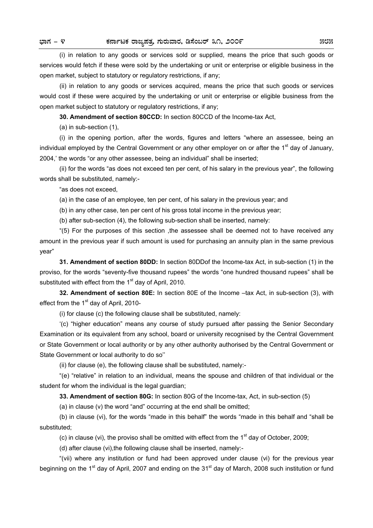(i) in relation to any goods or services sold or supplied, means the price that such goods or services would fetch if these were sold by the undertaking or unit or enterprise or eligible business in the open market, subject to statutory or regulatory restrictions, if any;

 (ii) in relation to any goods or services acquired, means the price that such goods or services would cost if these were acquired by the undertaking or unit or enterprise or eligible business from the open market subject to statutory or regulatory restrictions, if any;

**30. Amendment of section 80CCD:** In section 80CCD of the Income-tax Act,

(a) in sub-section (1),

 (i) in the opening portion, after the words, figures and letters "where an assessee, being an individual employed by the Central Government or any other employer on or after the 1<sup>st</sup> day of January. 2004,' the words "or any other assessee, being an individual" shall be inserted;

 (ii) for the words "as does not exceed ten per cent, of his salary in the previous year", the following words shall be substituted, namely:-

"as does not exceed,

(a) in the case of an employee, ten per cent, of his salary in the previous year; and

(b) in any other case, ten per cent of his gross total income in the previous year;

(b) after sub-section (4), the following sub-section shall be inserted, namely:

 "(5) For the purposes of this section ,the assessee shall be deemed not to have received any amount in the previous year if such amount is used for purchasing an annuity plan in the same previous year"

**31. Amendment of section 80DD:** In section 80DDof the Income-tax Act, in sub-section (1) in the proviso, for the words "seventy-five thousand rupees" the words "one hundred thousand rupees" shall be substituted with effect from the 1<sup>st</sup> day of April, 2010.

**32. Amendment of section 80E:** In section 80E of the Income –tax Act, in sub-section (3), with effect from the  $1<sup>st</sup>$  day of April, 2010-

(i) for clause (c) the following clause shall be substituted, namely:

 '(c) "higher education" means any course of study pursued after passing the Senior Secondary Examination or its equivalent from any school, board or university recognised by the Central Government or State Government or local authority or by any other authority authorised by the Central Government or State Government or local authority to do so''

(ii) for clause (e), the following clause shall be substituted, namely:-

 "(e) "relative" in relation to an individual, means the spouse and children of that individual or the student for whom the individual is the legal guardian;

**33. Amendment of section 80G:** In section 80G of the Income-tax, Act, in sub-section (5)

(a) in clause (v) the word "and" occurring at the end shall be omitted;

 (b) in clause (vi), for the words "made in this behalf" the words "made in this behalf and "shall be substituted;

(c) in clause (vi), the proviso shall be omitted with effect from the  $1<sup>st</sup>$  day of October, 2009;

(d) after clause (vi),the following clause shall be inserted, namely:-

 "(vii) where any institution or fund had been approved under clause (vi) for the previous year beginning on the 1<sup>st</sup> day of April, 2007 and ending on the 31<sup>st</sup> day of March, 2008 such institution or fund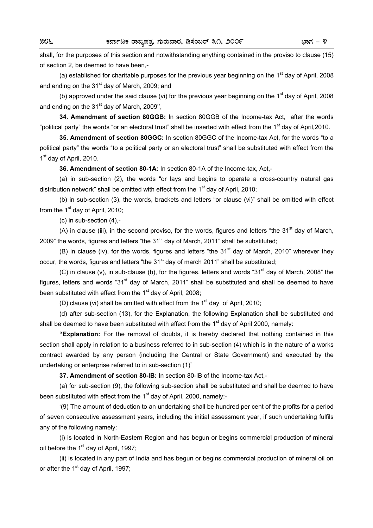shall, for the purposes of this section and notwithstanding anything contained in the proviso to clause (15) of section 2, be deemed to have been,-

(a) established for charitable purposes for the previous year beginning on the 1<sup>st</sup> day of April, 2008 and ending on the  $31<sup>st</sup>$  day of March, 2009; and

(b) approved under the said clause (vi) for the previous year beginning on the 1<sup>st</sup> day of April, 2008 and ending on the  $31<sup>st</sup>$  day of March, 2009",

**34. Amendment of section 80GGB:** In section 80GGB of the Income-tax Act, after the words "political party" the words "or an electoral trust" shall be inserted with effect from the 1<sup>st</sup> day of April,2010.

**35. Amendment of section 80GGC:** In section 80GGC of the Income-tax Act, for the words "to a political party" the words "to a political party or an electoral trust" shall be substituted with effect from the 1<sup>st</sup> day of April, 2010.

**36. Amendment of section 80-1A:** In section 80-1A of the Income-tax, Act,-

 (a) in sub-section (2), the words "or lays and begins to operate a cross-country natural gas distribution network" shall be omitted with effect from the  $1<sup>st</sup>$  day of April, 2010;

 (b) in sub-section (3), the words, brackets and letters "or clause (vi)" shall be omitted with effect from the  $1<sup>st</sup>$  day of April, 2010:

(c) in sub-section (4),-

(A) in clause (iii), in the second proviso, for the words, figures and letters "the  $31<sup>st</sup>$  day of March, 2009" the words, figures and letters "the  $31<sup>st</sup>$  day of March, 2011" shall be substituted;

(B) in clause (iv), for the words, figures and letters "the  $31<sup>st</sup>$  day of March, 2010" wherever they occur, the words, figures and letters "the  $31<sup>st</sup>$  day of march 2011" shall be substituted;

(C) in clause (v), in sub-clause (b), for the figures, letters and words "31<sup>st</sup> day of March, 2008" the figures, letters and words "31<sup>st</sup> day of March, 2011" shall be substituted and shall be deemed to have been substituted with effect from the  $1<sup>st</sup>$  day of April, 2008;

(D) clause (vi) shall be omitted with effect from the  $1<sup>st</sup>$  day of April, 2010;

 (d) after sub-section (13), for the Explanation, the following Explanation shall be substituted and shall be deemed to have been substituted with effect from the  $1<sup>st</sup>$  day of April 2000, namely:

**"Explanation:** For the removal of doubts, it is hereby declared that nothing contained in this section shall apply in relation to a business referred to in sub-section (4) which is in the nature of a works contract awarded by any person (including the Central or State Government) and executed by the undertaking or enterprise referred to in sub-section (1)"

**37. Amendment of section 80-IB:** In section 80-IB of the Income-tax Act,-

 (a) for sub-section (9), the following sub-section shall be substituted and shall be deemed to have been substituted with effect from the 1<sup>st</sup> day of April, 2000, namely:-

 '(9) The amount of deduction to an undertaking shall be hundred per cent of the profits for a period of seven consecutive assessment years, including the initial assessment year, if such undertaking fulfils any of the following namely:

 (i) is located in North-Eastern Region and has begun or begins commercial production of mineral oil before the  $1<sup>st</sup>$  day of April, 1997;

 (ii) is located in any part of India and has begun or begins commercial production of mineral oil on or after the  $1<sup>st</sup>$  day of April, 1997;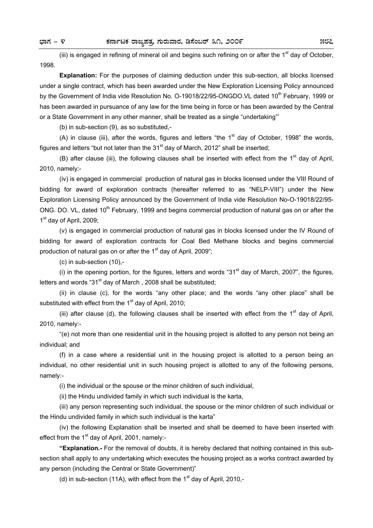(iii) is engaged in refining of mineral oil and begins such refining on or after the  $1<sup>st</sup>$  day of October, 1998.

**Explanation:** For the purposes of claiming deduction under this sub-section, all blocks licensed under a single contract, which has been awarded under the New Exploration Licensing Policy announced by the Government of India vide Resolution No. O-19018/22/95-ONGDO.VL dated 10<sup>th</sup> February, 1999 or has been awarded in pursuance of any law for the time being in force or has been awarded by the Central or a State Government in any other manner, shall be treated as a single "undertaking"'

(b) in sub-section (9), as so substituted,-

(A) in clause (iii), after the words, figures and letters "the  $1<sup>st</sup>$  day of October, 1998" the words, figures and letters "but not later than the  $31<sup>st</sup>$  day of March, 2012" shall be inserted:

(B) after clause (iii), the following clauses shall be inserted with effect from the  $1<sup>st</sup>$  day of April, 2010, namely:-

 (iv) is engaged in commercial production of natural gas in blocks licensed under the VIII Round of bidding for award of exploration contracts (hereafter referred to as "NELP-VIII") under the New Exploration Licensing Policy announced by the Government of India vide Resolution No-O-19018/22/95- ONG. DO. VL, dated 10<sup>th</sup> February, 1999 and begins commercial production of natural gas on or after the 1<sup>st</sup> day of April, 2009;

 (v) is engaged in commercial production of natural gas in blocks licensed under the IV Round of bidding for award of exploration contracts for Coal Bed Methane blocks and begins commercial production of natural gas on or after the  $1<sup>st</sup>$  day of April, 2009";

(c) in sub-section (10),-

(i) in the opening portion, for the figures, letters and words "31 $^{\rm st}$  day of March, 2007", the figures, letters and words "31 $\mathrm{st}$  day of March, 2008 shall be substituted;

 (ii) in clause (c), for the words "any other place; and the words "any other place" shall be substituted with effect from the  $1<sup>st</sup>$  day of April, 2010;

(iii) after clause (d), the following clauses shall be inserted with effect from the  $1<sup>st</sup>$  day of April, 2010, namely:-

 "(e) not more than one residential unit in the housing project is allotted to any person not being an individual; and

 (f) in a case where a residential unit in the housing project is allotted to a person being an individual, no other residential unit in such housing project is allotted to any of the following persons, namely:-

(i) the individual or the spouse or the minor children of such individual,

(ii) the Hindu undivided family in which such individual is the karta,

 (iii) any person representing such individual, the spouse or the minor children of such individual or the Hindu undivided family in which such individual is the karta"

 (iv) the following Explanation shall be inserted and shall be deemed to have been inserted with effect from the  $1<sup>st</sup>$  day of April, 2001, namely:-

**"Explanation.-** For the removal of doubts, it is hereby declared that nothing contained in this subsection shall apply to any undertaking which executes the housing project as a works contract awarded by any person (including the Central or State Government)"

(d) in sub-section (11A), with effect from the  $1<sup>st</sup>$  day of April, 2010,-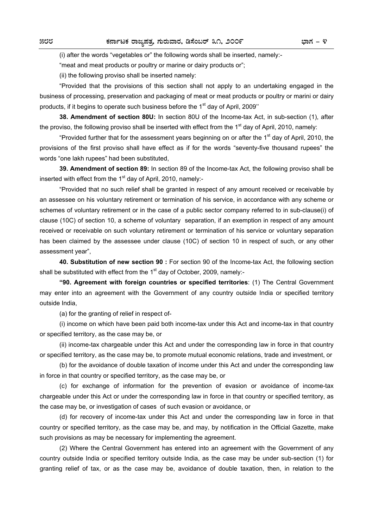(i) after the words "vegetables or" the following words shall be inserted, namely:-

"meat and meat products or poultry or marine or dairy products or";

(ii) the following proviso shall be inserted namely:

 "Provided that the provisions of this section shall not apply to an undertaking engaged in the business of processing, preservation and packaging of meat or meat products or poultry or marini or dairy products, if it begins to operate such business before the  $1<sup>st</sup>$  day of April, 2009"

**38. Amendment of section 80U:** In section 80U of the Income-tax Act, in sub-section (1), after the proviso, the following proviso shall be inserted with effect from the  $1<sup>st</sup>$  day of April, 2010, namely:

"Provided further that for the assessment years beginning on or after the 1<sup>st</sup> day of April, 2010, the provisions of the first proviso shall have effect as if for the words "seventy-five thousand rupees" the words "one lakh rupees" had been substituted,

**39. Amendment of section 89:** In section 89 of the Income-tax Act, the following proviso shall be inserted with effect from the  $1<sup>st</sup>$  day of April, 2010, namely:-

 "Provided that no such relief shall be granted in respect of any amount received or receivable by an assessee on his voluntary retirement or termination of his service, in accordance with any scheme or schemes of voluntary retirement or in the case of a public sector company referred to in sub-clause(i) of clause (10C) of section 10, a scheme of voluntary separation, if an exemption in respect of any amount received or receivable on such voluntary retirement or termination of his service or voluntary separation has been claimed by the assessee under clause (10C) of section 10 in respect of such, or any other assessment year",

**40. Substitution of new section 90 :** For section 90 of the Income-tax Act, the following section shall be substituted with effect from the  $1<sup>st</sup>$  day of October, 2009, namely:-

**"90. Agreement with foreign countries or specified territories**: (1) The Central Government may enter into an agreement with the Government of any country outside India or specified territory outside India,

(a) for the granting of relief in respect of-

 (i) income on which have been paid both income-tax under this Act and income-tax in that country or specified territory, as the case may be, or

 (ii) income-tax chargeable under this Act and under the corresponding law in force in that country or specified territory, as the case may be, to promote mutual economic relations, trade and investment, or

 (b) for the avoidance of double taxation of income under this Act and under the corresponding law in force in that country or specified territory, as the case may be, or

 (c) for exchange of information for the prevention of evasion or avoidance of income-tax chargeable under this Act or under the corresponding law in force in that country or specified territory, as the case may be, or investigation of cases of such evasion or avoidance, or

 (d) for recovery of income-tax under this Act and under the corresponding law in force in that country or specified territory, as the case may be, and may, by notification in the Official Gazette, make such provisions as may be necessary for implementing the agreement.

 (2) Where the Central Government has entered into an agreement with the Government of any country outside India or specified territory outside India, as the case may be under sub-section (1) for granting relief of tax, or as the case may be, avoidance of double taxation, then, in relation to the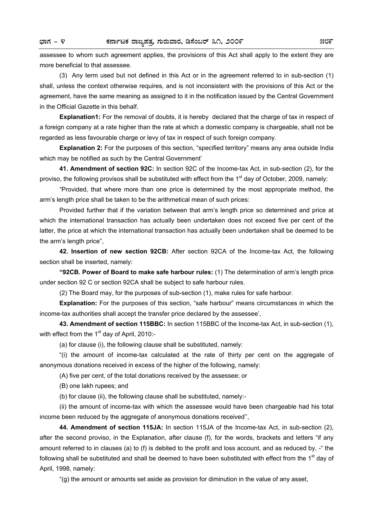assessee to whom such agreement applies, the provisions of this Act shall apply to the extent they are more beneficial to that assessee.

 (3) Any term used but not defined in this Act or in the agreement referred to in sub-section (1) shall, unless the context otherwise requires, and is not inconsistent with the provisions of this Act or the agreement, have the same meaning as assigned to it in the notification issued by the Central Government in the Official Gazette in this behalf.

**Explanation1:** For the removal of doubts, it is hereby declared that the charge of tax in respect of a foreign company at a rate higher than the rate at which a domestic company is chargeable, shall not be regarded as less favourable charge or levy of tax in respect of such foreign company.

**Explanation 2:** For the purposes of this section, "specified territory" means any area outside India which may be notified as such by the Central Government'

**41. Amendment of section 92C:** In section 92C of the Income-tax Act, in sub-section (2), for the proviso, the following provisos shall be substituted with effect from the 1<sup>st</sup> day of October, 2009, namely:

 "Provided, that where more than one price is determined by the most appropriate method, the arm's length price shall be taken to be the arithmetical mean of such prices:

 Provided further that if the variation between that arm's length price so determined and price at which the international transaction has actually been undertaken does not exceed five per cent of the latter, the price at which the international transaction has actually been undertaken shall be deemed to be the arm's length price",

**42. Insertion of new section 92CB:** After section 92CA of the Income-tax Act, the following section shall be inserted, namely:

**"92CB. Power of Board to make safe harbour rules:** (1) The determination of arm's length price under section 92 C or section 92CA shall be subject to safe harbour rules.

(2) The Board may, for the purposes of sub-section (1), make rules for safe harbour.

**Explanation:** For the purposes of this section, "safe harbour" means circumstances in which the income-tax authorities shall accept the transfer price declared by the assessee',

**43. Amendment of section 115BBC:** In section 115BBC of the Income-tax Act, in sub-section (1), with effect from the  $1<sup>st</sup>$  day of April, 2010:-

(a) for clause (i), the following clause shall be substituted, namely:

 "(i) the amount of income-tax calculated at the rate of thirty per cent on the aggregate of anonymous donations received in excess of the higher of the following, namely:

(A) five per cent, of the total donations received by the assessee; or

(B) one lakh rupees; and

(b) for clause (ii), the following clause shall be substituted, namely:-

 (ii) the amount of income-tax with which the assessee would have been chargeable had his total income been reduced by the aggregate of anonymous donations received'',

**44. Amendment of section 115JA:** In section 115JA of the Income-tax Act, in sub-section (2), after the second proviso, in the Explanation, after clause (f), for the words, brackets and letters "if any amount referred to in clauses (a) to (f) is debited to the profit and loss account, and as reduced by, -" the following shall be substituted and shall be deemed to have been substituted with effect from the 1<sup>st</sup> day of April, 1998, namely:

"(g) the amount or amounts set aside as provision for diminution in the value of any asset,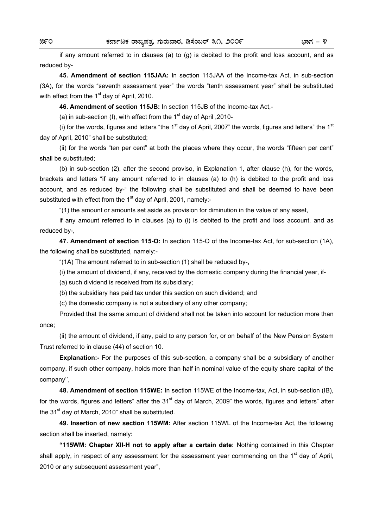if any amount referred to in clauses (a) to (g) is debited to the profit and loss account, and as reduced by-

**45. Amendment of section 115JAA:** In section 115JAA of the Income-tax Act, in sub-section (3A), for the words "seventh assessment year" the words "tenth assessment year" shall be substituted with effect from the  $1<sup>st</sup>$  day of April, 2010.

**46. Amendment of section 115JB:** In section 115JB of the Income-tax Act,-

(a) in sub-section (I), with effect from the  $1<sup>st</sup>$  day of April , 2010-

(i) for the words, figures and letters "the 1<sup>st</sup> day of April, 2007" the words, figures and letters" the 1<sup>st</sup> day of April, 2010" shall be substituted;

 (ii) for the words "ten per cent" at both the places where they occur, the words "fifteen per cent" shall be substituted;

 (b) in sub-section (2), after the second proviso, in Explanation 1, after clause (h), for the words, brackets and letters "if any amount referred to in clauses (a) to (h) is debited to the profit and loss account, and as reduced by-" the following shall be substituted and shall be deemed to have been substituted with effect from the  $1<sup>st</sup>$  day of April, 2001, namely:-

"(1) the amount or amounts set aside as provision for diminution in the value of any asset,

 if any amount referred to in clauses (a) to (i) is debited to the profit and loss account, and as reduced by-,

**47. Amendment of section 115-O:** In section 115-O of the Income-tax Act, for sub-section (1A), the following shall be substituted, namely:-

"(1A) The amount referred to in sub-section (1) shall be reduced by-,

(i) the amount of dividend, if any, received by the domestic company during the financial year, if-

(a) such dividend is received from its subsidiary;

(b) the subsidiary has paid tax under this section on such dividend; and

(c) the domestic company is not a subsidiary of any other company;

 Provided that the same amount of dividend shall not be taken into account for reduction more than once;

 (ii) the amount of dividend, if any, paid to any person for, or on behalf of the New Pension System Trust referred to in clause (44) of section 10.

**Explanation:-** For the purposes of this sub-section, a company shall be a subsidiary of another company, if such other company, holds more than half in nominal value of the equity share capital of the company'',

**48. Amendment of section 115WE:** In section 115WE of the Income-tax, Act, in sub-section (IB), for the words, figures and letters" after the  $31<sup>st</sup>$  day of March, 2009" the words, figures and letters" after the  $31<sup>st</sup>$  day of March, 2010" shall be substituted.

**49. Insertion of new section 115WM:** After section 115WL of the Income-tax Act, the following section shall be inserted, namely:

**"115WM: Chapter XII-H not to apply after a certain date:** Nothing contained in this Chapter shall apply, in respect of any assessment for the assessment year commencing on the 1<sup>st</sup> day of April. 2010 or any subsequent assessment year",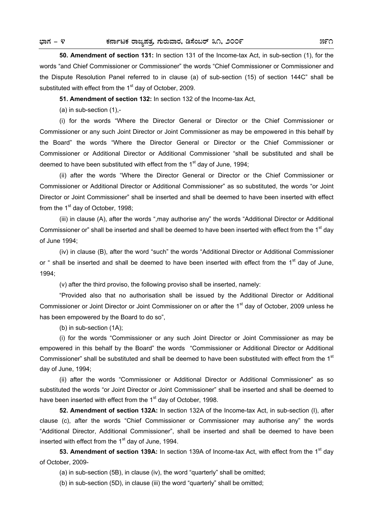**50. Amendment of section 131:** In section 131 of the Income-tax Act, in sub-section (1), for the words "and Chief Commissioner or Commissioner" the words "Chief Commissioner or Commissioner and the Dispute Resolution Panel referred to in clause (a) of sub-section (15) of section 144C" shall be substituted with effect from the 1<sup>st</sup> day of October, 2009.

**51. Amendment of section 132:** In section 132 of the Income-tax Act,

(a) in sub-section (1),-

 (i) for the words "Where the Director General or Director or the Chief Commissioner or Commissioner or any such Joint Director or Joint Commissioner as may be empowered in this behalf by the Board" the words "Where the Director General or Director or the Chief Commissioner or Commissioner or Additional Director or Additional Commissioner "shall be substituted and shall be deemed to have been substituted with effect from the 1<sup>st</sup> day of June, 1994;

 (ii) after the words "Where the Director General or Director or the Chief Commissioner or Commissioner or Additional Director or Additional Commissioner" as so substituted, the words "or Joint Director or Joint Commissioner" shall be inserted and shall be deemed to have been inserted with effect from the  $1<sup>st</sup>$  day of October, 1998;

 (iii) in clause (A), after the words ",may authorise any" the words "Additional Director or Additional Commissioner or" shall be inserted and shall be deemed to have been inserted with effect from the 1<sup>st</sup> day of June 1994;

 (iv) in clause (B), after the word "such" the words "Additional Director or Additional Commissioner or " shall be inserted and shall be deemed to have been inserted with effect from the  $1<sup>st</sup>$  day of June, 1994;

(v) after the third proviso, the following proviso shall be inserted, namely:

 "Provided also that no authorisation shall be issued by the Additional Director or Additional Commissioner or Joint Director or Joint Commissioner on or after the 1<sup>st</sup> day of October, 2009 unless he has been empowered by the Board to do so",

(b) in sub-section (1A);

 (i) for the words "Commissioner or any such Joint Director or Joint Commissioner as may be empowered in this behalf by the Board" the words "Commissioner or Additional Director or Additional Commissioner" shall be substituted and shall be deemed to have been substituted with effect from the  $1<sup>st</sup>$ day of June, 1994;

 (ii) after the words "Commissioner or Additional Director or Additional Commissioner" as so substituted the words "or Joint Director or Joint Commissioner" shall be inserted and shall be deemed to have been inserted with effect from the 1<sup>st</sup> day of October, 1998.

**52. Amendment of section 132A:** In section 132A of the Income-tax Act, in sub-section (I), after clause (c), after the words "Chief Commissioner or Commissioner may authorise any" the words "Additional Director, Additional Commissioner", shall be inserted and shall be deemed to have been inserted with effect from the  $1<sup>st</sup>$  day of June, 1994.

53. Amendment of section 139A: In section 139A of Income-tax Act, with effect from the 1<sup>st</sup> day of October, 2009-

(a) in sub-section (5B), in clause (iv), the word "quarterly" shall be omitted;

(b) in sub-section (5D), in clause (iii) the word "quarterly" shall be omitted;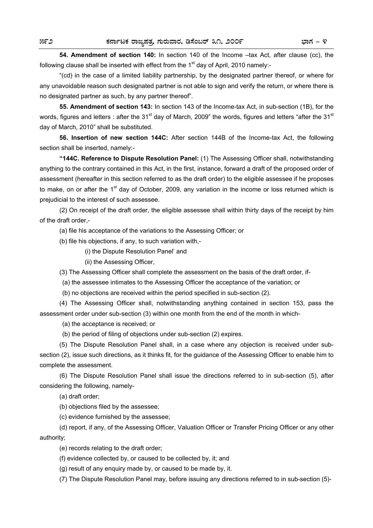**54. Amendment of section 140:** In section 140 of the Income –tax Act, after clause (cc), the following clause shall be inserted with effect from the  $1<sup>st</sup>$  day of April, 2010 namely:-

 "(cd) in the case of a limited liability partnership, by the designated partner thereof, or where for any unavoidable reason such designated partner is not able to sign and verify the return, or where there is no designated partner as such, by any partner thereof".

**55. Amendment of section 143:** In section 143 of the Income-tax Act, in sub-section (1B), for the words, figures and letters : after the 31<sup>st</sup> day of March, 2009" the words, figures and letters "after the 31<sup>st</sup> day of March, 2010" shall be substituted.

**56. Insertion of new section 144C:** After section 144B of the Income-tax Act, the following section shall be inserted, namely:-

**"144C. Reference to Dispute Resolution Panel:** (1) The Assessing Officer shall, notwithstanding anything to the contrary contained in this Act, in the first, instance, forward a draft of the proposed order of assessment (hereafter in this section referred to as the draft order) to the eligible assessee if he proposes to make, on or after the 1<sup>st</sup> day of October, 2009, any variation in the income or loss returned which is prejudicial to the interest of such assessee.

 (2) On receipt of the draft order, the eligible assessee shall within thirty days of the receipt by him of the draft order,-

(a) file his acceptance of the variations to the Assessing Officer; or

(b) file his objections, if any, to such variation with,-

(i) the Dispute Resolution Panel' and

(ii) the Assessing Officer,

(3) The Assessing Officer shall complete the assessment on the basis of the draft order, if-

(a) the assessee intimates to the Assessing Officer the acceptance of the variation; or

(b) no objections are received within the period specified in sub-section (2).

 (4) The Assessing Officer shall, notwithstanding anything contained in section 153, pass the assessment order under sub-section (3) within one month from the end of the month in which-

(a) the acceptance is received; or

(b) the period of filing of objections under sub-section (2) expires.

 (5) The Dispute Resolution Panel shall, in a case where any objection is received under subsection (2), issue such directions, as it thinks fit, for the guidance of the Assessing Officer to enable him to complete the assessment.

 (6) The Dispute Resolution Panel shall issue the directions referred to in sub-section (5), after considering the following, namely-

(a) draft order;

(b) objections filed by the assessee;

(c) evidence furnished by the assessee;

 (d) report, if any, of the Assessing Officer, Valuation Officer or Transfer Pricing Officer or any other authority;

(e) records relating to the draft order;

(f) evidence collected by, or caused to be collected by, it; and

(g) result of any enquiry made by, or caused to be made by, it.

(7) The Dispute Resolution Panel may, before issuing any directions referred to in sub-section (5)-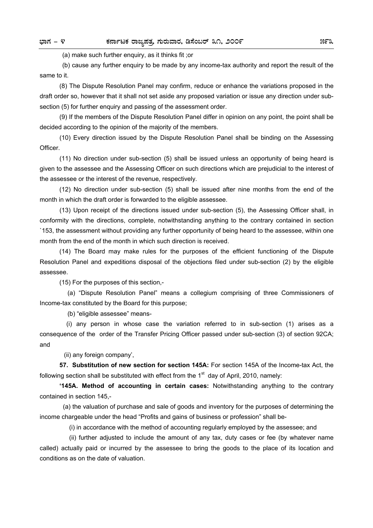(a) make such further enquiry, as it thinks fit ;or

 (b) cause any further enquiry to be made by any income-tax authority and report the result of the same to it.

 (8) The Dispute Resolution Panel may confirm, reduce or enhance the variations proposed in the draft order so, however that it shall not set aside any proposed variation or issue any direction under subsection (5) for further enquiry and passing of the assessment order.

 (9) If the members of the Dispute Resolution Panel differ in opinion on any point, the point shall be decided according to the opinion of the majority of the members.

 (10) Every direction issued by the Dispute Resolution Panel shall be binding on the Assessing Officer.

 (11) No direction under sub-section (5) shall be issued unless an opportunity of being heard is given to the assessee and the Assessing Officer on such directions which are prejudicial to the interest of the assessee or the interest of the revenue, respectively.

 (12) No direction under sub-section (5) shall be issued after nine months from the end of the month in which the draft order is forwarded to the eligible assessee.

 (13) Upon receipt of the directions issued under sub-section (5), the Assessing Officer shall, in conformity with the directions, complete, notwithstanding anything to the contrary contained in section `153, the assessment without providing any further opportunity of being heard to the assessee, within one month from the end of the month in which such direction is received.

 (14) The Board may make rules for the purposes of the efficient functioning of the Dispute Resolution Panel and expeditions disposal of the objections filed under sub-section (2) by the eligible assessee.

(15) For the purposes of this section,-

 (a) "Dispute Resolution Panel" means a collegium comprising of three Commissioners of Income-tax constituted by the Board for this purpose;

(b) "eligible assessee" means-

 (i) any person in whose case the variation referred to in sub-section (1) arises as a consequence of the order of the Transfer Pricing Officer passed under sub-section (3) of section 92CA; and

(ii) any foreign company',

**57. Substitution of new section for section 145A:** For section 145A of the Income-tax Act, the following section shall be substituted with effect from the  $1<sup>st</sup>$  day of April, 2010, namely:

**'145A. Method of accounting in certain cases:** Notwithstanding anything to the contrary contained in section 145,-

 (a) the valuation of purchase and sale of goods and inventory for the purposes of determining the income chargeable under the head "Profits and gains of business or profession" shall be-

(i) in accordance with the method of accounting regularly employed by the assessee; and

 (ii) further adjusted to include the amount of any tax, duty cases or fee (by whatever name called) actually paid or incurred by the assessee to bring the goods to the place of its location and conditions as on the date of valuation.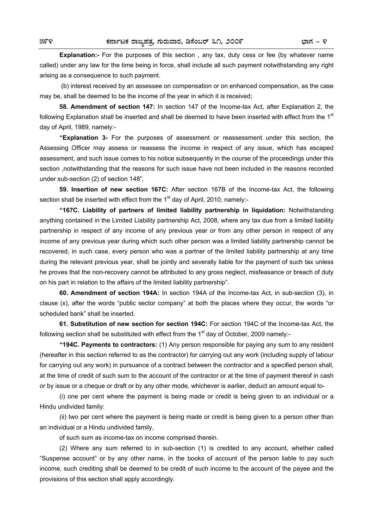**Explanation:-** For the purposes of this section , any tax, duty cess or fee (by whatever name called) under any law for the time being in force, shall include all such payment notwithstanding any right arising as a consequence to such payment.

 (b) interest received by an assessee on compensation or on enhanced compensation, as the case may be, shall be deemed to be the income of the year in which it is received;

**58. Amendment of section 147:** In section 147 of the Income-tax Act, after Explanation 2, the following Explanation shall be inserted and shall be deemed to have been inserted with effect from the  $1<sup>st</sup>$ day of April, 1989, namely:-

**"Explanation 3-** For the purposes of assessment or reassessment under this section, the Assessing Officer may assess or reassess the income in respect of any issue, which has escaped assessment, and such issue comes to his notice subsequently in the course of the proceedings under this section ,notwithstanding that the reasons for such issue have not been included in the reasons recorded under sub-section (2) of section 148",

**59. Insertion of new section 167C:** After section 167B of the Income-tax Act, the following section shall be inserted with effect from the  $1<sup>st</sup>$  day of April, 2010, namely:-

**"167C. Liability of partners of limited liability partnership in liquidation:** Notwithstanding anything contained in the Limited Liability partnership Act, 2008, where any tax due from a limited liability partnership in respect of any income of any previous year or from any other person in respect of any income of any previous year during which such other person was a limited liability partnership cannot be recovered, in such case, every person who was a partner of the limited liability partnership at any time during the relevant previous year, shall be jointly and severally liable for the payment of such tax unless he proves that the non-recovery cannot be attributed to any gross neglect, misfeasance or breach of duty on his part in relation to the affairs of the limited liability partnership".

**60. Amendment of section 194A:** In section 194A of the Income-tax Act, in sub-section (3), in clause (x), after the words "public sector company" at both the places where they occur, the words "or scheduled bank" shall be inserted.

**61. Substitution of new section for section 194C:** For section 194C of the Income-tax Act, the following section shall be substituted with effect from the  $1<sup>st</sup>$  day of October, 2009 namely:-

**"194C. Payments to contractors:** (1) Any person responsible for paying any sum to any resident (hereafter in this section referred to as the contractor) for carrying out any work (including supply of labour for carrying out any work) in pursuance of a contract between the contractor and a specified person shall, at the time of credit of such sum to the account of the contractor or at the time of payment thereof in cash or by issue or a cheque or draft or by any other mode, whichever is earlier, deduct an amount equal to-

 (i) one per cent where the payment is being made or credit is being given to an individual or a Hindu undivided family:

 (ii) two per cent where the payment is being made or credit is being given to a person other than an individual or a Hindu undivided family,

of such sum as income-tax on income comprised therein.

 (2) Where any sum referred to in sub-section (1) is credited to any account, whether called "Suspense account" or by any other name, in the books of account of the person liable to pay such income, such crediting shall be deemed to be credit of such income to the account of the payee and the provisions of this section shall apply accordingly.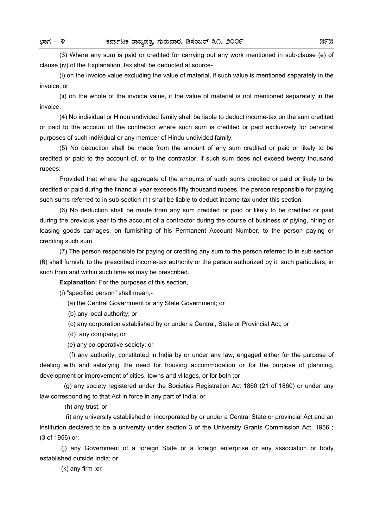(3) Where any sum is paid or credited for carrying out any work mentioned in sub-clause (e) of clause (iv) of the Explanation, tax shall be deducted at source-

 (i) on the invoice value excluding the value of material, if such value is mentioned separately in the invoice; or

 (ii) on the whole of the invoice value, if the value of material is not mentioned separately in the invoice.

 (4) No individual or Hindu undivided family shall be liable to deduct income-tax on the sum credited or paid to the account of the contractor where such sum is credited or paid exclusively for personal purposes of such individual or any member of Hindu undivided family;

 (5) No deduction shall be made from the amount of any sum credited or paid or likely to be credited or paid to the account of, or to the contractor, if such sum does not exceed twenty thousand rupees:

 Provided that where the aggregate of the amounts of such sums credited or paid or likely to be credited or paid during the financial year exceeds fifty thousand rupees, the person responsible for paying such sums referred to in sub-section (1) shall be liable to deduct income-tax under this section.

 (6) No deduction shall be made from any sum credited or paid or likely to be credited or paid during the previous year to the account of a contractor during the course of business of plying, hiring or leasing goods carriages, on furnishing of his Permanent Account Number, to the person paying or crediting such sum.

 (7) The person responsible for paying or crediting any sum to the person referred to in sub-section (6) shall furnish, to the prescribed income-tax authority or the person authorized by it, such particulars, in such from and within such time as may be prescribed.

**Explanation:** For the purposes of this section,

(i) "specified person" shall mean,-

(a) the Central Government or any State Government; or

(b) any local authority; or

(c) any corporation established by or under a Central, State or Provincial Act; or

- (d) any company; or
- (e) any co-operative society; or

 (f) any authority, constituted in India by or under any law, engaged either for the purpose of dealing with and satisfying the need for housing accommodation or for the purpose of planning, development or improvement of cities, towns and villages, or for both ;or

 (g) any society registered under the Societies Registration Act 1860 (21 of 1860) or under any law corresponding to that Act in force in any part of India; or

(h) any trust; or

 (i) any university established or incorporated by or under a Central State or provincial Act and an institution declared to be a university under section 3 of the University Grants Commission Act, 1956 ; (3 of 1956) or;

 (j) any Government of a foreign State or a foreign enterprise or any association or body established outside India; or

(k) any firm ;or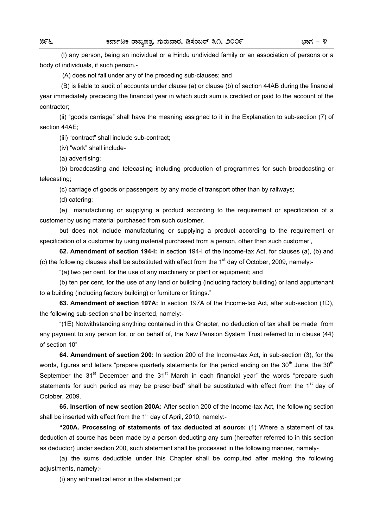(l) any person, being an individual or a Hindu undivided family or an association of persons or a body of individuals, if such person,-

(A) does not fall under any of the preceding sub-clauses; and

 (B) is liable to audit of accounts under clause (a) or clause (b) of section 44AB during the financial year immediately preceding the financial year in which such sum is credited or paid to the account of the contractor;

 (ii) "goods carriage" shall have the meaning assigned to it in the Explanation to sub-section (7) of section 44AE;

(iii) "contract" shall include sub-contract;

(iv) "work" shall include-

(a) advertising;

 (b) broadcasting and telecasting including production of programmes for such broadcasting or telecasting;

(c) carriage of goods or passengers by any mode of transport other than by railways;

(d) catering;

 (e) manufacturing or supplying a product according to the requirement or specification of a customer by using material purchased from such customer.

 but does not include manufacturing or supplying a product according to the requirement or specification of a customer by using material purchased from a person, other than such customer',

**62. Amendment of section 194-I:** In section 194-I of the Income-tax Act, for clauses (a), (b) and (c) the following clauses shall be substituted with effect from the 1<sup>st</sup> day of October, 2009, namely:-

"(a) two per cent, for the use of any machinery or plant or equipment; and

 (b) ten per cent, for the use of any land or building (including factory building) or land appurtenant to a building (including factory building) or furniture or fittings."

**63. Amendment of section 197A:** In section 197A of the Income-tax Act, after sub-section (1D), the following sub-section shall be inserted, namely:-

 "(1E) Notwithstanding anything contained in this Chapter, no deduction of tax shall be made from any payment to any person for, or on behalf of, the New Pension System Trust referred to in clause (44) of section 10"

**64. Amendment of section 200:** In section 200 of the Income-tax Act, in sub-section (3), for the words, figures and letters "prepare quarterly statements for the period ending on the 30<sup>th</sup> June, the 30<sup>th</sup> September the 31<sup>st</sup> December and the 31<sup>st</sup> March in each financial year" the words "prepare such statements for such period as may be prescribed" shall be substituted with effect from the 1<sup>st</sup> day of October, 2009.

**65. Insertion of new section 200A:** After section 200 of the Income-tax Act, the following section shall be inserted with effect from the  $1<sup>st</sup>$  day of April, 2010, namely:-

**"200A. Processing of statements of tax deducted at source:** (1) Where a statement of tax deduction at source has been made by a person deducting any sum (hereafter referred to in this section as deductor) under section 200, such statement shall be processed in the following manner, namely-

 (a) the sums deductible under this Chapter shall be computed after making the following adjustments, namely:-

(i) any arithmetical error in the statement ;or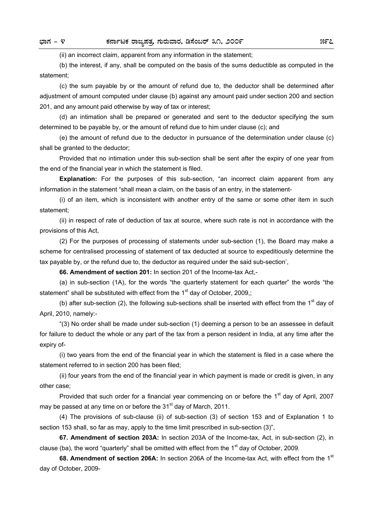(ii) an incorrect claim, apparent from any information in the statement;

 (b) the interest, if any, shall be computed on the basis of the sums deductible as computed in the statement;

 (c) the sum payable by or the amount of refund due to, the deductor shall be determined after adjustment of amount computed under clause (b) against any amount paid under section 200 and section 201, and any amount paid otherwise by way of tax or interest;

 (d) an intimation shall be prepared or generated and sent to the deductor specifying the sum determined to be payable by, or the amount of refund due to him under clause (c); and

 (e) the amount of refund due to the deductor in pursuance of the determination under clause (c) shall be granted to the deductor:

 Provided that no intimation under this sub-section shall be sent after the expiry of one year from the end of the financial year in which the statement is filed.

**Explanation:** For the purposes of this sub-section, "an incorrect claim apparent from any information in the statement "shall mean a claim, on the basis of an entry, in the statement-

 (i) of an item, which is inconsistent with another entry of the same or some other item in such statement;

 (ii) in respect of rate of deduction of tax at source, where such rate is not in accordance with the provisions of this Act,

 (2) For the purposes of processing of statements under sub-section (1), the Board may make a scheme for centralised processing of statement of tax deducted at source to expeditiously determine the tax payable by, or the refund due to, the deductor as required under the said sub-section',

**66. Amendment of section 201:** In section 201 of the Income-tax Act,-

 (a) in sub-section (1A), for the words "the quarterly statement for each quarter" the words "the statement" shall be substituted with effect from the  $1<sup>st</sup>$  day of October, 2009,;

(b) after sub-section (2), the following sub-sections shall be inserted with effect from the  $1<sup>st</sup>$  day of April, 2010, namely:-

 "(3) No order shall be made under sub-section (1) deeming a person to be an assessee in default for failure to deduct the whole or any part of the tax from a person resident in India, at any time after the expiry of-

 (i) two years from the end of the financial year in which the statement is filed in a case where the statement referred to in section 200 has been filed;

 (ii) four years from the end of the financial year in which payment is made or credit is given, in any other case;

Provided that such order for a financial year commencing on or before the  $1<sup>st</sup>$  day of April, 2007 may be passed at any time on or before the 31<sup>st</sup> day of March, 2011.

 (4) The provisions of sub-clause (ii) of sub-section (3) of section 153 and of Explanation 1 to section 153 shall, so far as may, apply to the time limit prescribed in sub-section (3)",

**67. Amendment of section 203A:** In section 203A of the Income-tax, Act, in sub-section (2), in clause (ba), the word "quarterly" shall be omitted with effect from the  $1<sup>st</sup>$  day of October, 2009.

**68. Amendment of section 206A:** In section 206A of the Income-tax Act, with effect from the 1<sup>st</sup> day of October, 2009-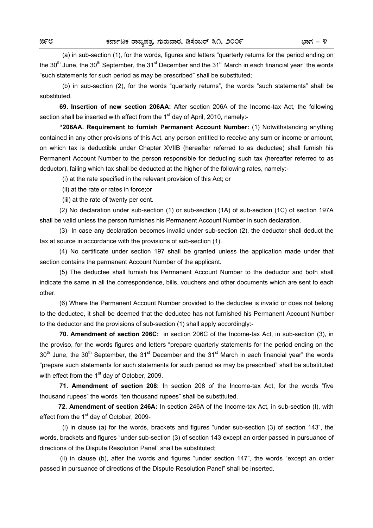(a) in sub-section (1), for the words, figures and letters "quarterly returns for the period ending on the 30<sup>th</sup> June, the 30<sup>th</sup> September, the 31<sup>st</sup> December and the 31<sup>st</sup> March in each financial year" the words "such statements for such period as may be prescribed" shall be substituted;

 (b) in sub-section (2), for the words "quarterly returns", the words "such statements" shall be substituted.

**69. Insertion of new section 206AA:** After section 206A of the Income-tax Act, the following section shall be inserted with effect from the 1<sup>st</sup> day of April, 2010, namely:-

**"206AA. Requirement to furnish Permanent Account Number:** (1) Notwithstanding anything contained in any other provisions of this Act, any person entitled to receive any sum or income or amount, on which tax is deductible under Chapter XVIIB (hereafter referred to as deductee) shall furnish his Permanent Account Number to the person responsible for deducting such tax (hereafter referred to as deductor), failing which tax shall be deducted at the higher of the following rates, namely:-

(i) at the rate specified in the relevant provision of this Act; or

(ii) at the rate or rates in force;or

(iii) at the rate of twenty per cent.

 (2) No declaration under sub-section (1) or sub-section (1A) of sub-section (1C) of section 197A shall be valid unless the person furnishes his Permanent Account Number in such declaration.

 (3) In case any declaration becomes invalid under sub-section (2), the deductor shall deduct the tax at source in accordance with the provisions of sub-section (1).

 (4) No certificate under section 197 shall be granted unless the application made under that section contains the permanent Account Number of the applicant.

 (5) The deductee shall furnish his Permanent Account Number to the deductor and both shall indicate the same in all the correspondence, bills, vouchers and other documents which are sent to each other.

 (6) Where the Permanent Account Number provided to the deductee is invalid or does not belong to the deductee, it shall be deemed that the deductee has not furnished his Permanent Account Number to the deductor and the provisions of sub-section (1) shall apply accordingly:-

**70. Amendment of section 206C:** in section 206C of the Income-tax Act, in sub-section (3), in the proviso, for the words figures and letters "prepare quarterly statements for the period ending on the  $30<sup>th</sup>$  June, the  $30<sup>th</sup>$  September, the  $31<sup>st</sup>$  December and the  $31<sup>st</sup>$  March in each financial year" the words "prepare such statements for such statements for such period as may be prescribed" shall be substituted with effect from the  $1<sup>st</sup>$  day of October, 2009.

**71. Amendment of section 208:** In section 208 of the Income-tax Act, for the words "five thousand rupees" the words "ten thousand rupees" shall be substituted.

 **72. Amendment of section 246A:** In section 246A of the Income-tax Act, in sub-section (I), with effect from the 1<sup>st</sup> day of October, 2009-

 (i) in clause (a) for the words, brackets and figures "under sub-section (3) of section 143", the words, brackets and figures "under sub-section (3) of section 143 except an order passed in pursuance of directions of the Dispute Resolution Panel" shall be substituted;

 (ii) in clause (b), after the words and figures "under section 147", the words "except an order passed in pursuance of directions of the Dispute Resolution Panel" shall be inserted.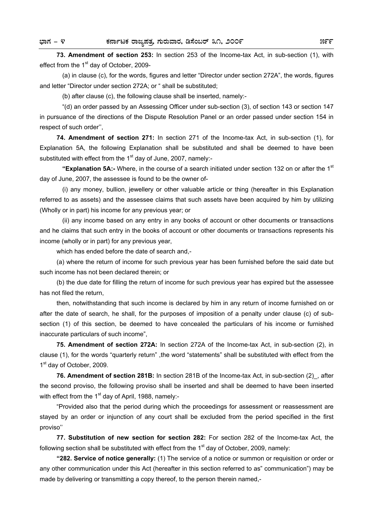**73. Amendment of section 253:** In section 253 of the Income-tax Act, in sub-section (1), with effect from the 1<sup>st</sup> day of October, 2009-

 (a) in clause (c), for the words, figures and letter "Director under section 272A", the words, figures and letter "Director under section 272A; or " shall be substituted;

(b) after clause (c), the following clause shall be inserted, namely:-

 "(d) an order passed by an Assessing Officer under sub-section (3), of section 143 or section 147 in pursuance of the directions of the Dispute Resolution Panel or an order passed under section 154 in respect of such order'',

**74. Amendment of section 271:** In section 271 of the Income-tax Act, in sub-section (1), for Explanation 5A, the following Explanation shall be substituted and shall be deemed to have been substituted with effect from the  $1<sup>st</sup>$  day of June, 2007, namely:-

 **"Explanation 5A:-** Where, in the course of a search initiated under section 132 on or after the 1st day of June, 2007, the assessee is found to be the owner of-

 (i) any money, bullion, jewellery or other valuable article or thing (hereafter in this Explanation referred to as assets) and the assessee claims that such assets have been acquired by him by utilizing (Wholly or in part) his income for any previous year; or

 (ii) any income based on any entry in any books of account or other documents or transactions and he claims that such entry in the books of account or other documents or transactions represents his income (wholly or in part) for any previous year,

which has ended before the date of search and,-

 (a) where the return of income for such previous year has been furnished before the said date but such income has not been declared therein; or

 (b) the due date for filling the return of income for such previous year has expired but the assessee has not filed the return,

 then, notwithstanding that such income is declared by him in any return of income furnished on or after the date of search, he shall, for the purposes of imposition of a penalty under clause (c) of subsection (1) of this section, be deemed to have concealed the particulars of his income or furnished inaccurate particulars of such income",

**75. Amendment of section 272A:** In section 272A of the Income-tax Act, in sub-section (2), in clause (1), for the words "quarterly return" ,the word "statements" shall be substituted with effect from the 1<sup>st</sup> day of October, 2009.

**76. Amendment of section 281B:** In section 281B of the Income-tax Act, in sub-section (2)\_, after the second proviso, the following proviso shall be inserted and shall be deemed to have been inserted with effect from the  $1<sup>st</sup>$  day of April, 1988, namely:-

 "Provided also that the period during which the proceedings for assessment or reassessment are stayed by an order or injunction of any court shall be excluded from the period specified in the first proviso''

**77. Substitution of new section for section 282:** For section 282 of the Income-tax Act, the following section shall be substituted with effect from the  $1<sup>st</sup>$  day of October, 2009, namely:

**"282. Service of notice generally:** (1) The service of a notice or summon or requisition or order or any other communication under this Act (hereafter in this section referred to as" communication") may be made by delivering or transmitting a copy thereof, to the person therein named,-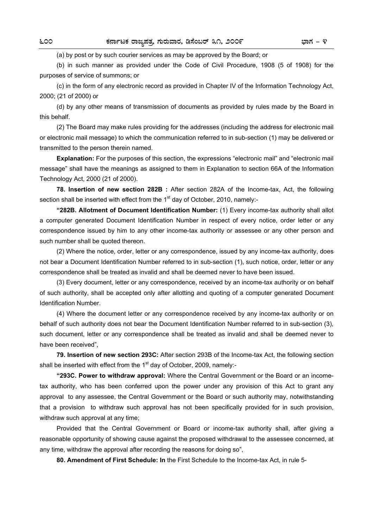(a) by post or by such courier services as may be approved by the Board; or

 (b) in such manner as provided under the Code of Civil Procedure, 1908 (5 of 1908) for the purposes of service of summons; or

 (c) in the form of any electronic record as provided in Chapter IV of the Information Technology Act, 2000; (21 of 2000) or

 (d) by any other means of transmission of documents as provided by rules made by the Board in this behalf.

 (2) The Board may make rules providing for the addresses (including the address for electronic mail or electronic mail message) to which the communication referred to in sub-section (1) may be delivered or transmitted to the person therein named.

**Explanation:** For the purposes of this section, the expressions "electronic mail" and "electronic mail message" shall have the meanings as assigned to them in Explanation to section 66A of the Information Technology Act, 2000 (21 of 2000).

**78. Insertion of new section 282B :** After section 282A of the Income-tax, Act, the following section shall be inserted with effect from the  $1<sup>st</sup>$  day of October, 2010, namely:-

**"282B. Allotment of Document Identification Number:** (1) Every income-tax authority shall allot a computer generated Document Identification Number in respect of every notice, order letter or any correspondence issued by him to any other income-tax authority or assessee or any other person and such number shall be quoted thereon.

 (2) Where the notice, order, letter or any correspondence, issued by any income-tax authority, does not bear a Document Identification Number referred to in sub-section (1), such notice, order, letter or any correspondence shall be treated as invalid and shall be deemed never to have been issued.

 (3) Every document, letter or any correspondence, received by an income-tax authority or on behalf of such authority, shall be accepted only after allotting and quoting of a computer generated Document Identification Number.

 (4) Where the document letter or any correspondence received by any income-tax authority or on behalf of such authority does not bear the Document Identification Number referred to in sub-section (3), such document, letter or any correspondence shall be treated as invalid and shall be deemed never to have been received",

**79. Insertion of new section 293C:** After section 293B of the Income-tax Act, the following section shall be inserted with effect from the 1<sup>st</sup> day of October, 2009, namely:-

**"293C. Power to withdraw approval:** Where the Central Government or the Board or an incometax authority, who has been conferred upon the power under any provision of this Act to grant any approval to any assessee, the Central Government or the Board or such authority may, notwithstanding that a provision to withdraw such approval has not been specifically provided for in such provision, withdraw such approval at any time;

 Provided that the Central Government or Board or income-tax authority shall, after giving a reasonable opportunity of showing cause against the proposed withdrawal to the assessee concerned, at any time, withdraw the approval after recording the reasons for doing so",

**80. Amendment of First Schedule: In** the First Schedule to the Income-tax Act, in rule 5-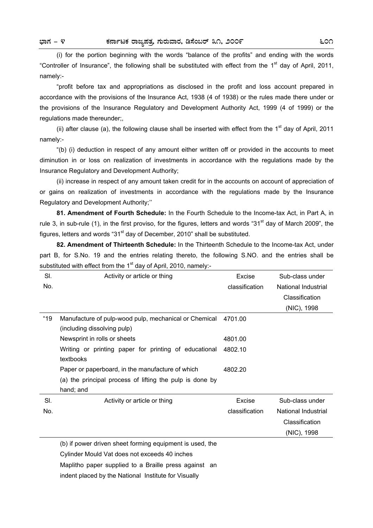(i) for the portion beginning with the words "balance of the profits" and ending with the words "Controller of Insurance", the following shall be substituted with effect from the  $1<sup>st</sup>$  day of April, 2011, namely:-

 "profit before tax and appropriations as disclosed in the profit and loss account prepared in accordance with the provisions of the Insurance Act, 1938 (4 of 1938) or the rules made there under or the provisions of the Insurance Regulatory and Development Authority Act, 1999 (4 of 1999) or the regulations made thereunder;,

(ii) after clause (a), the following clause shall be inserted with effect from the  $1<sup>st</sup>$  day of April, 2011 namely:-

 "(b) (i) deduction in respect of any amount either written off or provided in the accounts to meet diminution in or loss on realization of investments in accordance with the regulations made by the Insurance Regulatory and Development Authority;

 (ii) increase in respect of any amount taken credit for in the accounts on account of appreciation of or gains on realization of investments in accordance with the regulations made by the Insurance Regulatory and Development Authority;''

**81. Amendment of Fourth Schedule:** In the Fourth Schedule to the Income-tax Act, in Part A, in rule 3, in sub-rule (1), in the first proviso, for the figures, letters and words "31<sup>st</sup> day of March 2009", the figures, letters and words " $31<sup>st</sup>$  day of December, 2010" shall be substituted.

**82. Amendment of Thirteenth Schedule:** In the Thirteenth Schedule to the Income-tax Act, under part B, for S.No. 19 and the entries relating thereto, the following S.NO. and the entries shall be substituted with effect from the  $1<sup>st</sup>$  day of April, 2010, namely:-

| SI.  | Activity or article or thing                                                         | Excise         | Sub-class under     |
|------|--------------------------------------------------------------------------------------|----------------|---------------------|
| No.  |                                                                                      | classification | National Industrial |
|      |                                                                                      |                | Classification      |
|      |                                                                                      |                | (NIC), 1998         |
| "19" | Manufacture of pulp-wood pulp, mechanical or Chemical<br>(including dissolving pulp) | 4701.00        |                     |
|      | Newsprint in rolls or sheets                                                         | 4801.00        |                     |
|      | Writing or printing paper for printing of educational<br>textbooks                   | 4802.10        |                     |
|      | Paper or paperboard, in the manufacture of which                                     | 4802.20        |                     |
|      | (a) the principal process of lifting the pulp is done by                             |                |                     |
|      | hand; and                                                                            |                |                     |
| SI.  | Activity or article or thing                                                         | Excise         | Sub-class under     |
| No.  |                                                                                      | classification | National Industrial |
|      |                                                                                      |                | Classification      |
|      |                                                                                      |                | (NIC), 1998         |
|      | (b) if power driven sheet forming equipment is used, the                             |                |                     |
|      | Cylinder Mould Vat does not exceeds 40 inches                                        |                |                     |

Maplitho paper supplied to a Braille press against an

indent placed by the National Institute for Visually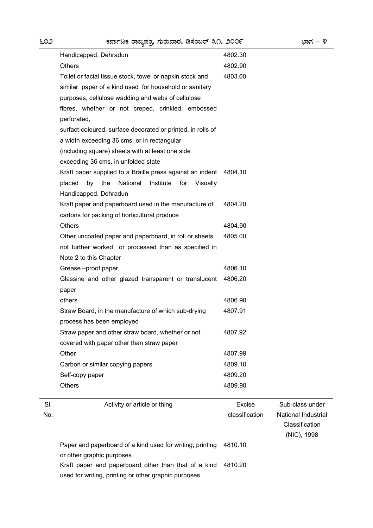Sl. No.

| Handicapped, Dehradun                                           | 4802.30        |                     |
|-----------------------------------------------------------------|----------------|---------------------|
| <b>Others</b>                                                   | 4802.90        |                     |
| Toilet or facial tissue stock, towel or napkin stock and        | 4803.00        |                     |
| similar paper of a kind used for household or sanitary          |                |                     |
| purposes, cellulose wadding and webs of cellulose               |                |                     |
| fibres, whether or not creped, crinkled, embossed               |                |                     |
| perforated,                                                     |                |                     |
| surfact-coloured, surface decorated or printed, in rolls of     |                |                     |
| a width exceeding 36 cms. or in rectangular                     |                |                     |
| (including square) sheets with at least one side                |                |                     |
| exceeding 36 cms. in unfolded state                             |                |                     |
| Kraft paper supplied to a Braille press against an indent       | 4804.10        |                     |
| the<br>National<br>Institute<br>placed<br>by<br>for<br>Visually |                |                     |
| Handicapped, Dehradun                                           |                |                     |
| Kraft paper and paperboard used in the manufacture of           | 4804.20        |                     |
| cartons for packing of horticultural produce                    |                |                     |
| <b>Others</b>                                                   | 4804.90        |                     |
| Other uncoated paper and paperboard, in roll or sheets          | 4805.00        |                     |
| not further worked or processed than as specified in            |                |                     |
| Note 2 to this Chapter                                          |                |                     |
| Grease-proof paper                                              | 4806.10        |                     |
| Glassine and other glazed transparent or translucent            | 4806.20        |                     |
| paper                                                           |                |                     |
| others                                                          | 4806.90        |                     |
| Straw Board, in the manufacture of which sub-drying             | 4807.91        |                     |
| process has been employed                                       |                |                     |
| Straw paper and other straw board, whether or not               | 4807.92        |                     |
| covered with paper other than straw paper                       |                |                     |
| Other                                                           | 4807.99        |                     |
| Carbon or similar copying papers                                | 4809.10        |                     |
| Self-copy paper                                                 | 4809.20        |                     |
| <b>Others</b>                                                   | 4809.90        |                     |
| Activity or article or thing                                    | Excise         | Sub-class under     |
|                                                                 | classification | National Industrial |
|                                                                 |                | Classification      |

(NIC), 1998 Paper and paperboard of a kind used for writing, printing 4810.10

or other graphic purposes Kraft paper and paperboard other than that of a kind 4810.20

used for writing, printing or other graphic purposes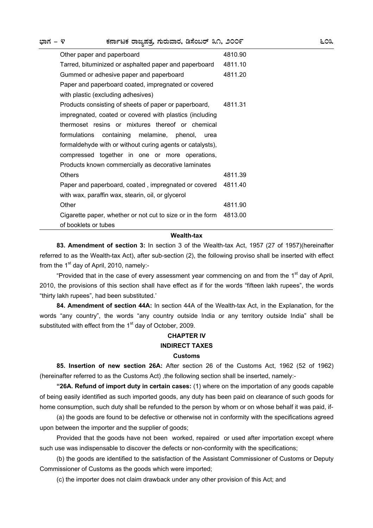| Other paper and paperboard                                 | 4810.90 |
|------------------------------------------------------------|---------|
| Tarred, bituminized or asphalted paper and paperboard      | 4811.10 |
| Gummed or adhesive paper and paperboard                    | 4811.20 |
| Paper and paperboard coated, impregnated or covered        |         |
| with plastic (excluding adhesives)                         |         |
| Products consisting of sheets of paper or paperboard,      | 4811.31 |
| impregnated, coated or covered with plastics (including    |         |
| thermoset resins or mixtures thereof or chemical           |         |
| formulations containing melamine, phenol, urea             |         |
| formaldehyde with or without curing agents or catalysts),  |         |
| compressed together in one or more operations,             |         |
| Products known commercially as decorative laminates        |         |
| Others                                                     | 4811.39 |
| Paper and paperboard, coated, impregnated or covered       | 4811.40 |
| with wax, paraffin wax, stearin, oil, or glycerol          |         |
| Other                                                      | 4811.90 |
| Cigarette paper, whether or not cut to size or in the form | 4813.00 |
| of booklets or tubes                                       |         |

### **Wealth-tax**

**83. Amendment of section 3:** In section 3 of the Wealth-tax Act, 1957 (27 of 1957)(hereinafter referred to as the Wealth-tax Act), after sub-section (2), the following proviso shall be inserted with effect from the  $1<sup>st</sup>$  day of April, 2010, namely:-

"Provided that in the case of every assessment year commencing on and from the  $1<sup>st</sup>$  day of April, 2010, the provisions of this section shall have effect as if for the words "fifteen lakh rupees", the words "thirty lakh rupees", had been substituted.'

**84. Amendment of section 44A:** In section 44A of the Wealth-tax Act, in the Explanation, for the words "any country", the words "any country outside India or any territory outside India" shall be substituted with effect from the  $1<sup>st</sup>$  day of October, 2009.

# **CHAPTER IV INDIRECT TAXES**

## **Customs**

**85. Insertion of new section 26A:** After section 26 of the Customs Act, 1962 (52 of 1962) (hereinafter referred to as the Customs Act), the following section shall be inserted, namely:-

**"26A. Refund of import duty in certain cases:** (1) where on the importation of any goods capable of being easily identified as such imported goods, any duty has been paid on clearance of such goods for home consumption, such duty shall be refunded to the person by whom or on whose behalf it was paid, if-

 (a) the goods are found to be defective or otherwise not in conformity with the specifications agreed upon between the importer and the supplier of goods;

 Provided that the goods have not been worked, repaired or used after importation except where such use was indispensable to discover the defects or non-conformity with the specifications;

 (b) the goods are identified to the satisfaction of the Assistant Commissioner of Customs or Deputy Commissioner of Customs as the goods which were imported;

(c) the importer does not claim drawback under any other provision of this Act; and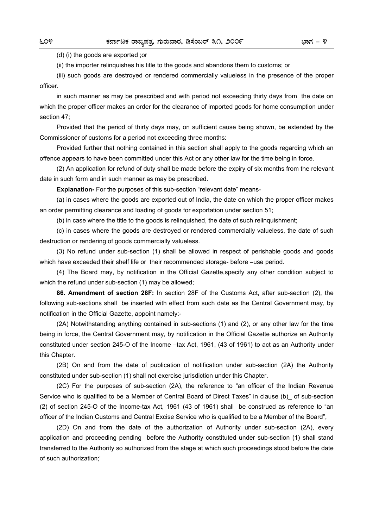(d) (i) the goods are exported ;or

(ii) the importer relinquishes his title to the goods and abandons them to customs; or

 (iii) such goods are destroyed or rendered commercially valueless in the presence of the proper officer.

 in such manner as may be prescribed and with period not exceeding thirty days from the date on which the proper officer makes an order for the clearance of imported goods for home consumption under section 47;

 Provided that the period of thirty days may, on sufficient cause being shown, be extended by the Commissioner of customs for a period not exceeding three months:

 Provided further that nothing contained in this section shall apply to the goods regarding which an offence appears to have been committed under this Act or any other law for the time being in force.

 (2) An application for refund of duty shall be made before the expiry of six months from the relevant date in such form and in such manner as may be prescribed.

**Explanation-** For the purposes of this sub-section "relevant date" means-

 (a) in cases where the goods are exported out of India, the date on which the proper officer makes an order permitting clearance and loading of goods for exportation under section 51;

(b) in case where the title to the goods is relinquished, the date of such relinquishment;

 (c) in cases where the goods are destroyed or rendered commercially valueless, the date of such destruction or rendering of goods commercially valueless.

 (3) No refund under sub-section (1) shall be allowed in respect of perishable goods and goods which have exceeded their shelf life or their recommended storage- before –use period.

 (4) The Board may, by notification in the Official Gazette,specify any other condition subject to which the refund under sub-section (1) may be allowed;

**86. Amendment of section 28F:** In section 28F of the Customs Act, after sub-section (2), the following sub-sections shall be inserted with effect from such date as the Central Government may, by notification in the Official Gazette, appoint namely:-

 (2A) Notwithstanding anything contained in sub-sections (1) and (2), or any other law for the time being in force, the Central Government may, by notification in the Official Gazette authorize an Authority constituted under section 245-O of the Income –tax Act, 1961, (43 of 1961) to act as an Authority under this Chapter.

 (2B) On and from the date of publication of notification under sub-section (2A) the Authority constituted under sub-section (1) shall not exercise jurisdiction under this Chapter.

 (2C) For the purposes of sub-section (2A), the reference to "an officer of the Indian Revenue Service who is qualified to be a Member of Central Board of Direct Taxes" in clause (b) of sub-section (2) of section 245-O of the Income-tax Act, 1961 (43 of 1961) shall be construed as reference to "an officer of the Indian Customs and Central Excise Service who is qualified to be a Member of the Board",

 (2D) On and from the date of the authorization of Authority under sub-section (2A), every application and proceeding pending before the Authority constituted under sub-section (1) shall stand transferred to the Authority so authorized from the stage at which such proceedings stood before the date of such authorization;'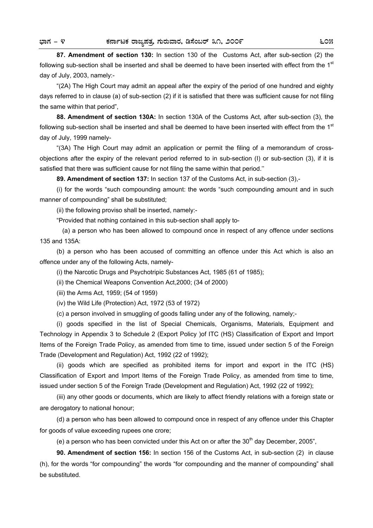**87. Amendment of section 130:** In section 130 of the Customs Act, after sub-section (2) the following sub-section shall be inserted and shall be deemed to have been inserted with effect from the  $1<sup>st</sup>$ day of July, 2003, namely:-

 "(2A) The High Court may admit an appeal after the expiry of the period of one hundred and eighty days referred to in clause (a) of sub-section (2) if it is satisfied that there was sufficient cause for not filing the same within that period",

**88. Amendment of section 130A:** In section 130A of the Customs Act, after sub-section (3), the following sub-section shall be inserted and shall be deemed to have been inserted with effect from the 1<sup>st</sup> day of July, 1999 namely-

 "(3A) The High Court may admit an application or permit the filing of a memorandum of crossobjections after the expiry of the relevant period referred to in sub-section (I) or sub-section (3), if it is satisfied that there was sufficient cause for not filing the same within that period.''

**89. Amendment of section 137:** In section 137 of the Customs Act, in sub-section (3),-

 (i) for the words "such compounding amount: the words "such compounding amount and in such manner of compounding" shall be substituted;

(ii) the following proviso shall be inserted, namely:-

"Provided that nothing contained in this sub-section shall apply to-

 (a) a person who has been allowed to compound once in respect of any offence under sections 135 and 135A:

 (b) a person who has been accused of committing an offence under this Act which is also an offence under any of the following Acts, namely-

(i) the Narcotic Drugs and Psychotripic Substances Act, 1985 (61 of 1985);

(ii) the Chemical Weapons Convention Act,2000; (34 of 2000)

(iii) the Arms Act, 1959; (54 of 1959)

(iv) the Wild Life (Protection) Act, 1972 (53 of 1972)

(c) a person involved in smuggling of goods falling under any of the following, namely;-

 (i) goods specified in the list of Special Chemicals, Organisms, Materials, Equipment and Technology in Appendix 3 to Schedule 2 (Export Policy )of ITC (HS) Classification of Export and Import Items of the Foreign Trade Policy, as amended from time to time, issued under section 5 of the Foreign Trade (Development and Regulation) Act, 1992 (22 of 1992);

 (ii) goods which are specified as prohibited items for import and export in the ITC (HS) Classification of Export and Import Items of the Foreign Trade Policy, as amended from time to time, issued under section 5 of the Foreign Trade (Development and Regulation) Act, 1992 (22 of 1992);

 (iii) any other goods or documents, which are likely to affect friendly relations with a foreign state or are derogatory to national honour;

 (d) a person who has been allowed to compound once in respect of any offence under this Chapter for goods of value exceeding rupees one crore;

(e) a person who has been convicted under this Act on or after the  $30<sup>th</sup>$  day December, 2005".

**90. Amendment of section 156:** In section 156 of the Customs Act, in sub-section (2) in clause (h), for the words "for compounding" the words "for compounding and the manner of compounding" shall be substituted.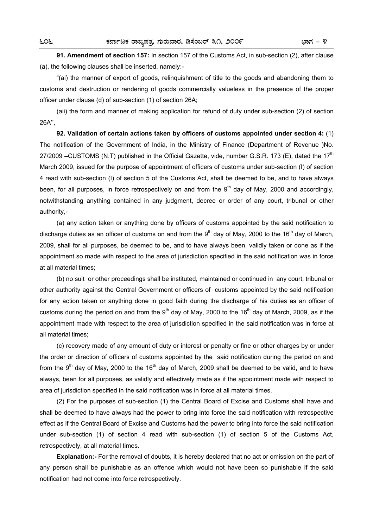**91. Amendment of section 157:** In section 157 of the Customs Act, in sub-section (2), after clause (a), the following clauses shall be inserted, namely:-

 "(ai) the manner of export of goods, relinquishment of title to the goods and abandoning them to customs and destruction or rendering of goods commercially valueless in the presence of the proper officer under clause (d) of sub-section (1) of section 26A;

 (aii) the form and manner of making application for refund of duty under sub-section (2) of section 26A'',

**92. Validation of certain actions taken by officers of customs appointed under section 4:** (1) The notification of the Government of India, in the Ministry of Finance (Department of Revenue )No. 27/2009 –CUSTOMS (N.T) published in the Official Gazette, vide, number G.S.R. 173 (E), dated the 17<sup>th</sup> March 2009, issued for the purpose of appointment of officers of customs under sub-section (I) of section 4 read with sub-section (I) of section 5 of the Customs Act, shall be deemed to be, and to have always been, for all purposes, in force retrospectively on and from the  $9<sup>th</sup>$  day of May, 2000 and accordingly, notwithstanding anything contained in any judgment, decree or order of any court, tribunal or other authority,-

 (a) any action taken or anything done by officers of customs appointed by the said notification to discharge duties as an officer of customs on and from the  $9<sup>th</sup>$  day of May, 2000 to the 16<sup>th</sup> day of March, 2009, shall for all purposes, be deemed to be, and to have always been, validly taken or done as if the appointment so made with respect to the area of jurisdiction specified in the said notification was in force at all material times;

 (b) no suit or other proceedings shall be instituted, maintained or continued in any court, tribunal or other authority against the Central Government or officers of customs appointed by the said notification for any action taken or anything done in good faith during the discharge of his duties as an officer of customs during the period on and from the 9<sup>th</sup> day of May, 2000 to the 16<sup>th</sup> day of March, 2009, as if the appointment made with respect to the area of jurisdiction specified in the said notification was in force at all material times;

 (c) recovery made of any amount of duty or interest or penalty or fine or other charges by or under the order or direction of officers of customs appointed by the said notification during the period on and from the 9<sup>th</sup> day of May, 2000 to the 16<sup>th</sup> day of March, 2009 shall be deemed to be valid, and to have always, been for all purposes, as validly and effectively made as if the appointment made with respect to area of jurisdiction specified in the said notification was in force at all material times.

 (2) For the purposes of sub-section (1) the Central Board of Excise and Customs shall have and shall be deemed to have always had the power to bring into force the said notification with retrospective effect as if the Central Board of Excise and Customs had the power to bring into force the said notification under sub-section (1) of section 4 read with sub-section (1) of section 5 of the Customs Act, retrospectively, at all material times.

**Explanation:-** For the removal of doubts, it is hereby declared that no act or omission on the part of any person shall be punishable as an offence which would not have been so punishable if the said notification had not come into force retrospectively.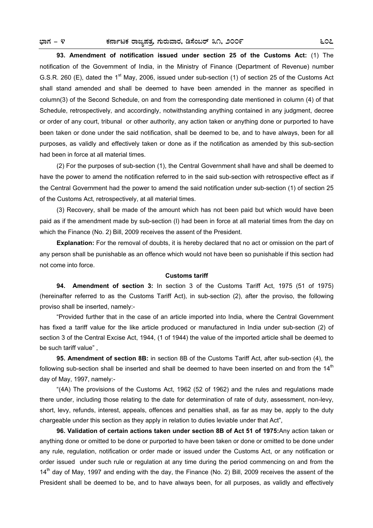**93. Amendment of notification issued under section 25 of the Customs Act:** (1) The notification of the Government of India, in the Ministry of Finance (Department of Revenue) number G.S.R. 260 (E), dated the 1<sup>st</sup> May, 2006, issued under sub-section (1) of section 25 of the Customs Act shall stand amended and shall be deemed to have been amended in the manner as specified in column(3) of the Second Schedule, on and from the corresponding date mentioned in column (4) of that Schedule, retrospectively, and accordingly, notwithstanding anything contained in any judgment, decree or order of any court, tribunal or other authority, any action taken or anything done or purported to have been taken or done under the said notification, shall be deemed to be, and to have always, been for all purposes, as validly and effectively taken or done as if the notification as amended by this sub-section had been in force at all material times.

 (2) For the purposes of sub-section (1), the Central Government shall have and shall be deemed to have the power to amend the notification referred to in the said sub-section with retrospective effect as if the Central Government had the power to amend the said notification under sub-section (1) of section 25 of the Customs Act, retrospectively, at all material times.

 (3) Recovery, shall be made of the amount which has not been paid but which would have been paid as if the amendment made by sub-section (I) had been in force at all material times from the day on which the Finance (No. 2) Bill, 2009 receives the assent of the President.

**Explanation:** For the removal of doubts, it is hereby declared that no act or omission on the part of any person shall be punishable as an offence which would not have been so punishable if this section had not come into force.

### **Customs tariff**

**94. Amendment of section 3:** In section 3 of the Customs Tariff Act, 1975 (51 of 1975) (hereinafter referred to as the Customs Tariff Act), in sub-section (2), after the proviso, the following proviso shall be inserted, namely:-

 "Provided further that in the case of an article imported into India, where the Central Government has fixed a tariff value for the like article produced or manufactured in India under sub-section (2) of section 3 of the Central Excise Act, 1944, (1 of 1944) the value of the imported article shall be deemed to be such tariff value" ,

 **95. Amendment of section 8B:** in section 8B of the Customs Tariff Act, after sub-section (4), the following sub-section shall be inserted and shall be deemed to have been inserted on and from the  $14<sup>th</sup>$ day of May, 1997, namely:-

 "(4A) The provisions of the Customs Act, 1962 (52 of 1962) and the rules and regulations made there under, including those relating to the date for determination of rate of duty, assessment, non-levy, short, levy, refunds, interest, appeals, offences and penalties shall, as far as may be, apply to the duty chargeable under this section as they apply in relation to duties leviable under that Act",

**96. Validation of certain actions taken under section 8B of Act 51 of 1975:**Any action taken or anything done or omitted to be done or purported to have been taken or done or omitted to be done under any rule, regulation, notification or order made or issued under the Customs Act, or any notification or order issued under such rule or regulation at any time during the period commencing on and from the  $14<sup>th</sup>$  day of May, 1997 and ending with the day, the Finance (No. 2) Bill, 2009 receives the assent of the President shall be deemed to be, and to have always been, for all purposes, as validly and effectively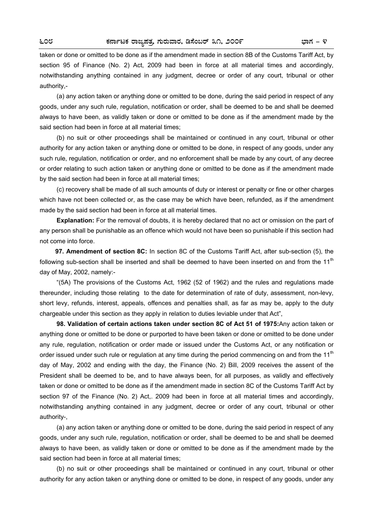taken or done or omitted to be done as if the amendment made in section 8B of the Customs Tariff Act, by section 95 of Finance (No. 2) Act, 2009 had been in force at all material times and accordingly, notwithstanding anything contained in any judgment, decree or order of any court, tribunal or other authority,-

 (a) any action taken or anything done or omitted to be done, during the said period in respect of any goods, under any such rule, regulation, notification or order, shall be deemed to be and shall be deemed always to have been, as validly taken or done or omitted to be done as if the amendment made by the said section had been in force at all material times;

 (b) no suit or other proceedings shall be maintained or continued in any court, tribunal or other authority for any action taken or anything done or omitted to be done, in respect of any goods, under any such rule, regulation, notification or order, and no enforcement shall be made by any court, of any decree or order relating to such action taken or anything done or omitted to be done as if the amendment made by the said section had been in force at all material times;

 (c) recovery shall be made of all such amounts of duty or interest or penalty or fine or other charges which have not been collected or, as the case may be which have been, refunded, as if the amendment made by the said section had been in force at all material times.

**Explanation:** For the removal of doubts, it is hereby declared that no act or omission on the part of any person shall be punishable as an offence which would not have been so punishable if this section had not come into force.

 **97. Amendment of section 8C:** In section 8C of the Customs Tariff Act, after sub-section (5), the following sub-section shall be inserted and shall be deemed to have been inserted on and from the  $11<sup>th</sup>$ day of May, 2002, namely:-

 "(5A) The provisions of the Customs Act, 1962 (52 of 1962) and the rules and regulations made thereunder, including those relating to the date for determination of rate of duty, assessment, non-levy, short levy, refunds, interest, appeals, offences and penalties shall, as far as may be, apply to the duty chargeable under this section as they apply in relation to duties leviable under that Act",

**98. Validation of certain actions taken under section 8C of Act 51 of 1975:**Any action taken or anything done or omitted to be done or purported to have been taken or done or omitted to be done under any rule, regulation, notification or order made or issued under the Customs Act, or any notification or order issued under such rule or regulation at any time during the period commencing on and from the 11<sup>th</sup> day of May, 2002 and ending with the day, the Finance (No. 2) Bill, 2009 receives the assent of the President shall be deemed to be, and to have always been, for all purposes, as validly and effectively taken or done or omitted to be done as if the amendment made in section 8C of the Customs Tariff Act by section 97 of the Finance (No. 2) Act,. 2009 had been in force at all material times and accordingly, notwithstanding anything contained in any judgment, decree or order of any court, tribunal or other authority-,

 (a) any action taken or anything done or omitted to be done, during the said period in respect of any goods, under any such rule, regulation, notification or order, shall be deemed to be and shall be deemed always to have been, as validly taken or done or omitted to be done as if the amendment made by the said section had been in force at all material times;

 (b) no suit or other proceedings shall be maintained or continued in any court, tribunal or other authority for any action taken or anything done or omitted to be done, in respect of any goods, under any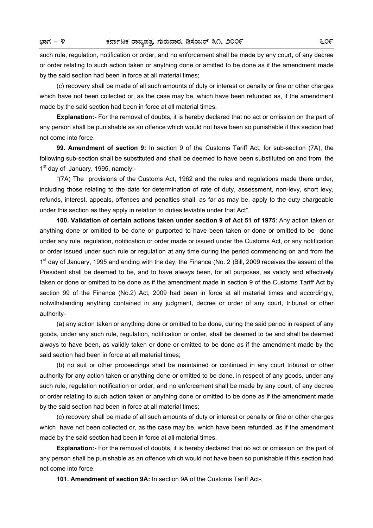such rule, regulation, notification or order, and no enforcement shall be made by any court, of any decree or order relating to such action taken or anything done or amitted to be done as if the amendment made by the said section had been in force at all material times;

 (c) recovery shall be made of all such amounts of duty or interest or penalty or fine or other charges which have not been collected or, as the case may be, which have been refunded as, if the amendment made by the said section had been in force at all material times.

**Explanation:-** For the removal of doubts, it is hereby declared that no act or omission on the part of any person shall be punishable as an offence which would not have been so punishable if this section had not come into force.

**99. Amendment of section 9:** In section 9 of the Customs Tariff Act, for sub-section (7A), the following sub-section shall be substituted and shall be deemed to have been substituted on and from the 1<sup>st</sup> day of January, 1995, namely:-

 "(7A) The provisions of the Customs Act, 1962 and the rules and regulations made there under, including those relating to the date for determination of rate of duty, assessment, non-levy, short levy, refunds, interest, appeals, offences and penalties shall, as far as may be, apply to the duty chargeable under this section as they apply in relation to duties leviable under that Act",

**100. Validation of certain actions taken under section 9 of Act 51 of 1975**: Any action taken or anything done or omitted to be done or purported to have been taken or done or omitted to be done under any rule, regulation, notification or order made or issued under the Customs Act, or any notification or order issued under such rule or regulation at any time during the period commencing on and from the  $1<sup>st</sup>$  day of January, 1995 and ending with the day, the Finance (No. 2 )Bill, 2009 receives the assent of the President shall be deemed to be, and to have always been, for all purposes, as validly and effectively taken or done or omitted to be done as if the amendment made in section 9 of the Customs Tariff Act by section 99 of the Finance (No.2) Act, 2009 had been in force at all material times and accordingly, notwithstanding anything contained in any judgment, decree or order of any court, tribunal or other authority-

 (a) any action taken or anything done or omitted to be done, during the said period in respect of any goods, under any such rule, regulation, notification or order, shall be deemed to be and shall be deemed always to have been, as validly taken or done or omitted to be done as if the amendment made by the said section had been in force at all material times;

 (b) no suit or other proceedings shall be maintained or continued in any court tribunal or other authority for any action taken or anything done or omitted to be done, in respect of any goods, under any such rule, regulation notification or order, and no enforcement shall be made by any court, of any decree or order relating to such action taken or anything done or omitted to be done as if the amendment made by the said section had been in force at all material times;

 (c) recovery shall be made of all such amounts of duty or interest or penalty or fine or other charges which have not been collected or, as the case may be, which have been refunded, as if the amendment made by the said section had been in force at all material times.

**Explanation:-** For the removal of doubts, it is hereby declared that no act or omission on the part of any person shall be punishable as an offence which would not have been so punishable if this section had not come into force.

**101. Amendment of section 9A:** In section 9A of the Customs Tariff Act-,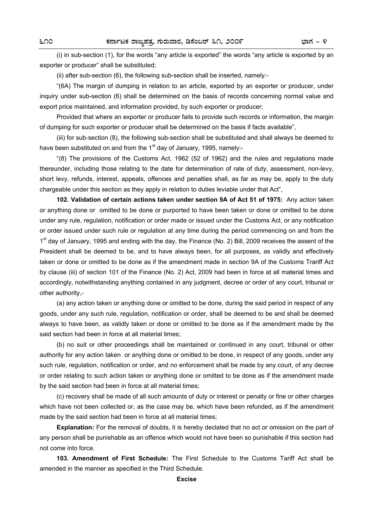(i) in sub-section (1), for the words "any article is exported" the words "any article is exported by an exporter or producer" shall be substituted;

(ii) after sub-section (6), the following sub-section shall be inserted, namely:-

 "(6A) The margin of dumping in relation to an article, exported by an exporter or producer, under inquiry under sub-section (6) shall be determined on the basis of records concerning normal value and export price maintained, and information provided, by such exporter or producer;

 Provided that where an exporter or producer fails to provide such records or information, the margin of dumping for such exporter or producer shall be determined on the basis if facts available",

 (iii) for sub-section (8), the following sub-section shall be substituted and shall always be deemed to have been substituted on and from the 1<sup>st</sup> day of January, 1995, namely:-

 "(8) The provisions of the Customs Act, 1962 (52 of 1962) and the rules and regulations made thereunder, including those relating to the date for determination of rate of duty, assessment, non-levy, short levy, refunds, interest, appeals, offences and penalties shall, as far as may be, apply to the duty chargeable under this section as they apply in relation to duties leviable under that Act",

**102. Validation of certain actions taken under section 9A of Act 51 of 1975:** Any action taken or anything done or omitted to be done or purported to have been taken or done or omitted to be done under any rule, regulation, notification or order made or issued under the Customs Act, or any notification or order issued under such rule or regulation at any time during the period commencing on and from the 1<sup>st</sup> day of January, 1995 and ending with the day, the Finance (No. 2) Bill, 2009 receives the assent of the President shall be deemed to be, and to have always been, for all purposes, as validly and effectively taken or done or omitted to be done as if the amendment made in section 9A of the Customs Trariff Act by clause (iii) of section 101 of the Finance (No. 2) Act, 2009 had been in force at all material times and accordingly, notwithstanding anything contained in any judgment, decree or order of any court, tribunal or other authority,-

 (a) any action taken or anything done or omitted to be done, during the said period in respect of any goods, under any such rule, regulation, notification or order, shall be deemed to be and shall be deemed always to have been, as validly taken or done or omitted to be done as if the amendment made by the said section had been in force at all material times;

 (b) no suit or other proceedings shall be maintained or continued in any court, tribunal or other authority for any action taken or anything done or omitted to be done, in respect of any goods, under any such rule, regulation, notification or order, and no enforcement shall be made by any court, of any decree or order relating to such action taken or anything done or omitted to be done as if the amendment made by the said section had been in force at all material times;

 (c) recovery shall be made of all such amounts of duty or interest or penalty or fine or other charges which have not been collected or, as the case may be, which have been refunded, as if the amendment made by the said section had been in force at all material times;

**Explanation:** For the removal of doubts, it is hereby declated that no act or omission on the part of any person shall be punishable as an offence which would not have been so punishable if this section had not come into force.

**103. Amendment of First Schedule:** The First Schedule to the Customs Tariff Act shall be amended in the manner as specified in the Third Schedule.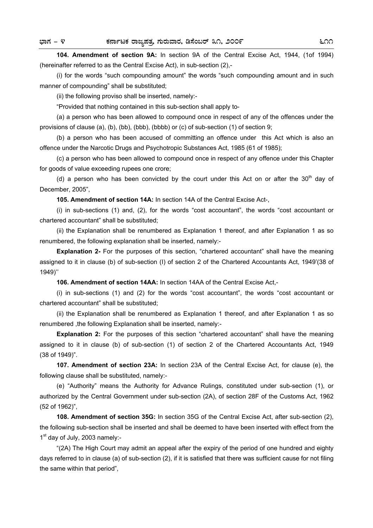**104. Amendment of section 9A:** In section 9A of the Central Excise Act, 1944, (1of 1994) (hereinafter referred to as the Central Excise Act), in sub-section (2),-

 (i) for the words "such compounding amount" the words "such compounding amount and in such manner of compounding" shall be substituted;

(ii) the following proviso shall be inserted, namely:-

"Provided that nothing contained in this sub-section shall apply to-

 (a) a person who has been allowed to compound once in respect of any of the offences under the provisions of clause (a), (b), (bb), (bbb), (bbbb) or (c) of sub-section (1) of section 9;

 (b) a person who has been accused of committing an offence under this Act which is also an offence under the Narcotic Drugs and Psychotropic Substances Act, 1985 (61 of 1985);

 (c) a person who has been allowed to compound once in respect of any offence under this Chapter for goods of value exceeding rupees one crore;

(d) a person who has been convicted by the court under this Act on or after the  $30<sup>th</sup>$  day of December, 2005",

**105. Amendment of section 14A:** In section 14A of the Central Excise Act-,

 (i) in sub-sections (1) and, (2), for the words "cost accountant", the words "cost accountant or chartered accountant" shall be substituted;

 (ii) the Explanation shall be renumbered as Explanation 1 thereof, and after Explanation 1 as so renumbered, the following explanation shall be inserted, namely:-

**Explanation 2-** For the purposes of this section, "chartered accountant" shall have the meaning assigned to it in clause (b) of sub-section (I) of section 2 of the Chartered Accountants Act, 1949'(38 of 1949)''

**106. Amendment of section 14AA:** In section 14AA of the Central Excise Act,-

 (i) in sub-sections (1) and (2) for the words "cost accountant", the words "cost accountant or chartered accountant" shall be substituted;

 (ii) the Explanation shall be renumbered as Explanation 1 thereof, and after Explanation 1 as so renumbered ,the following Explanation shall be inserted, namely:-

**Explanation 2:** For the purposes of this section "chartered accountant" shall have the meaning assigned to it in clause (b) of sub-section (1) of section 2 of the Chartered Accountants Act, 1949 (38 of 1949)".

**107. Amendment of section 23A:** In section 23A of the Central Excise Act, for clause (e), the following clause shall be substituted, namely:-

 (e) "Authority" means the Authority for Advance Rulings, constituted under sub-section (1), or authorized by the Central Government under sub-section (2A), of section 28F of the Customs Act, 1962 (52 of 1962)",

**108. Amendment of section 35G:** In section 35G of the Central Excise Act, after sub-section (2), the following sub-section shall be inserted and shall be deemed to have been inserted with effect from the  $1<sup>st</sup>$  day of July, 2003 namely:-

 "(2A) The High Court may admit an appeal after the expiry of the period of one hundred and eighty days referred to in clause (a) of sub-section (2), if it is satisfied that there was sufficient cause for not filing the same within that period",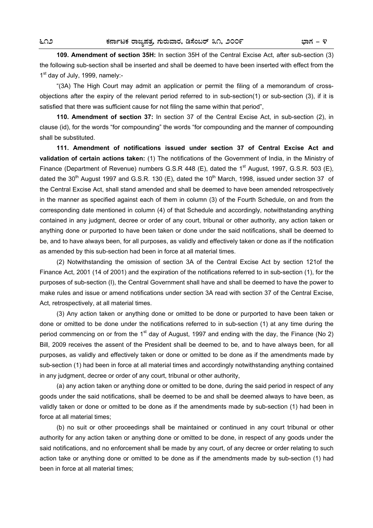**109. Amendment of section 35H:** In section 35H of the Central Excise Act, after sub-section (3) the following sub-section shall be inserted and shall be deemed to have been inserted with effect from the  $1<sup>st</sup>$  day of July, 1999, namely:-

 "(3A) The High Court may admit an application or permit the filing of a memorandum of crossobjections after the expiry of the relevant period referred to in sub-section(1) or sub-section (3), if it is satisfied that there was sufficient cause for not filing the same within that period",

**110. Amendment of section 37:** In section 37 of the Central Excise Act, in sub-section (2), in clause (id), for the words "for compounding" the words "for compounding and the manner of compounding shall be substituted.

**111. Amendment of notifications issued under section 37 of Central Excise Act and validation of certain actions taken:** (1) The notifications of the Government of India, in the Ministry of Finance (Department of Revenue) numbers G.S.R 448 (E), dated the 1<sup>st</sup> August, 1997, G.S.R. 503 (E), dated the 30<sup>th</sup> August 1997 and G.S.R. 130 (E), dated the 10<sup>th</sup> March, 1998, issued under section 37 of the Central Excise Act, shall stand amended and shall be deemed to have been amended retrospectively in the manner as specified against each of them in column (3) of the Fourth Schedule, on and from the corresponding date mentioned in column (4) of that Schedule and accordingly, notwithstanding anything contained in any judgment, decree or order of any court, tribunal or other authority, any action taken or anything done or purported to have been taken or done under the said notifications, shall be deemed to be, and to have always been, for all purposes, as validly and effectively taken or done as if the notification as amended by this sub-section had been in force at all material times.

 (2) Notwithstanding the omission of section 3A of the Central Excise Act by section 121of the Finance Act, 2001 (14 of 2001) and the expiration of the notifications referred to in sub-section (1), for the purposes of sub-section (I), the Central Government shall have and shall be deemed to have the power to make rules and issue or amend notifications under section 3A read with section 37 of the Central Excise, Act, retrospectively, at all material times.

 (3) Any action taken or anything done or omitted to be done or purported to have been taken or done or omitted to be done under the notifications referred to in sub-section (1) at any time during the period commencing on or from the 1<sup>st</sup> day of August, 1997 and ending with the day, the Finance (No 2) Bill, 2009 receives the assent of the President shall be deemed to be, and to have always been, for all purposes, as validly and effectively taken or done or omitted to be done as if the amendments made by sub-section (1) had been in force at all material times and accordingly notwithstanding anything contained in any judgment, decree or order of any court, tribunal or other authority,

 (a) any action taken or anything done or omitted to be done, during the said period in respect of any goods under the said notifications, shall be deemed to be and shall be deemed always to have been, as validly taken or done or omitted to be done as if the amendments made by sub-section (1) had been in force at all material times;

 (b) no suit or other proceedings shall be maintained or continued in any court tribunal or other authority for any action taken or anything done or omitted to be done, in respect of any goods under the said notifications, and no enforcement shall be made by any court, of any decree or order relating to such action take or anything done or omitted to be done as if the amendments made by sub-section (1) had been in force at all material times;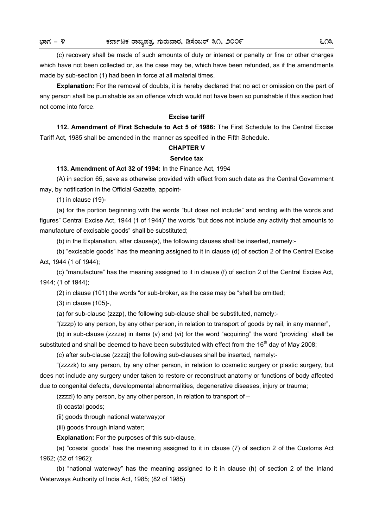(c) recovery shall be made of such amounts of duty or interest or penalty or fine or other charges which have not been collected or, as the case may be, which have been refunded, as if the amendments made by sub-section (1) had been in force at all material times.

**Explanation:** For the removal of doubts, it is hereby declared that no act or omission on the part of any person shall be punishable as an offence which would not have been so punishable if this section had not come into force.

### **Excise tariff**

 **112. Amendment of First Schedule to Act 5 of 1986:** The First Schedule to the Central Excise Tariff Act, 1985 shall be amended in the manner as specified in the Fifth Schedule.

### **CHAPTER V**

### **Service tax**

## **113. Amendment of Act 32 of 1994:** In the Finance Act, 1994

 (A) in section 65, save as otherwise provided with effect from such date as the Central Government may, by notification in the Official Gazette, appoint-

(1) in clause (19)-

 (a) for the portion beginning with the words "but does not include" and ending with the words and figures" Central Excise Act, 1944 (1 of 1944)" the words "but does not include any activity that amounts to manufacture of excisable goods" shall be substituted;

(b) in the Explanation, after clause(a), the following clauses shall be inserted, namely:-

 (b) "excisable goods" has the meaning assigned to it in clause (d) of section 2 of the Central Excise Act, 1944 (1 of 1944);

 (c) "manufacture" has the meaning assigned to it in clause (f) of section 2 of the Central Excise Act, 1944; (1 of 1944);

(2) in clause (101) the words "or sub-broker, as the case may be "shall be omitted;

(3) in clause (105)-,

(a) for sub-clause (zzzp), the following sub-clause shall be substituted, namely:-

"(zzzp) to any person, by any other person, in relation to transport of goods by rail, in any manner",

 (b) in sub-clause (zzzze) in items (v) and (vi) for the word "acquiring" the word "providing" shall be substituted and shall be deemed to have been substituted with effect from the  $16<sup>th</sup>$  day of May 2008;

(c) after sub-clause (zzzzj) the following sub-clauses shall be inserted, namely:-

 "(zzzzk) to any person, by any other person, in relation to cosmetic surgery or plastic surgery, but does not include any surgery under taken to restore or reconstruct anatomy or functions of body affected due to congenital defects, developmental abnormalities, degenerative diseases, injury or trauma;

(zzzzl) to any person, by any other person, in relation to transport of –

(i) coastal goods;

(ii) goods through national waterway;or

(iii) goods through inland water;

**Explanation:** For the purposes of this sub-clause,

 (a) "coastal goods" has the meaning assigned to it in clause (7) of section 2 of the Customs Act 1962; (52 of 1962);

 (b) "national waterway" has the meaning assigned to it in clause (h) of section 2 of the Inland Waterways Authority of India Act, 1985; (82 of 1985)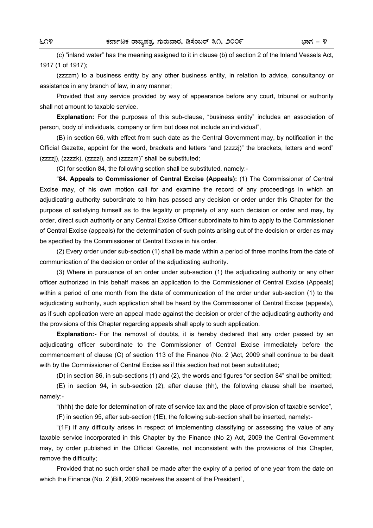(c) "inland water" has the meaning assigned to it in clause (b) of section 2 of the Inland Vessels Act, 1917 (1 of 1917);

 (zzzzm) to a business entity by any other business entity, in relation to advice, consultancy or assistance in any branch of law, in any manner;

 Provided that any service provided by way of appearance before any court, tribunal or authority shall not amount to taxable service.

**Explanation:** For the purposes of this sub-clause, "business entity" includes an association of person, body of individuals, company or firm but does not include an individual",

 (B) in section 66, with effect from such date as the Central Government may, by notification in the Official Gazette, appoint for the word, brackets and letters "and (zzzzj)" the brackets, letters and word" (zzzzj), (zzzzk), (zzzzl), and (zzzzm)" shall be substituted;

(C) for section 84, the following section shall be substituted, namely:-

 "**84. Appeals to Commissioner of Central Excise (Appeals):** (1) The Commissioner of Central Excise may, of his own motion call for and examine the record of any proceedings in which an adjudicating authority subordinate to him has passed any decision or order under this Chapter for the purpose of satisfying himself as to the legality or propriety of any such decision or order and may, by order, direct such authority or any Central Excise Officer subordinate to him to apply to the Commissioner of Central Excise (appeals) for the determination of such points arising out of the decision or order as may be specified by the Commissioner of Central Excise in his order.

 (2) Every order under sub-section (1) shall be made within a period of three months from the date of communication of the decision or order of the adjudicating authority.

 (3) Where in pursuance of an order under sub-section (1) the adjudicating authority or any other officer authorized in this behalf makes an application to the Commissioner of Central Excise (Appeals) within a period of one month from the date of communication of the order under sub-section (1) to the adjudicating authority, such application shall be heard by the Commissioner of Central Excise (appeals), as if such application were an appeal made against the decision or order of the adjudicating authority and the provisions of this Chapter regarding appeals shall apply to such application.

**Explanation:-** For the removal of doubts, it is hereby declared that any order passed by an adjudicating officer subordinate to the Commissioner of Central Excise immediately before the commencement of clause (C) of section 113 of the Finance (No. 2 )Act, 2009 shall continue to be dealt with by the Commissioner of Central Excise as if this section had not been substituted;

(D) in section 86, in sub-sections (1) and (2), the words and figures "or section 84" shall be omitted;

 (E) in section 94, in sub-section (2), after clause (hh), the following clause shall be inserted, namely:-

"(hhh) the date for determination of rate of service tax and the place of provision of taxable service",

(F) in section 95, after sub-section (1E), the following sub-section shall be inserted, namely:-

 "(1F) If any difficulty arises in respect of implementing classifying or assessing the value of any taxable service incorporated in this Chapter by the Finance (No 2) Act, 2009 the Central Government may, by order published in the Official Gazette, not inconsistent with the provisions of this Chapter, remove the difficulty;

 Provided that no such order shall be made after the expiry of a period of one year from the date on which the Finance (No. 2 )Bill, 2009 receives the assent of the President",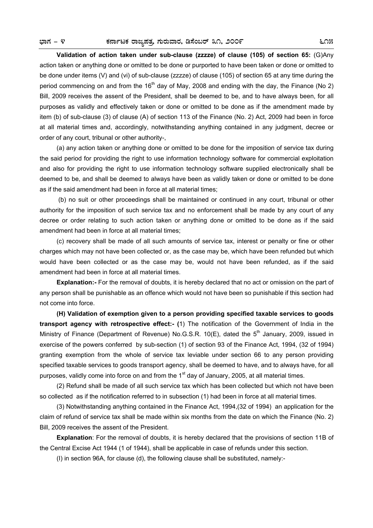**Validation of action taken under sub-clause (zzzze) of clause (105) of section 65:** (G)Any action taken or anything done or omitted to be done or purported to have been taken or done or omitted to be done under items (V) and (vi) of sub-clause (zzzze) of clause (105) of section 65 at any time during the period commencing on and from the 16<sup>th</sup> day of May, 2008 and ending with the day, the Finance (No 2) Bill, 2009 receives the assent of the President, shall be deemed to be, and to have always been, for all purposes as validly and effectively taken or done or omitted to be done as if the amendment made by item (b) of sub-clause (3) of clause (A) of section 113 of the Finance (No. 2) Act, 2009 had been in force at all material times and, accordingly, notwithstanding anything contained in any judgment, decree or order of any court, tribunal or other authority-,

 (a) any action taken or anything done or omitted to be done for the imposition of service tax during the said period for providing the right to use information technology software for commercial exploitation and also for providing the right to use information technology software supplied electronically shall be deemed to be, and shall be deemed to always have been as validly taken or done or omitted to be done as if the said amendment had been in force at all material times;

 (b) no suit or other proceedings shall be maintained or continued in any court, tribunal or other authority for the imposition of such service tax and no enforcement shall be made by any court of any decree or order relating to such action taken or anything done or omitted to be done as if the said amendment had been in force at all material times;

 (c) recovery shall be made of all such amounts of service tax, interest or penalty or fine or other charges which may not have been collected or, as the case may be, which have been refunded but which would have been collected or as the case may be, would not have been refunded, as if the said amendment had been in force at all material times.

**Explanation:-** For the removal of doubts, it is hereby declared that no act or omission on the part of any person shall be punishable as an offence which would not have been so punishable if this section had not come into force.

**(H) Validation of exemption given to a person providing specified taxable services to goods transport agency with retrospective effect:- (**1) The notification of the Government of India in the Ministry of Finance (Department of Revenue) No.G.S.R. 10(E), dated the 5<sup>th</sup> January, 2009, issued in exercise of the powers conferred by sub-section (1) of section 93 of the Finance Act, 1994, (32 of 1994) granting exemption from the whole of service tax leviable under section 66 to any person providing specified taxable services to goods transport agency, shall be deemed to have, and to always have, for all purposes, validly come into force on and from the  $1<sup>st</sup>$  day of January, 2005, at all material times.

 (2) Refund shall be made of all such service tax which has been collected but which not have been so collected as if the notification referred to in subsection (1) had been in force at all material times.

 (3) Notwithstanding anything contained in the Finance Act, 1994,(32 of 1994) an application for the claim of refund of service tax shall be made within six months from the date on which the Finance (No. 2) Bill, 2009 receives the assent of the President.

**Explanation**: For the removal of doubts, it is hereby declared that the provisions of section 11B of the Central Excise Act 1944 (1 of 1944), shall be applicable in case of refunds under this section.

(I) in section 96A, for clause (d), the following clause shall be substituted, namely:-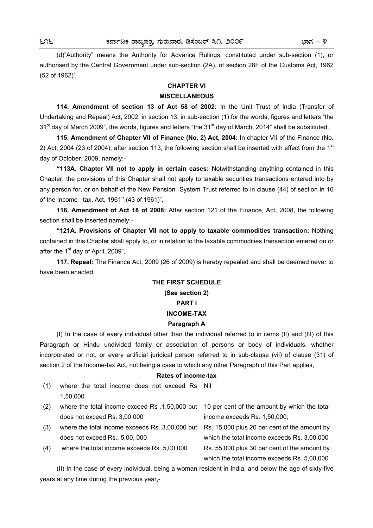(d)"Authority" means the Authority for Advance Rulings, constituted under sub-section (1), or authorised by the Central Government under sub-section (2A), of section 28F of the Customs Act, 1962 (52 of 1962)',

### **CHAPTER VI**

### **MISCELLANEOUS**

**114. Amendment of section 13 of Act 58 of 2002:** In the Unit Trust of India (Transfer of Undertaking and Repeal) Act, 2002, in section 13, in sub-section (1) for the words, figures and letters "the  $31<sup>st</sup>$  day of March 2009", the words, figures and letters "the  $31<sup>st</sup>$  day of March, 2014" shall be substituted.

**115. Amendment of Chapter VII of Finance (No. 2) Act, 2004:** In chapter VII of the Finance (No. 2) Act, 2004 (23 of 2004), after section 113, the following section shall be inserted with effect from the 1st day of October, 2009, namely:-

**"113A. Chapter VII not to apply in certain cases:** Notwithstanding anything contained in this Chapter, the provisions of this Chapter shall not apply to taxable securities transactions entered into by any person for, or on behalf of the New Pension System Trust referred to in clause (44) of section in 10 of the Income –tax, Act, 1961'',(43 of 1961)",

**116. Amendment of Act 18 of 2008:** After section 121 of the Finance, Act, 2008, the following section shall be inserted namely:-

**"121A. Provisions of Chapter VII not to apply to taxable commodities transaction:** Nothing contained in this Chapter shall apply to, or in relation to the taxable commodities transaction entered on or after the  $1<sup>st</sup>$  day of April, 2009".

**117. Repeal:** The Finance Act, 2009 (26 of 2009) is hereby repealed and shall be deemed never to have been enacted.

# **THE FIRST SCHEDULE (See section 2) PART I INCOME-TAX**

# **Paragraph A**

 (I) In the case of every individual other than the individual referred to in items (II) and (III) of this Paragraph or Hindu undivided family or association of persons or body of individuals, whether incorporated or not, or every artificial juridical person referred to in sub-clause (vii) of clause (31) of section 2 of the Income-tax Act, not being a case to which any other Paragraph of this Part applies,

### **Rates of income-tax**

- (1) where the total income does not exceed Rs Nil 1,50,000
- (2) where the total income exceed Rs .1,50,000 but 10 per cent of the amount by which the total does not exceed Rs. 3,00,000 income exceeds Rs. 1,50,000; (3) where the total income exceeds Rs. 3,00,000 but Rs. 15,000 plus 20 per cent of the amount by does not exceed Rs., 5,00, 000 which the total income exceeds Rs. 3,00,000 (4) where the total income exceeds Rs .5,00,000 Rs. 55,000 plus 30 per cent of the amount by

 (II) In the case of every individual, being a woman resident in India, and below the age of sixty-five years at any time during the previous year,-

which the total income exceeds Rs. 5,00,000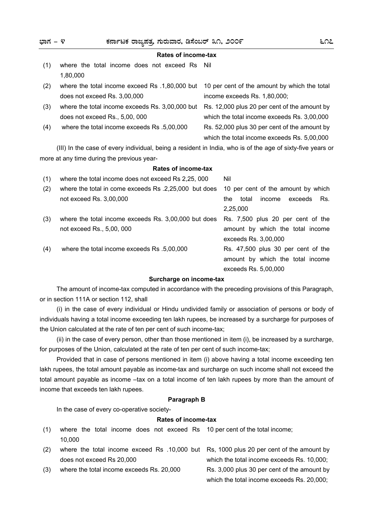| ಭಾಗ – ೪ | ಕರ್ನಾಟಕ ರಾಜ್ಯಪತ್ತ ಗುರುವಾರ, ಡಿಸೆಂಬರ್ ೩೧, ೨೦೦೯                                                               | ೬೧೭                                                                                         |  |
|---------|------------------------------------------------------------------------------------------------------------|---------------------------------------------------------------------------------------------|--|
|         | Rates of income-tax                                                                                        |                                                                                             |  |
| (1)     | where the total income does not exceed Rs Nil<br>1,80,000                                                  |                                                                                             |  |
| (2)     | where the total income exceed Rs .1,80,000 but<br>does not exceed Rs. 3,00,000                             | 10 per cent of the amount by which the total<br>income exceeds Rs. 1,80,000;                |  |
| (3)     | where the total income exceeds Rs. 3,00,000 but<br>does not exceed Rs., 5,00, 000                          | Rs. 12,000 plus 20 per cent of the amount by<br>which the total income exceeds Rs. 3,00,000 |  |
| (4)     | where the total income exceeds Rs .5,00,000                                                                | Rs. 52,000 plus 30 per cent of the amount by<br>which the total income exceeds Rs. 5,00,000 |  |
|         | (III) In the case of every individual, being a resident in India, who is of the age of sixty-five years or |                                                                                             |  |
|         | more at any time during the previous year-                                                                 |                                                                                             |  |

## **Rates of income-tax**

| (1) | where the total income does not exceed Rs 2,25, 000   | Nil                                      |
|-----|-------------------------------------------------------|------------------------------------------|
| (2) | where the total in come exceeds Rs .2,25,000 but does | 10 per cent of the amount by which       |
|     | not exceed Rs. 3,00,000                               | income<br>Rs.<br>total<br>exceeds<br>the |
|     |                                                       | 2,25,000                                 |
| (3) | where the total income exceeds Rs. 3,00,000 but does  | Rs. 7,500 plus 20 per cent of the        |
|     | not exceed Rs., 5,00, 000                             | amount by which the total income         |
|     |                                                       | exceeds Rs. 3,00,000                     |
| (4) | where the total income exceeds Rs .5,00,000           | Rs. 47,500 plus 30 per cent of the       |
|     |                                                       | amount by which the total income         |
|     |                                                       | exceeds Rs. 5,00,000                     |
|     |                                                       |                                          |

## **Surcharge on income-tax**

 The amount of income-tax computed in accordance with the preceding provisions of this Paragraph, or in section 111A or section 112, shall

 (i) in the case of every individual or Hindu undivided family or association of persons or body of individuals having a total income exceeding ten lakh rupees, be increased by a surcharge for purposes of the Union calculated at the rate of ten per cent of such income-tax;

 (ii) in the case of every person, other than those mentioned in item (i), be increased by a surcharge, for purposes of the Union, calculated at the rate of ten per cent of such income-tax;

 Provided that in case of persons mentioned in item (i) above having a total income exceeding ten lakh rupees, the total amount payable as income-tax and surcharge on such income shall not exceed the total amount payable as income -tax on a total income of ten lakh rupees by more than the amount of income that exceeds ten lakh rupees.

### **Paragraph B**

In the case of every co-operative society-

# **Rates of income-tax**

- (1) where the total income does not exceed Rs 10 per cent of the total income; 10,000
- (2) where the total income exceed Rs .10,000 but Rs, 1000 plus 20 per cent of the amount by does not exceed Rs 20,000
- (3) where the total income exceeds Rs. 20,000 Rs. 3,000 plus 30 per cent of the amount by

which the total income exceeds Rs. 10,000; which the total income exceeds Rs. 20,000;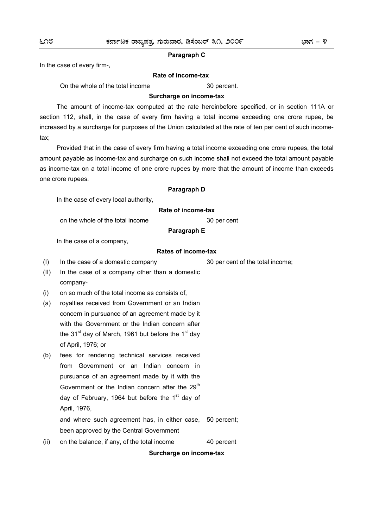### **Paragraph C**

In the case of every firm-,

### **Rate of income-tax**

On the whole of the total income 30 percent.

### **Surcharge on income-tax**

 The amount of income-tax computed at the rate hereinbefore specified, or in section 111A or section 112, shall, in the case of every firm having a total income exceeding one crore rupee, be increased by a surcharge for purposes of the Union calculated at the rate of ten per cent of such incometax;

 Provided that in the case of every firm having a total income exceeding one crore rupees, the total amount payable as income-tax and surcharge on such income shall not exceed the total amount payable as income-tax on a total income of one crore rupees by more that the amount of income than exceeds one crore rupees.

## **Paragraph D**

In the case of every local authority,

### **Rate of income-tax**

on the whole of the total income 30 per cent

# **Paragraph E**

In the case of a company,

### **Rates of income-tax**

(I) In the case of a domestic company 30 per cent of the total income;

- (II) In the case of a company other than a domestic company-
- (i) on so much of the total income as consists of,
- (a) royalties received from Government or an Indian concern in pursuance of an agreement made by it with the Government or the Indian concern after the  $31<sup>st</sup>$  day of March, 1961 but before the 1<sup>st</sup> day of April, 1976; or
- (b) fees for rendering technical services received from Government or an Indian concern in pursuance of an agreement made by it with the Government or the Indian concern after the  $29<sup>th</sup>$ day of February, 1964 but before the  $1<sup>st</sup>$  day of April, 1976, and where such agreement has, in either case, 50 percent;
	- been approved by the Central Government
- (ii) on the balance, if any, of the total income 40 percent

**Surcharge on income-tax**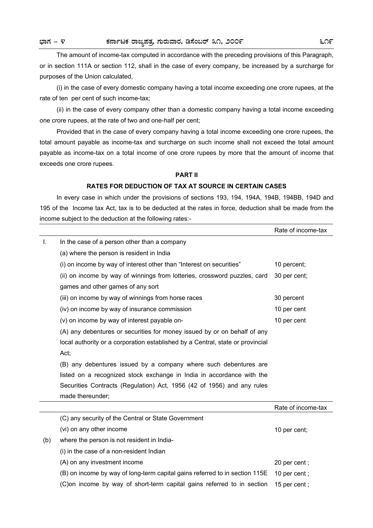The amount of income-tax computed in accordance with the preceding provisions of this Paragraph, or in section 111A or section 112, shall in the case of every company, be increased by a surcharge for purposes of the Union calculated,

 (i) in the case of every domestic company having a total income exceeding one crore rupees, at the rate of ten per cent of such income-tax;

 (ii) in the case of every company other than a domestic company having a total income exceeding one crore rupees, at the rate of two and one-half per cent;

 Provided that in the case of every company having a total income exceeding one crore rupees, the total amount payable as income-tax and surcharge on such income shall not exceed the total amount payable as income-tax on a total income of one crore rupees by more that the amount of income that exceeds one crore rupees.

## **PART II**

# **RATES FOR DEDUCTION OF TAX AT SOURCE IN CERTAIN CASES**

 In every case in which under the provisions of sections 193, 194, 194A, 194B, 194BB, 194D and 195 of the Income tax Act, tax is to be deducted at the rates in force, deduction shall be made from the income subject to the deduction at the following rates:-

|     |                                                                                | Rate of income-tax |
|-----|--------------------------------------------------------------------------------|--------------------|
| Ι.  | In the case of a person other than a company                                   |                    |
|     | (a) where the person is resident in India                                      |                    |
|     | (i) on income by way of interest other than "Interest on securities"           | 10 percent;        |
|     | (ii) on income by way of winnings from lotteries, crossword puzzles, card      | 30 per cent;       |
|     | games and other games of any sort                                              |                    |
|     | (iii) on income by way of winnings from horse races                            | 30 percent         |
|     | (iv) on income by way of insurance commission                                  | 10 per cent        |
|     | (v) on income by way of interest payable on-                                   | 10 per cent        |
|     | (A) any debentures or securities for money issued by or on behalf of any       |                    |
|     | local authority or a corporation established by a Central, state or provincial |                    |
|     | Act;                                                                           |                    |
|     | (B) any debentures issued by a company where such debentures are               |                    |
|     | listed on a recognized stock exchange in India in accordance with the          |                    |
|     | Securities Contracts (Regulation) Act, 1956 (42 of 1956) and any rules         |                    |
|     | made thereunder;                                                               |                    |
|     |                                                                                | Rate of income-tax |
|     | (C) any security of the Central or State Government                            |                    |
|     | (vi) on any other income                                                       | 10 per cent;       |
| (b) | where the person is not resident in India-                                     |                    |
|     | (i) in the case of a non-resident Indian                                       |                    |
|     | (A) on any investment income                                                   | 20 per cent;       |
|     | (B) on income by way of long-term capital gains referred to in section 115E    | 10 per cent;       |
|     | (C) on income by way of short-term capital gains referred to in section        | 15 per cent;       |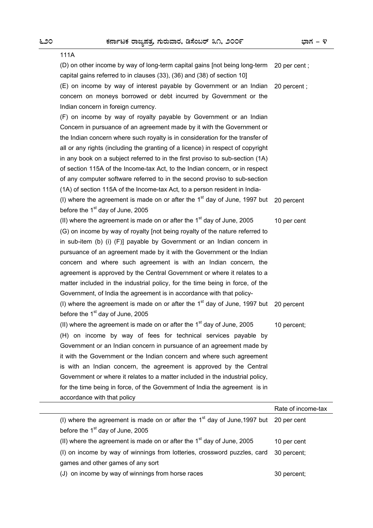| 111A                                                                                   |                    |
|----------------------------------------------------------------------------------------|--------------------|
| (D) on other income by way of long-term capital gains [not being long-term             | 20 per cent;       |
| capital gains referred to in clauses (33), (36) and (38) of section 10]                |                    |
| (E) on income by way of interest payable by Government or an Indian                    | 20 percent;        |
| concern on moneys borrowed or debt incurred by Government or the                       |                    |
| Indian concern in foreign currency.                                                    |                    |
| (F) on income by way of royalty payable by Government or an Indian                     |                    |
| Concern in pursuance of an agreement made by it with the Government or                 |                    |
| the Indian concern where such royalty is in consideration for the transfer of          |                    |
| all or any rights (including the granting of a licence) in respect of copyright        |                    |
| in any book on a subject referred to in the first proviso to sub-section (1A)          |                    |
| of section 115A of the Income-tax Act, to the Indian concern, or in respect            |                    |
| of any computer software referred to in the second proviso to sub-section              |                    |
| (1A) of section 115A of the Income-tax Act, to a person resident in India-             |                    |
| (I) where the agreement is made on or after the $1st$ day of June, 1997 but            | 20 percent         |
| before the 1 <sup>st</sup> day of June, 2005                                           |                    |
| (II) where the agreement is made on or after the 1 <sup>st</sup> day of June, 2005     | 10 per cent        |
| (G) on income by way of royalty [not being royalty of the nature referred to           |                    |
| in sub-item (b) (i) (F)] payable by Government or an Indian concern in                 |                    |
| pursuance of an agreement made by it with the Government or the Indian                 |                    |
| concern and where such agreement is with an Indian concern, the                        |                    |
| agreement is approved by the Central Government or where it relates to a               |                    |
| matter included in the industrial policy, for the time being in force, of the          |                    |
| Government, of India the agreement is in accordance with that policy-                  |                    |
| (I) where the agreement is made on or after the $1st$ day of June, 1997 but 20 percent |                    |
| before the 1 <sup>st</sup> day of June, 2005                                           |                    |
| (II) where the agreement is made on or after the $1st$ day of June, 2005               | 10 percent;        |
| (H) on income by way of fees for technical services payable by                         |                    |
| Government or an Indian concern in pursuance of an agreement made by                   |                    |
| it with the Government or the Indian concern and where such agreement                  |                    |
| is with an Indian concern, the agreement is approved by the Central                    |                    |
| Government or where it relates to a matter included in the industrial policy,          |                    |
| for the time being in force, of the Government of India the agreement is in            |                    |
| accordance with that policy                                                            |                    |
|                                                                                        | Rate of income-tax |
| (I) where the agreement is made on or after the $1st$ day of June, 1997 but            | 20 per cent        |
| before the 1 <sup>st</sup> day of June, 2005                                           |                    |
| (II) where the agreement is made on or after the $1st$ day of June, 2005               | 10 per cent        |
| (I) on income by way of winnings from lotteries, crossword puzzles, card               | 30 percent;        |

games and other games of any sort

(J) on income by way of winnings from horse races 30 percent;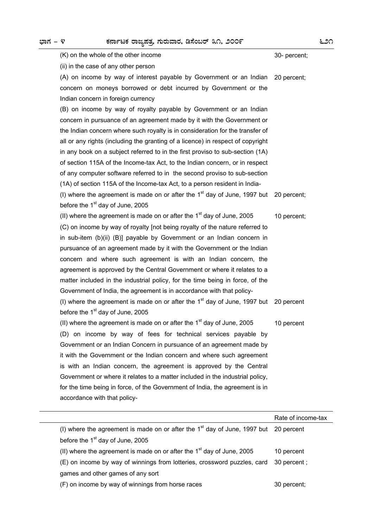| (K) on the whole of the other income                                            | 30- percent; |
|---------------------------------------------------------------------------------|--------------|
| (ii) in the case of any other person                                            |              |
| (A) on income by way of interest payable by Government or an Indian             | 20 percent;  |
| concern on moneys borrowed or debt incurred by Government or the                |              |
| Indian concern in foreign currency                                              |              |
| (B) on income by way of royalty payable by Government or an Indian              |              |
| concern in pursuance of an agreement made by it with the Government or          |              |
| the Indian concern where such royalty is in consideration for the transfer of   |              |
| all or any rights (including the granting of a licence) in respect of copyright |              |
| in any book on a subject referred to in the first proviso to sub-section (1A)   |              |
| of section 115A of the Income-tax Act, to the Indian concern, or in respect     |              |
| of any computer software referred to in the second proviso to sub-section       |              |
| (1A) of section 115A of the Income-tax Act, to a person resident in India-      |              |
| (I) where the agreement is made on or after the $1st$ day of June, 1997 but     | 20 percent;  |
| before the 1 <sup>st</sup> day of June, 2005                                    |              |
| (II) where the agreement is made on or after the $1st$ day of June, 2005        | 10 percent;  |
| (C) on income by way of royalty [not being royalty of the nature referred to    |              |
| in sub-item (b)(ii) (B)] payable by Government or an Indian concern in          |              |
| pursuance of an agreement made by it with the Government or the Indian          |              |
| concern and where such agreement is with an Indian concern, the                 |              |
| agreement is approved by the Central Government or where it relates to a        |              |
| matter included in the industrial policy, for the time being in force, of the   |              |
| Government of India, the agreement is in accordance with that policy-           |              |
| (I) where the agreement is made on or after the $1st$ day of June, 1997 but     | 20 percent   |
| before the 1 <sup>st</sup> day of June, 2005                                    |              |
| (II) where the agreement is made on or after the $1st$ day of June, 2005        | 10 percent   |
| (D) on income by way of fees for technical services payable by                  |              |
| Government or an Indian Concern in pursuance of an agreement made by            |              |
| it with the Government or the Indian concern and where such agreement           |              |
| is with an Indian concern, the agreement is approved by the Central             |              |
| Government or where it relates to a matter included in the industrial policy,   |              |
| for the time being in force, of the Government of India, the agreement is in    |              |
| accordance with that policy-                                                    |              |

|                                                                                        | Rate of income-tax |
|----------------------------------------------------------------------------------------|--------------------|
| (I) where the agreement is made on or after the $1st$ day of June, 1997 but 20 percent |                    |
| before the $1st$ day of June, 2005                                                     |                    |
| (II) where the agreement is made on or after the $1st$ day of June, 2005               | 10 percent         |
| (E) on income by way of winnings from lotteries, crossword puzzles, card               | 30 percent;        |
| games and other games of any sort                                                      |                    |
| (F) on income by way of winnings from horse races                                      | 30 percent:        |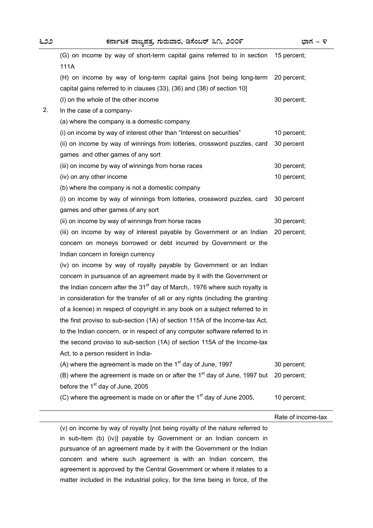|    | (G) on income by way of short-term capital gains referred to in section<br>111A         | 15 percent;        |
|----|-----------------------------------------------------------------------------------------|--------------------|
|    | (H) on income by way of long-term capital gains [not being long-term                    | 20 percent;        |
|    | capital gains referred to in clauses (33), (36) and (38) of section 10]                 |                    |
|    | (I) on the whole of the other income                                                    | 30 percent;        |
| 2. | In the case of a company-                                                               |                    |
|    | (a) where the company is a domestic company                                             |                    |
|    | (i) on income by way of interest other than "Interest on securities"                    | 10 percent;        |
|    | (ii) on income by way of winnings from lotteries, crossword puzzles, card               | 30 percent         |
|    | games and other games of any sort                                                       |                    |
|    | (iii) on income by way of winnings from horse races                                     | 30 percent;        |
|    | (iv) on any other income                                                                | 10 percent;        |
|    | (b) where the company is not a domestic company                                         |                    |
|    | (i) on income by way of winnings from lotteries, crossword puzzles, card                | 30 percent         |
|    | games and other games of any sort                                                       |                    |
|    | (ii) on income by way of winnings from horse races                                      | 30 percent;        |
|    | (iii) on income by way of interest payable by Government or an Indian                   | 20 percent;        |
|    | concern on moneys borrowed or debt incurred by Government or the                        |                    |
|    | Indian concern in foreign currency                                                      |                    |
|    | (iv) on income by way of royalty payable by Government or an Indian                     |                    |
|    | concern in pursuance of an agreement made by it with the Government or                  |                    |
|    | the Indian concern after the 31 <sup>st</sup> day of March,. 1976 where such royalty is |                    |
|    | in consideration for the transfer of all or any rights (including the granting          |                    |
|    | of a licence) in respect of copyright in any book on a subject referred to in           |                    |
|    | the first proviso to sub-section (1A) of section 115A of the Income-tax Act,            |                    |
|    | to the Indian concern, or in respect of any computer software referred to in            |                    |
|    | the second proviso to sub-section (1A) of section 115A of the Income-tax                |                    |
|    | Act, to a person resident in India-                                                     |                    |
|    | (A) where the agreement is made on the $1st$ day of June, 1997                          | 30 percent;        |
|    | (B) where the agreement is made on or after the $1st$ day of June, 1997 but             | 20 percent;        |
|    | before the 1 <sup>st</sup> day of June, 2005                                            |                    |
|    | (C) where the agreement is made on or after the $1st$ day of June 2005,                 | 10 percent;        |
|    |                                                                                         | Rate of income-tax |
|    | (v) on income by way of royalty [not being royalty of the nature referred to            |                    |
|    | in sub-item (b) (iv)] payable by Government or an Indian concern in                     |                    |
|    | pursuance of an agreement made by it with the Government or the Indian                  |                    |

concern and where such agreement is with an Indian concern, the agreement is approved by the Central Government or where it relates to a matter included in the industrial policy, for the time being in force, of the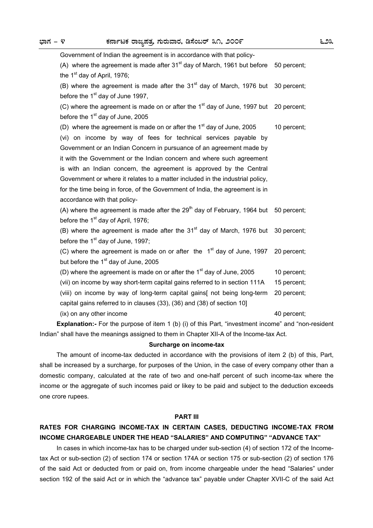| Government of Indian the agreement is in accordance with that policy-                               |             |  |
|-----------------------------------------------------------------------------------------------------|-------------|--|
| (A) where the agreement is made after $31st$ day of March, 1961 but before 50 percent;              |             |  |
| the 1 <sup>st</sup> day of April, 1976;                                                             |             |  |
| (B) where the agreement is made after the $31st$ day of March, 1976 but 30 percent;                 |             |  |
| before the 1 <sup>st</sup> day of June 1997,                                                        |             |  |
| (C) where the agreement is made on or after the 1 <sup>st</sup> day of June, 1997 but 20 percent;   |             |  |
| before the 1 <sup>st</sup> day of June, 2005                                                        |             |  |
| (D) where the agreement is made on or after the $1st$ day of June, 2005                             | 10 percent; |  |
| (vi) on income by way of fees for technical services payable by                                     |             |  |
| Government or an Indian Concern in pursuance of an agreement made by                                |             |  |
| it with the Government or the Indian concern and where such agreement                               |             |  |
| is with an Indian concern, the agreement is approved by the Central                                 |             |  |
| Government or where it relates to a matter included in the industrial policy,                       |             |  |
| for the time being in force, of the Government of India, the agreement is in                        |             |  |
| accordance with that policy-                                                                        |             |  |
| (A) where the agreement is made after the 29 <sup>th</sup> day of February, 1964 but 50 percent;    |             |  |
| before the 1 <sup>st</sup> day of April, 1976;                                                      |             |  |
| (B) where the agreement is made after the 31 <sup>st</sup> day of March, 1976 but 30 percent;       |             |  |
| before the 1 <sup>st</sup> day of June, 1997;                                                       |             |  |
| (C) where the agreement is made on or after the $1st$ day of June, 1997                             | 20 percent; |  |
| but before the 1 <sup>st</sup> day of June, 2005                                                    |             |  |
| (D) where the agreement is made on or after the $1st$ day of June, 2005                             | 10 percent; |  |
| (vii) on income by way short-term capital gains referred to in section 111A                         | 15 percent; |  |
| (viii) on income by way of long-term capital gains[ not being long-term                             | 20 percent; |  |
| capital gains referred to in clauses (33), (36) and (38) of section 10]                             |             |  |
| (ix) on any other income                                                                            | 40 percent; |  |
| Explanation:- For the purpose of item 1 (b) (i) of this Part, "investment income" and "non-resident |             |  |

Indian" shall have the meanings assigned to them in Chapter XII-A of the Income-tax Act.

### **Surcharge on income-tax**

 The amount of income-tax deducted in accordance with the provisions of item 2 (b) of this, Part, shall be increased by a surcharge, for purposes of the Union, in the case of every company other than a domestic company, calculated at the rate of two and one-half percent of such income-tax where the income or the aggregate of such incomes paid or likey to be paid and subject to the deduction exceeds one crore rupees.

### **PART III**

# **RATES FOR CHARGING INCOME-TAX IN CERTAIN CASES, DEDUCTING INCOME-TAX FROM INCOME CHARGEABLE UNDER THE HEAD "SALARIES" AND COMPUTING" "ADVANCE TAX"**

In cases in which income-tax has to be charged under sub-section (4) of section 172 of the Incometax Act or sub-section (2) of section 174 or section 174A or section 175 or sub-section (2) of section 176 of the said Act or deducted from or paid on, from income chargeable under the head "Salaries" under section 192 of the said Act or in which the "advance tax" payable under Chapter XVII-C of the said Act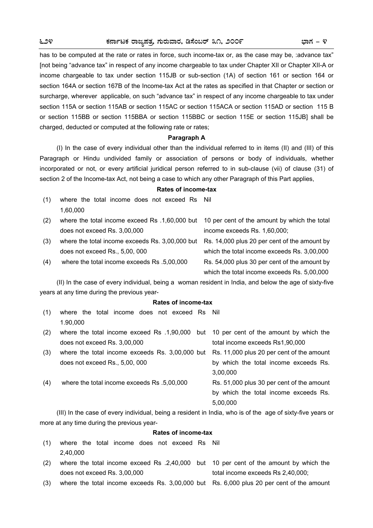has to be computed at the rate or rates in force, such income-tax or, as the case may be, :advance tax" [not being "advance tax" in respect of any income chargeable to tax under Chapter XII or Chapter XII-A or income chargeable to tax under section 115JB or sub-section (1A) of section 161 or section 164 or section 164A or section 167B of the Income-tax Act at the rates as specified in that Chapter or section or surcharge, wherever applicable, on such "advance tax" in respect of any income chargeable to tax under section 115A or section 115AB or section 115AC or section 115ACA or section 115AD or section 115 B or section 115BB or section 115BBA or section 115BBC or section 115E or section 115JB] shall be charged, deducted or computed at the following rate or rates;

### **Paragraph A**

 (I) In the case of every individual other than the individual referred to in items (II) and (III) of this Paragraph or Hindu undivided family or association of persons or body of individuals, whether incorporated or not, or every artificial juridical person referred to in sub-clause (vii) of clause (31) of section 2 of the Income-tax Act, not being a case to which any other Paragraph of this Part applies,

# **Rates of income-tax**

(1) where the total income does not exceed Rs Nil 1,60,000 (2) where the total income exceed Rs .1,60,000 but 10 per cent of the amount by which the total does not exceed Rs. 3,00,000 income exceeds Rs. 1,60,000; (3) where the total income exceeds Rs. 3,00,000 but Rs. 14,000 plus 20 per cent of the amount by does not exceed Rs., 5,00, 000 which the total income exceeds Rs. 3,00,000 (4) where the total income exceeds Rs .5,00,000 Rs. 54,000 plus 30 per cent of the amount by which the total income exceeds Rs. 5,00,000

 (II) In the case of every individual, being a woman resident in India, and below the age of sixty-five years at any time during the previous year-

### **Rates of income-tax**

(1) where the total income does not exceed Rs Nil 1.90,000

| (2) | where the total income exceed Rs .1,90,000 but 10 per cent of the amount by which the     |                                           |
|-----|-------------------------------------------------------------------------------------------|-------------------------------------------|
|     | does not exceed Rs. 3,00,000                                                              | total income exceeds Rs1,90,000           |
| (3) | where the total income exceeds Rs. 3,00,000 but Rs. 11,000 plus 20 per cent of the amount |                                           |
|     | does not exceed Rs., 5,00, 000                                                            | by which the total income exceeds Rs.     |
|     |                                                                                           | 3,00,000                                  |
| (4) | where the total income exceeds Rs .5,00,000                                               | Rs. 51,000 plus 30 per cent of the amount |
|     |                                                                                           | by which the total income exceeds Rs.     |
|     |                                                                                           | 5,00,000                                  |

 (III) In the case of every individual, being a resident in India, who is of the age of sixty-five years or more at any time during the previous year-

### **Rates of income-tax**

- (1) where the total income does not exceed Rs Nil 2,40,000
- (2) where the total income exceed Rs .2,40,000 but 10 per cent of the amount by which the does not exceed Rs. 3,00,000 total income exceeds Rs 2,40,000;
- (3) where the total income exceeds Rs. 3,00,000 but Rs. 6,000 plus 20 per cent of the amount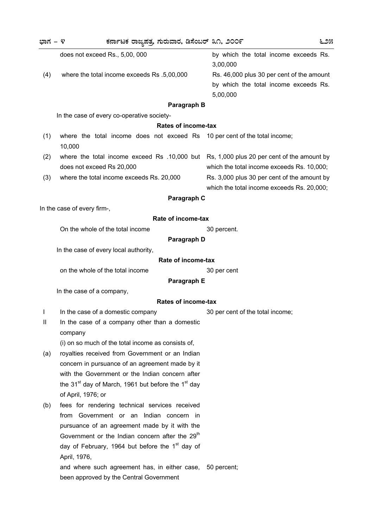| ಭಾಗ – ೪       | ಕರ್ನಾಟಕ ರಾಜ್ಯಪತ್ತ ಗುರುವಾರ, ಡಿಸೆಂಬರ್ ೩೧, ೨೦೦೯                                              | ೬೨೫                                                                                            |
|---------------|-------------------------------------------------------------------------------------------|------------------------------------------------------------------------------------------------|
|               | does not exceed Rs., 5,00, 000                                                            | by which the total income exceeds Rs.<br>3,00,000                                              |
| (4)           | where the total income exceeds Rs .5,00,000                                               | Rs. 46,000 plus 30 per cent of the amount<br>by which the total income exceeds Rs.<br>5,00,000 |
|               | Paragraph B                                                                               |                                                                                                |
|               | In the case of every co-operative society-                                                |                                                                                                |
|               | Rates of income-tax                                                                       |                                                                                                |
| (1)           | where the total income does not exceed Rs 10 per cent of the total income;<br>10,000      |                                                                                                |
| (2)           | where the total income exceed Rs .10,000 but Rs, 1,000 plus 20 per cent of the amount by  |                                                                                                |
|               | does not exceed Rs 20,000                                                                 | which the total income exceeds Rs. 10,000;                                                     |
| (3)           | where the total income exceeds Rs. 20,000                                                 | Rs. 3,000 plus 30 per cent of the amount by<br>which the total income exceeds Rs. 20,000;      |
|               | Paragraph C                                                                               |                                                                                                |
|               | In the case of every firm-,                                                               |                                                                                                |
|               | Rate of income-tax                                                                        |                                                                                                |
|               | On the whole of the total income                                                          | 30 percent.                                                                                    |
|               | Paragraph D                                                                               |                                                                                                |
|               | In the case of every local authority,                                                     |                                                                                                |
|               | Rate of income-tax                                                                        |                                                                                                |
|               | on the whole of the total income                                                          | 30 per cent                                                                                    |
|               | Paragraph E                                                                               |                                                                                                |
|               | In the case of a company,                                                                 |                                                                                                |
|               | <b>Rates of income-tax</b>                                                                |                                                                                                |
| I             | In the case of a domestic company                                                         | 30 per cent of the total income;                                                               |
| $\mathbf{II}$ | In the case of a company other than a domestic<br>company                                 |                                                                                                |
|               | (i) on so much of the total income as consists of,                                        |                                                                                                |
| (a)           | royalties received from Government or an Indian                                           |                                                                                                |
|               | concern in pursuance of an agreement made by it                                           |                                                                                                |
|               | with the Government or the Indian concern after                                           |                                                                                                |
|               | the 31 <sup>st</sup> day of March, 1961 but before the 1 <sup>st</sup> day                |                                                                                                |
|               | of April, 1976; or                                                                        |                                                                                                |
| (b)           | fees for rendering technical services received<br>from Government or an Indian concern in |                                                                                                |
|               | pursuance of an agreement made by it with the                                             |                                                                                                |
|               | Government or the Indian concern after the 29 <sup>th</sup>                               |                                                                                                |
|               | day of February, 1964 but before the 1 <sup>st</sup> day of                               |                                                                                                |
|               | April, 1976,                                                                              |                                                                                                |
|               | and where such agreement has, in either case,                                             | 50 percent;                                                                                    |
|               | been approved by the Central Government                                                   |                                                                                                |
|               |                                                                                           |                                                                                                |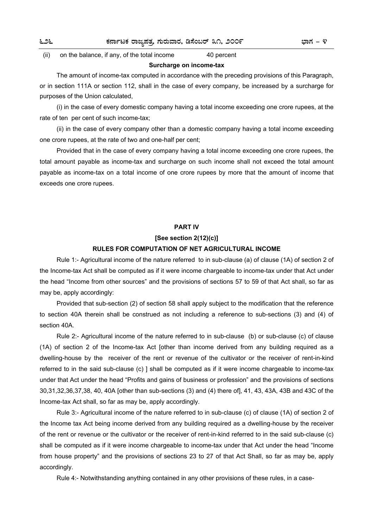(ii) on the balance, if any, of the total income 40 percent

### **Surcharge on income-tax**

 The amount of income-tax computed in accordance with the preceding provisions of this Paragraph, or in section 111A or section 112, shall in the case of every company, be increased by a surcharge for purposes of the Union calculated,

 (i) in the case of every domestic company having a total income exceeding one crore rupees, at the rate of ten per cent of such income-tax;

 (ii) in the case of every company other than a domestic company having a total income exceeding one crore rupees, at the rate of two and one-half per cent;

 Provided that in the case of every company having a total income exceeding one crore rupees, the total amount payable as income-tax and surcharge on such income shall not exceed the total amount payable as income-tax on a total income of one crore rupees by more that the amount of income that exceeds one crore rupees.

## **PART IV**

## **[See section 2(12)(c)]**

### **RULES FOR COMPUTATION OF NET AGRICULTURAL INCOME**

 Rule 1:- Agricultural income of the nature referred to in sub-clause (a) of clause (1A) of section 2 of the Income-tax Act shall be computed as if it were income chargeable to income-tax under that Act under the head "Income from other sources" and the provisions of sections 57 to 59 of that Act shall, so far as may be, apply accordingly:

 Provided that sub-section (2) of section 58 shall apply subject to the modification that the reference to section 40A therein shall be construed as not including a reference to sub-sections (3) and (4) of section 40A.

Rule 2:- Agricultural income of the nature referred to in sub-clause (b) or sub-clause (c) of clause (1A) of section 2 of the Income-tax Act [other than income derived from any building required as a dwelling-house by the receiver of the rent or revenue of the cultivator or the receiver of rent-in-kind referred to in the said sub-clause (c) ] shall be computed as if it were income chargeable to income-tax under that Act under the head "Profits and gains of business or profession" and the provisions of sections 30,31,32,36,37,38, 40, 40A [other than sub-sections (3) and (4) there of], 41, 43, 43A, 43B and 43C of the Income-tax Act shall, so far as may be, apply accordingly.

 Rule 3:- Agricultural income of the nature referred to in sub-clause (c) of clause (1A) of section 2 of the Income tax Act being income derived from any building required as a dwelling-house by the receiver of the rent or revenue or the cultivator or the receiver of rent-in-kind referred to in the said sub-clause (c) shall be computed as if it were income chargeable to income-tax under that Act under the head "Income from house property" and the provisions of sections 23 to 27 of that Act Shall, so far as may be, apply accordingly.

Rule 4:- Notwithstanding anything contained in any other provisions of these rules, in a case-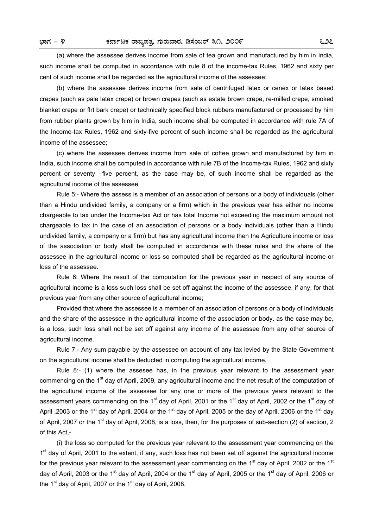(a) where the assessee derives income from sale of tea grown and manufactured by him in India, such income shall be computed in accordance with rule 8 of the income-tax Rules, 1962 and sixty per cent of such income shall be regarded as the agricultural income of the assessee;

 (b) where the assessee derives income from sale of centrifuged latex or cenex or latex based crepes (such as pale latex crepe) or brown crepes (such as estate brown crepe, re-milled crepe, smoked blanket crepe or flrt bark crepe) or technically specified block rubbers manufactured or processed by him from rubber plants grown by him in India, such income shall be computed in accordance with rule 7A of the Income-tax Rules, 1962 and sixty-five percent of such income shall be regarded as the agricultural income of the assessee;

 (c) where the assessee derives income from sale of coffee grown and manufactured by him in India, such income shall be computed in accordance with rule 7B of the Income-tax Rules, 1962 and sixty percent or seventy –five percent, as the case may be, of such income shall be regarded as the agricultural income of the assessee.

 Rule 5:- Where the assess is a member of an association of persons or a body of individuals (other than a Hindu undivided family, a company or a firm) which in the previous year has either no income chargeable to tax under the Income-tax Act or has total Income not exceeding the maximum amount not chargeable to tax in the case of an association of persons or a body individuals (other than a Hindu undivided family, a company or a firm) but has any agricultural income then the Agriculture income or loss of the association or body shall be computed in accordance with these rules and the share of the assessee in the agricultural income or loss so computed shall be regarded as the agricultural income or loss of the assessee.

 Rule 6: Where the result of the computation for the previous year in respect of any source of agricultural income is a loss such loss shall be set off against the income of the assessee, if any, for that previous year from any other source of agricultural income;

 Provided that where the assessee is a member of an association of persons or a body of individuals and the share of the assessee in the agricultural income of the association or body, as the case may be, is a loss, such loss shall not be set off against any income of the assessee from any other source of agricultural income.

 Rule 7:- Any sum payable by the assessee on account of any tax levied by the State Government on the agricultural income shall be deducted in computing the agricultural income.

 Rule 8:- (1) where the assesee has, in the previous year relevant to the assessment year commencing on the 1<sup>st</sup> day of April, 2009, any agricultural income and the net result of the computation of the agricultural income of the assessee for any one or more of the previous years relevant to the assessment years commencing on the 1<sup>st</sup> day of April, 2001 or the 1<sup>st</sup> day of April, 2002 or the 1<sup>st</sup> day of April ,2003 or the 1<sup>st</sup> day of April, 2004 or the 1<sup>st</sup> day of April, 2005 or the day of April, 2006 or the 1<sup>st</sup> day of April, 2007 or the 1<sup>st</sup> day of April, 2008, is a loss, then, for the purposes of sub-section (2) of section, 2 of this Act,-

 (i) the loss so computed for the previous year relevant to the assessment year commencing on the  $1<sup>st</sup>$  day of April, 2001 to the extent, if any, such loss has not been set off against the agricultural income for the previous year relevant to the assessment year commencing on the 1<sup>st</sup> day of April, 2002 or the 1<sup>st</sup> day of April, 2003 or the 1<sup>st</sup> day of April, 2004 or the 1<sup>st</sup> day of April, 2005 or the 1<sup>st</sup> day of April, 2006 or the 1<sup>st</sup> day of April, 2007 or the 1<sup>st</sup> day of April, 2008.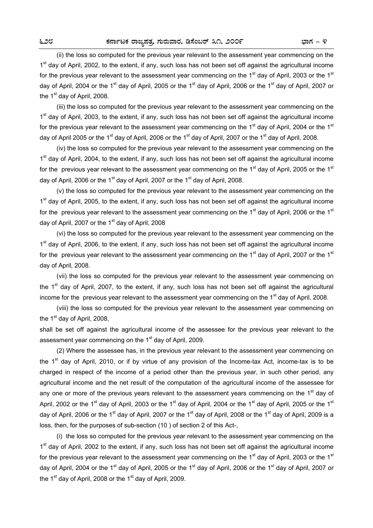(ii) the loss so computed for the previous year relevant to the assessment year commencing on the 1<sup>st</sup> day of April, 2002, to the extent, if any, such loss has not been set off against the agricultural income for the previous year relevant to the assessment year commencing on the 1<sup>st</sup> day of April, 2003 or the 1<sup>st</sup> day of April, 2004 or the 1<sup>st</sup> day of April, 2005 or the 1<sup>st</sup> day of April, 2006 or the 1<sup>st</sup> day of April, 2007 or the  $1<sup>st</sup>$  day of April, 2008.

 (iii) the loss so computed for the previous year relevant to the assessment year commencing on the 1<sup>st</sup> day of April, 2003, to the extent, if any, such loss has not been set off against the agricultural income for the previous year relevant to the assessment year commencing on the  $1<sup>st</sup>$  day of April, 2004 or the  $1<sup>st</sup>$ day of April 2005 or the 1<sup>st</sup> day of April, 2006 or the 1<sup>st</sup> day of April, 2007 or the 1<sup>st</sup> day of April, 2008.

 (iv) the loss so computed for the previous year relevant to the assessment year commencing on the 1<sup>st</sup> day of April, 2004, to the extent, if any, such loss has not been set off against the agricultural income for the previous year relevant to the assessment year commencing on the 1<sup>st</sup> day of April, 2005 or the 1<sup>st</sup> day of April, 2006 or the 1<sup>st</sup> day of April, 2007 or the 1<sup>st</sup> day of April, 2008.

 (v) the loss so computed for the previous year relevant to the assessment year commencing on the 1<sup>st</sup> day of April, 2005, to the extent, if any, such loss has not been set off against the agricultural income for the previous year relevant to the assessment year commencing on the 1<sup>st</sup> day of April, 2006 or the 1<sup>st</sup> day of April, 2007 or the  $1<sup>st</sup>$  day of April, 2008

 (vi) the loss so computed for the previous year relevant to the assessment year commencing on the 1<sup>st</sup> day of April, 2006, to the extent, if any, such loss has not been set off against the agricultural income for the previous year relevant to the assessment year commencing on the 1<sup>st</sup> day of April, 2007 or the 1<sup>st</sup> day of April, 2008.

 (vii) the loss so computed for the previous year relevant to the assessment year commencing on the 1<sup>st</sup> day of April, 2007, to the extent, if any, such loss has not been set off against the agricultural income for the previous year relevant to the assessment year commencing on the 1<sup>st</sup> day of April, 2008.

 (viii) the loss so computed for the previous year relevant to the assessment year commencing on the  $1<sup>st</sup>$  day of April, 2008,

shall be set off against the agricultural income of the assessee for the previous year relevant to the assessment year commencing on the  $1<sup>st</sup>$  day of April, 2009.

 (2) Where the assessee has, in the previous year relevant to the assessment year commencing on the  $1<sup>st</sup>$  day of April, 2010, or if by virtue of any provision of the Income-tax Act, income-tax is to be charged in respect of the income of a period other than the previous year, in such other period, any agricultural income and the net result of the computation of the agricultural income of the assessee for any one or more of the previous years relevant to the assessment years commencing on the 1<sup>st</sup> day of April, 2002 or the 1<sup>st</sup> day of April, 2003 or the 1<sup>st</sup> day of April, 2004 or the 1<sup>st</sup> day of April, 2005 or the 1<sup>st</sup> day of April, 2006 or the 1<sup>st</sup> day of April, 2007 or the 1<sup>st</sup> day of April, 2008 or the 1<sup>st</sup> day of April, 2009 is a loss, then, for the purposes of sub-section (10 ) of section 2 of this Act-,

 (i) the loss so computed for the previous year relevant to the assessment year commencing on the 1<sup>st</sup> day of April, 2002 to the extent, if any, such loss has not been set off against the agricultural income for the previous year relevant to the assessment year commencing on the 1<sup>st</sup> day of April, 2003 or the 1<sup>st</sup> day of April, 2004 or the 1<sup>st</sup> day of April, 2005 or the 1<sup>st</sup> day of April, 2006 or the 1<sup>st</sup> day of April, 2007 or the 1<sup>st</sup> day of April, 2008 or the 1<sup>st</sup> day of April, 2009.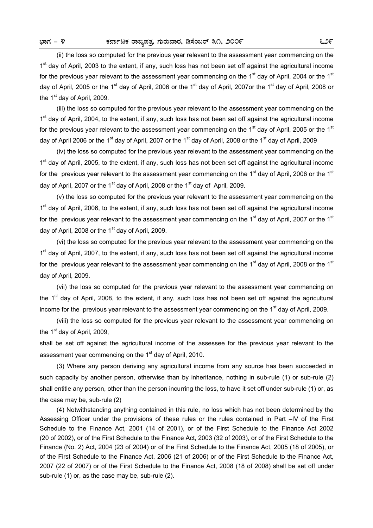(ii) the loss so computed for the previous year relevant to the assessment year commencing on the 1<sup>st</sup> day of April, 2003 to the extent, if any, such loss has not been set off against the agricultural income for the previous year relevant to the assessment year commencing on the  $1<sup>st</sup>$  day of April, 2004 or the  $1<sup>st</sup>$ day of April, 2005 or the 1<sup>st</sup> day of April, 2006 or the 1<sup>st</sup> day of April, 2007or the 1<sup>st</sup> day of April, 2008 or the  $1<sup>st</sup>$  day of April, 2009.

 (iii) the loss so computed for the previous year relevant to the assessment year commencing on the 1<sup>st</sup> day of April, 2004, to the extent, if any, such loss has not been set off against the agricultural income for the previous year relevant to the assessment year commencing on the  $1<sup>st</sup>$  day of April, 2005 or the  $1<sup>st</sup>$ day of April 2006 or the 1<sup>st</sup> day of April, 2007 or the 1<sup>st</sup> day of April, 2008 or the 1<sup>st</sup> day of April, 2009

 (iv) the loss so computed for the previous year relevant to the assessment year commencing on the 1<sup>st</sup> day of April, 2005, to the extent, if any, such loss has not been set off against the agricultural income for the previous year relevant to the assessment year commencing on the 1<sup>st</sup> day of April, 2006 or the 1<sup>st</sup> day of April, 2007 or the 1<sup>st</sup> day of April, 2008 or the 1<sup>st</sup> day of April, 2009.

 (v) the loss so computed for the previous year relevant to the assessment year commencing on the 1<sup>st</sup> day of April, 2006, to the extent, if any, such loss has not been set off against the agricultural income for the previous year relevant to the assessment year commencing on the 1<sup>st</sup> day of April, 2007 or the 1<sup>st</sup> day of April, 2008 or the  $1<sup>st</sup>$  day of April, 2009.

 (vi) the loss so computed for the previous year relevant to the assessment year commencing on the 1<sup>st</sup> day of April, 2007, to the extent, if any, such loss has not been set off against the agricultural income for the previous year relevant to the assessment year commencing on the  $1<sup>st</sup>$  day of April, 2008 or the  $1<sup>st</sup>$ day of April, 2009.

 (vii) the loss so computed for the previous year relevant to the assessment year commencing on the 1<sup>st</sup> day of April, 2008, to the extent, if any, such loss has not been set off against the agricultural income for the previous year relevant to the assessment year commencing on the 1<sup>st</sup> day of April, 2009.

 (viii) the loss so computed for the previous year relevant to the assessment year commencing on the  $1<sup>st</sup>$  day of April, 2009,

shall be set off against the agricultural income of the assessee for the previous year relevant to the assessment year commencing on the 1<sup>st</sup> day of April, 2010.

 (3) Where any person deriving any agricultural income from any source has been succeeded in such capacity by another person, otherwise than by inheritance, nothing in sub-rule (1) or sub-rule (2) shall entitle any person, other than the person incurring the loss, to have it set off under sub-rule (1) or, as the case may be, sub-rule (2)

 (4) Notwithstanding anything contained in this rule, no loss which has not been determined by the Assessing Officer under the provisions of these rules or the rules contained in Part –IV of the First Schedule to the Finance Act, 2001 (14 of 2001), or of the First Schedule to the Finance Act 2002 (20 of 2002), or of the First Schedule to the Finance Act, 2003 (32 of 2003), or of the First Schedule to the Finance (No. 2) Act, 2004 (23 of 2004) or of the First Schedule to the Finance Act, 2005 (18 of 2005), or of the First Schedule to the Finance Act, 2006 (21 of 2006) or of the First Schedule to the Finance Act, 2007 (22 of 2007) or of the First Schedule to the Finance Act, 2008 (18 of 2008) shall be set off under sub-rule (1) or, as the case may be, sub-rule (2).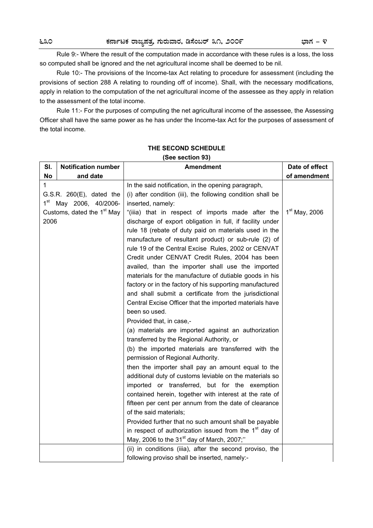Rule 9:- Where the result of the computation made in accordance with these rules is a loss, the loss so computed shall be ignored and the net agricultural income shall be deemed to be nil.

 Rule 10:- The provisions of the Income-tax Act relating to procedure for assessment (including the provisions of section 288 A relating to rounding off of income). Shall, with the necessary modifications, apply in relation to the computation of the net agricultural income of the assessee as they apply in relation to the assessment of the total income.

 Rule 11:- For the purposes of computing the net agricultural income of the assessee, the Assessing Officer shall have the same power as he has under the Income-tax Act for the purposes of assessment of the total income.

| SI.                  | <b>Notification number</b>                                                                                     | <b>Amendment</b>                                                                                                                                                                                                                                                                                                                                                                                                                                                                                                                                                                                                                                                                                                                                                                                      | Date of effect  |
|----------------------|----------------------------------------------------------------------------------------------------------------|-------------------------------------------------------------------------------------------------------------------------------------------------------------------------------------------------------------------------------------------------------------------------------------------------------------------------------------------------------------------------------------------------------------------------------------------------------------------------------------------------------------------------------------------------------------------------------------------------------------------------------------------------------------------------------------------------------------------------------------------------------------------------------------------------------|-----------------|
| No                   | and date                                                                                                       |                                                                                                                                                                                                                                                                                                                                                                                                                                                                                                                                                                                                                                                                                                                                                                                                       | of amendment    |
| $\mathbf{1}$<br>2006 | $G.S.R.$ 260 $(E)$ , dated the<br>1 <sup>st</sup> May 2006, 40/2006-<br>Customs, dated the 1 <sup>st</sup> May | In the said notification, in the opening paragraph,<br>(i) after condition (iii), the following condition shall be<br>inserted, namely:<br>"(iiia) that in respect of imports made after the<br>discharge of export obligation in full, if facility under<br>rule 18 (rebate of duty paid on materials used in the<br>manufacture of resultant product) or sub-rule (2) of<br>rule 19 of the Central Excise Rules, 2002 or CENVAT<br>Credit under CENVAT Credit Rules, 2004 has been<br>availed, than the importer shall use the imported<br>materials for the manufacture of dutiable goods in his<br>factory or in the factory of his supporting manufactured<br>and shall submit a certificate from the jurisdictional<br>Central Excise Officer that the imported materials have<br>been so used. | $1st$ May, 2006 |
|                      |                                                                                                                | Provided that, in case,-<br>(a) materials are imported against an authorization<br>transferred by the Regional Authority, or<br>(b) the imported materials are transferred with the<br>permission of Regional Authority.<br>then the importer shall pay an amount equal to the<br>additional duty of customs leviable on the materials so<br>imported or transferred, but for the exemption<br>contained herein, together with interest at the rate of<br>fifteen per cent per annum from the date of clearance<br>of the said materials;<br>Provided further that no such amount shall be payable<br>in respect of authorization issued from the 1 <sup>st</sup> day of<br>May, 2006 to the 31 <sup>st</sup> day of March, 2007;"<br>(ii) in conditions (iiia), after the second proviso, the        |                 |
|                      |                                                                                                                | following proviso shall be inserted, namely:-                                                                                                                                                                                                                                                                                                                                                                                                                                                                                                                                                                                                                                                                                                                                                         |                 |

# **THE SECOND SCHEDULE**

## **(See section 93)**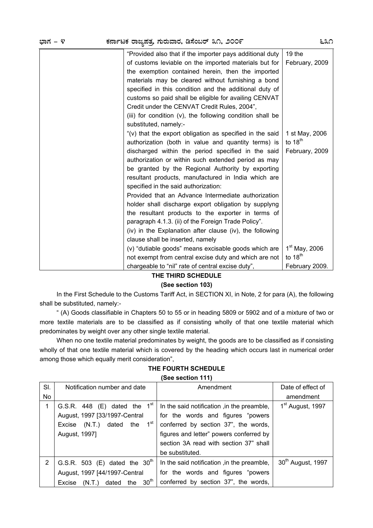| ಭಾಗ – ೪ | ಕರ್ನಾಟಕ ರಾಜ್ಯಪತ್ರ, ಗುರುವಾರ, ಡಿಸೆಂಬರ್ ೩೧, ೨೦೦೯                                                                                                                                                                                                                                                                                                                                                                                                                                                                                                                                                                                                                                                                | ೬೩೧                                           |
|---------|--------------------------------------------------------------------------------------------------------------------------------------------------------------------------------------------------------------------------------------------------------------------------------------------------------------------------------------------------------------------------------------------------------------------------------------------------------------------------------------------------------------------------------------------------------------------------------------------------------------------------------------------------------------------------------------------------------------|-----------------------------------------------|
|         | "Provided also that if the importer pays additional duty<br>of customs leviable on the imported materials but for<br>the exemption contained herein, then the imported<br>materials may be cleared without furnishing a bond<br>specified in this condition and the additional duty of<br>customs so paid shall be eligible for availing CENVAT<br>Credit under the CENVAT Credit Rules, 2004",<br>(iii) for condition (v), the following condition shall be<br>substituted, namely:-                                                                                                                                                                                                                        | $19$ the<br>February, 2009                    |
|         | "(v) that the export obligation as specified in the said<br>authorization (both in value and quantity terms) is<br>discharged within the period specified in the said<br>authorization or within such extended period as may<br>be granted by the Regional Authority by exporting<br>resultant products, manufactured in India which are<br>specified in the said authorization:<br>Provided that an Advance Intermediate authorization<br>holder shall discharge export obligation by supplyng<br>the resultant products to the exporter in terms of<br>paragraph 4.1.3. (ii) of the Foreign Trade Policy".<br>(iv) in the Explanation after clause (iv), the following<br>clause shall be inserted, namely | 1 st May, 2006<br>to $18th$<br>February, 2009 |
|         | (v) "dutiable goods" means excisable goods which are<br>not exempt from central excise duty and which are not                                                                                                                                                                                                                                                                                                                                                                                                                                                                                                                                                                                                | $1st$ May, 2006<br>to $18th$                  |
|         | chargeable to "nil" rate of central excise duty",                                                                                                                                                                                                                                                                                                                                                                                                                                                                                                                                                                                                                                                            | February 2009.                                |

# **THE THIRD SCHEDULE**

## **(See section 103)**

In the First Schedule to the Customs Tariff Act, in SECTION XI, in Note, 2 for para (A), the following shall be substituted, namely:-

 " (A) Goods classifiable in Chapters 50 to 55 or in heading 5809 or 5902 and of a mixture of two or more textile materials are to be classified as if consisting wholly of that one textile material which predominates by weight over any other single textile material.

 When no one textile material predominates by weight, the goods are to be classified as if consisting wholly of that one textile material which is covered by the heading which occurs last in numerical order among those which equally merit consideration",

| SI. | Notification number and date                  | Amendment                                  | Date of effect of             |  |  |  |
|-----|-----------------------------------------------|--------------------------------------------|-------------------------------|--|--|--|
| No  |                                               |                                            | amendment                     |  |  |  |
| 1   | G.S.R. 448 (E) dated the $1st$                | In the said notification, in the preamble, | 1 <sup>st</sup> August, 1997  |  |  |  |
|     | August, 1997 [33/1997-Central                 | for the words and figures "powers"         |                               |  |  |  |
|     | $1^{\rm st}$<br>Excise (N.T.)<br>dated<br>the | conferred by section 37", the words,       |                               |  |  |  |
|     | August, 1997]                                 | figures and letter" powers conferred by    |                               |  |  |  |
|     |                                               | section 3A read with section 37" shall     |                               |  |  |  |
|     |                                               | be substituted.                            |                               |  |  |  |
| 2   | G.S.R. 503 (E) dated the $30th$               | In the said notification, in the preamble, | 30 <sup>th</sup> August, 1997 |  |  |  |
|     | August, 1997 [44/1997-Central                 | for the words and figures "powers"         |                               |  |  |  |
|     | the $30th$<br>Excise (N.T.) dated             | conferred by section 37", the words,       |                               |  |  |  |

**THE FOURTH SCHEDULE** 

# **(See section 111)**